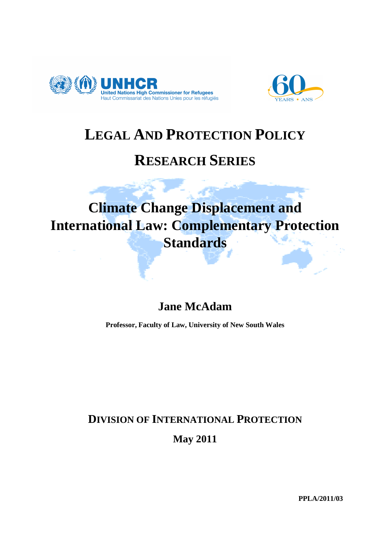



# **LEGAL AND PROTECTION POLICY**

## **RESEARCH SERIES**

# **Climate Change Displacement and International Law: Complementary Protection Standards**

## **Jane McAdam**

**Professor, Faculty of Law, University of New South Wales** 

## **DIVISION OF INTERNATIONAL PROTECTION**

**May 2011** 

**PPLA/2011/03**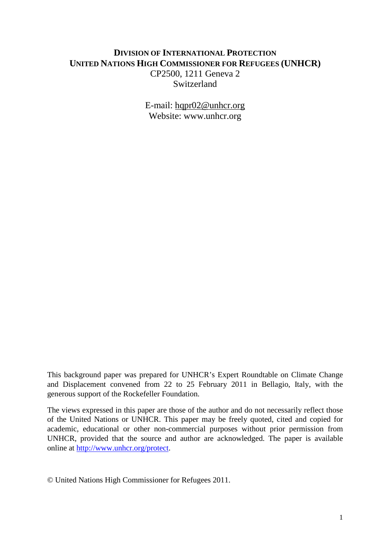## **DIVISION OF INTERNATIONAL PROTECTION UNITED NATIONS HIGH COMMISSIONER FOR REFUGEES (UNHCR)**  CP2500, 1211 Geneva 2 **Switzerland**

E-mail: hqpr02@unhcr.org Website: www.unhcr.org

This background paper was prepared for UNHCR's Expert Roundtable on Climate Change and Displacement convened from 22 to 25 February 2011 in Bellagio, Italy, with the generous support of the Rockefeller Foundation.

The views expressed in this paper are those of the author and do not necessarily reflect those of the United Nations or UNHCR. This paper may be freely quoted, cited and copied for academic, educational or other non-commercial purposes without prior permission from UNHCR, provided that the source and author are acknowledged. The paper is available online at http://www.unhcr.org/protect.

© United Nations High Commissioner for Refugees 2011.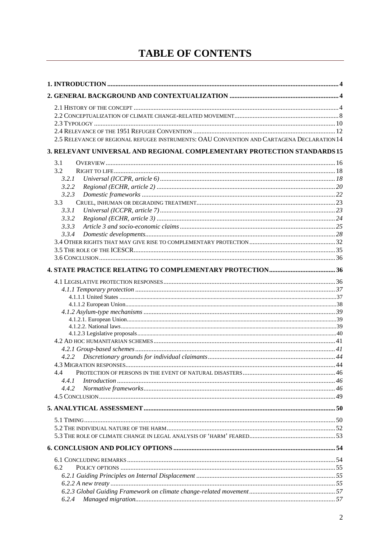## **TABLE OF CONTENTS**

| 2.5 RELEVANCE OF REGIONAL REFUGEE INSTRUMENTS: OAU CONVENTION AND CARTAGENA DECLARATION 14 |  |
|--------------------------------------------------------------------------------------------|--|
| 3. RELEVANT UNIVERSAL AND REGIONAL COMPLEMENTARY PROTECTION STANDARDS 15                   |  |
| 3.1                                                                                        |  |
| 3.2                                                                                        |  |
| 3.2.1                                                                                      |  |
| 3.2.2                                                                                      |  |
| 3.2.3                                                                                      |  |
| 3.3                                                                                        |  |
| 3.3.1                                                                                      |  |
| 3.3.2<br>3.3.3                                                                             |  |
| 3.3.4                                                                                      |  |
|                                                                                            |  |
|                                                                                            |  |
|                                                                                            |  |
|                                                                                            |  |
|                                                                                            |  |
|                                                                                            |  |
|                                                                                            |  |
|                                                                                            |  |
|                                                                                            |  |
|                                                                                            |  |
|                                                                                            |  |
|                                                                                            |  |
|                                                                                            |  |
|                                                                                            |  |
|                                                                                            |  |
| 4.4                                                                                        |  |
| Introduction 1, 46<br>4.4.1                                                                |  |
| 4.4.2                                                                                      |  |
|                                                                                            |  |
|                                                                                            |  |
|                                                                                            |  |
|                                                                                            |  |
|                                                                                            |  |
|                                                                                            |  |
|                                                                                            |  |
| 6.2                                                                                        |  |
|                                                                                            |  |
|                                                                                            |  |
|                                                                                            |  |
| 6.2.4                                                                                      |  |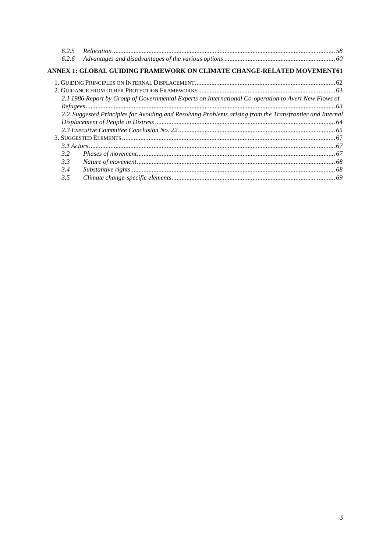| 625           |                                                                                                          |  |
|---------------|----------------------------------------------------------------------------------------------------------|--|
| 6.2.6         |                                                                                                          |  |
|               | ANNEX 1: GLOBAL GUIDING FRAMEWORK ON CLIMATE CHANGE-RELATED MOVEMENT61                                   |  |
|               |                                                                                                          |  |
|               |                                                                                                          |  |
|               | 2.1 1986 Report by Group of Governmental Experts on International Co-operation to Avert New Flows of     |  |
|               |                                                                                                          |  |
|               | 2.2 Suggested Principles for Avoiding and Resolving Problems arising from the Transfrontier and Internal |  |
|               |                                                                                                          |  |
|               |                                                                                                          |  |
|               |                                                                                                          |  |
|               |                                                                                                          |  |
| $3.2^{\circ}$ |                                                                                                          |  |
| 3.3           |                                                                                                          |  |
| 3.4           |                                                                                                          |  |
| 3.5           |                                                                                                          |  |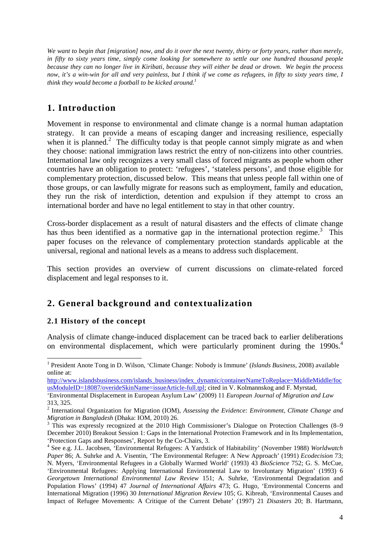*We want to begin that [migration] now, and do it over the next twenty, thirty or forty years, rather than merely, in fifty to sixty years time, simply come looking for somewhere to settle our one hundred thousand people because they can no longer live in Kiribati, because they will either be dead or drown. We begin the process now, it's a win-win for all and very painless, but I think if we come as refugees, in fifty to sixty years time, I think they would become a football to be kicked around.<sup>1</sup>*

## **1. Introduction**

Movement in response to environmental and climate change is a normal human adaptation strategy. It can provide a means of escaping danger and increasing resilience, especially when it is planned.<sup>2</sup> The difficulty today is that people cannot simply migrate as and when they choose: national immigration laws restrict the entry of non-citizens into other countries. International law only recognizes a very small class of forced migrants as people whom other countries have an obligation to protect: 'refugees', 'stateless persons', and those eligible for complementary protection, discussed below. This means that unless people fall within one of those groups, or can lawfully migrate for reasons such as employment, family and education, they run the risk of interdiction, detention and expulsion if they attempt to cross an international border and have no legal entitlement to stay in that other country.

Cross-border displacement as a result of natural disasters and the effects of climate change has thus been identified as a normative gap in the international protection regime.<sup>3</sup> This paper focuses on the relevance of complementary protection standards applicable at the universal, regional and national levels as a means to address such displacement.

This section provides an overview of current discussions on climate-related forced displacement and legal responses to it.

## **2. General background and contextualization**

#### **2.1 History of the concept**

l

Analysis of climate change-induced displacement can be traced back to earlier deliberations on environmental displacement, which were particularly prominent during the 1990s.<sup>4</sup>

<sup>&</sup>lt;sup>1</sup> President Anote Tong in D. Wilson, 'Climate Change: Nobody is Immune' (*Islands Business*, 2008) available online at:

http://www.islandsbusiness.com/islands\_business/index\_dynamic/containerNameToReplace=MiddleMiddle/foc usModuleID=18087/overideSkinName=issueArticle-full.tpl; cited in V. Kolmannskog and F. Myrstad,

<sup>&#</sup>x27;Environmental Displacement in European Asylum Law' (2009) 11 *European Journal of Migration and Law* 313, 325.

<sup>2</sup> International Organization for Migration (IOM), *Assessing the Evidence: Environment, Climate Change and Migration in Bangladesh* (Dhaka: IOM, 2010) 26.

<sup>&</sup>lt;sup>3</sup> This was expressly recognized at the 2010 High Commissioner's Dialogue on Protection Challenges (8–9 December 2010) Breakout Session 1: Gaps in the International Protection Framework and in Its Implementation, 'Protection Gaps and Responses', Report by the Co-Chairs, 3.

<sup>4</sup> See e.g. J.L. Jacobsen, 'Environmental Refugees: A Yardstick of Habitability' (November 1988) *Worldwatch Paper* 86; A. Suhrke and A. Visentin, 'The Environmental Refugee: A New Approach' (1991) *Ecodecision* 73; N. Myers, 'Environmental Refugees in a Globally Warmed World' (1993) 43 *BioScience* 752; G. S. McCue, 'Environmental Refugees: Applying International Environmental Law to Involuntary Migration' (1993) 6 *Georgetown International Environmental Law Review* 151; A. Suhrke, 'Environmental Degradation and Population Flows' (1994) 47 *Journal of International Affairs* 473; G. Hugo, 'Environmental Concerns and International Migration (1996) 30 *International Migration Review* 105; G. Kibreab, 'Environmental Causes and Impact of Refugee Movements: A Critique of the Current Debate' (1997) 21 *Disasters* 20; B. Hartmann,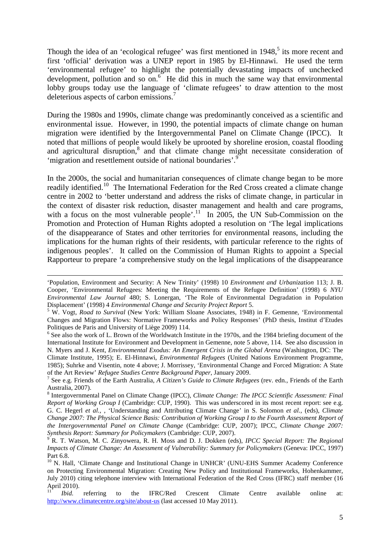Though the idea of an 'ecological refugee' was first mentioned in  $1948$ ,<sup>5</sup> its more recent and first 'official' derivation was a UNEP report in 1985 by El-Hinnawi. He used the term 'environmental refugee' to highlight the potentially devastating impacts of unchecked development, pollution and so on.<sup>6</sup> He did this in much the same way that environmental lobby groups today use the language of 'climate refugees' to draw attention to the most deleterious aspects of carbon emissions.<sup>7</sup>

During the 1980s and 1990s, climate change was predominantly conceived as a scientific and environmental issue. However, in 1990, the potential impacts of climate change on human migration were identified by the Intergovernmental Panel on Climate Change (IPCC). It noted that millions of people would likely be uprooted by shoreline erosion, coastal flooding and agricultural disruption,<sup>8</sup> and that climate change might necessitate consideration of 'migration and resettlement outside of national boundaries'.<sup>9</sup>

In the 2000s, the social and humanitarian consequences of climate change began to be more readily identified.<sup>10</sup> The International Federation for the Red Cross created a climate change centre in 2002 to 'better understand and address the risks of climate change, in particular in the context of disaster risk reduction, disaster management and health and care programs, with a focus on the most vulnerable people'.<sup>11</sup> In 2005, the UN Sub-Commission on the Promotion and Protection of Human Rights adopted a resolution on 'The legal implications of the disappearance of States and other territories for environmental reasons, including the implications for the human rights of their residents, with particular reference to the rights of indigenous peoples'. It called on the Commission of Human Rights to appoint a Special Rapporteur to prepare 'a comprehensive study on the legal implications of the disappearance

<sup>&#</sup>x27;Population, Environment and Security: A New Trinity' (1998) 10 *Environment and Urbanization* 113; J. B. Cooper, 'Environmental Refugees: Meeting the Requirements of the Refugee Definition' (1998) 6 *NYU Environmental Law Journal* 480; S. Lonergan, 'The Role of Environmental Degradation in Population Displacement' (1998) 4 *Environmental Change and Security Project Report* 5.

<sup>5</sup> W. Vogt, *Road to Survival* (New York: William Sloane Associates, 1948) in F. Gemenne, 'Environmental Changes and Migration Flows: Normative Frameworks and Policy Responses' (PhD thesis, Institut d'Etudes Politiques de Paris and University of Liège 2009) 114.

<sup>&</sup>lt;sup>6</sup> See also the work of L. Brown of the Worldwatch Institute in the 1970s, and the 1984 briefing document of the International Institute for Environment and Development in Gemenne, note 5 above, 114. See also discussion in N. Myers and J. Kent, *Environmental Exodus: An Emergent Crisis in the Global Arena* (Washington, DC: The Climate Institute, 1995); E. El-Hinnawi, *Environmental Refugees* (United Nations Environment Programme, 1985); Suhrke and Visentin, note 4 above; J. Morrissey, 'Environmental Change and Forced Migration: A State of the Art Review' *Refugee Studies Centre Background Paper*, January 2009.

<sup>7</sup> See e.g. Friends of the Earth Australia, *A Citizen's Guide to Climate Refugees* (rev. edn., Friends of the Earth Australia, 2007).

<sup>8</sup> Intergovernmental Panel on Climate Change (IPCC), *Climate Change: The IPCC Scientific Assessment: Final Report of Working Group I* (Cambridge: CUP, 1990). This was underscored in its most recent report: see e.g. G. C. Hegerl *et al.,* , 'Understanding and Attributing Climate Change' in S. Solomon *et al.,* (eds), *Climate Change 2007: The Physical Science Basis: Contribution of Working Group I to the Fourth Assessment Report of the Intergovernmental Panel on Climate Change* (Cambridge: CUP, 2007); IPCC, *Climate Change 2007:* 

*Synthesis Report: Summary for Policymakers* (Cambridge: CUP, 2007). 9 R. T. Watson, M. C. Zinyowera, R. H. Moss and D. J. Dokken (eds), *IPCC Special Report: The Regional Impacts of Climate Change: An Assessment of Vulnerability: Summary for Policymakers* (Geneva: IPCC, 1997) Part 6.8.

<sup>&</sup>lt;sup>10</sup> N. Hall, 'Climate Change and Institutional Change in UNHCR' (UNU-EHS Summer Academy Conference on Protecting Environmental Migration: Creating New Policy and Institutional Frameworks, Hohenkammer, July 2010) citing telephone interview with International Federation of the Red Cross (IFRC) staff member (16 April 2010).

<sup>&</sup>lt;sup>11</sup> *Ibid.* referring to the IFRC/Red Crescent Climate Centre available online at: http://www.climatecentre.org/site/about-us (last accessed 10 May 2011).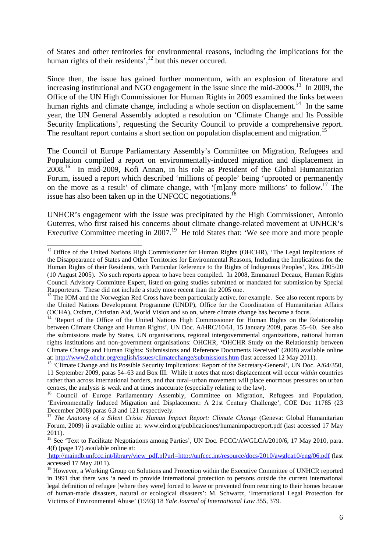of States and other territories for environmental reasons, including the implications for the human rights of their residents', $^{12}$  but this never occured.

Since then, the issue has gained further momentum, with an explosion of literature and increasing institutional and NGO engagement in the issue since the mid- $2000s$ .<sup>13</sup> In 2009, the Office of the UN High Commissioner for Human Rights in 2009 examined the links between human rights and climate change, including a whole section on displacement.<sup>14</sup> In the same year, the UN General Assembly adopted a resolution on 'Climate Change and Its Possible Security Implications', requesting the Security Council to provide a comprehensive report. The resultant report contains a short section on population displacement and migration.<sup>15</sup>

The Council of Europe Parliamentary Assembly's Committee on Migration, Refugees and Population compiled a report on environmentally-induced migration and displacement in 2008.<sup>16</sup> In mid-2009, Kofi Annan, in his role as President of the Global Humanitarian Forum, issued a report which described 'millions of people' being 'uprooted or permanently on the move as a result' of climate change, with '[m]any more millions' to follow.<sup>17</sup> The issue has also been taken up in the UNFCCC negotiations.<sup>18</sup>

UNHCR's engagement with the issue was precipitated by the High Commissioner, Antonio Guterres, who first raised his concerns about climate change-related movement at UNHCR's Executive Committee meeting in 2007.<sup>19</sup> He told States that: 'We see more and more people

<sup>&</sup>lt;sup>12</sup> Office of the United Nations High Commissioner for Human Rights (OHCHR), 'The Legal Implications of the Disappearance of States and Other Territories for Environmental Reasons, Including the Implications for the Human Rights of their Residents, with Particular Reference to the Rights of Indigenous Peoples', Res. 2005/20 (10 August 2005). No such reports appear to have been compiled. In 2008, Emmanuel Decaux, Human Rights Council Advisory Committee Expert, listed on-going studies submitted or mandated for submission by Special Rapporteurs. These did not include a study more recent than the 2005 one.

<sup>&</sup>lt;sup>13</sup> The IOM and the Norwegian Red Cross have been particularly active, for example. See also recent reports by the United Nations Development Programme (UNDP), Office for the Coordination of Humanitarian Affairs (OCHA), Oxfam, Christian Aid, World Vision and so on, where climate change has become a focus.

<sup>&</sup>lt;sup>14</sup> 'Report of the Office of the United Nations High Commissioner for Human Rights on the Relationship between Climate Change and Human Rights', UN Doc. A/HRC/10/61, 15 January 2009, paras 55–60. See also the submissions made by States, UN organisations, regional intergovernmental organizations, national human rights institutions and non-government organisations: OHCHR, 'OHCHR Study on the Relationship between Climate Change and Human Rights: Submissions and Reference Documents Received' (2008) available online at: http://www2.ohchr.org/english/issues/climatechange/submissions.htm (last accessed 12 May 2011).

<sup>&</sup>lt;sup>15</sup> 'Climate Change and Its Possible Security Implications: Report of the Secretary-General', UN Doc. A/64/350, 11 September 2009, paras 54–63 and Box III. While it notes that most displacement will occur *within* countries rather than across international borders, and that rural–urban movement will place enormous pressures on urban centres, the analysis is weak and at times inaccurate (especially relating to the law).

<sup>&</sup>lt;sup>16</sup> Council of Europe Parliamentary Assembly, Committee on Migration, Refugees and Population, 'Environmentally Induced Migration and Displacement: A 21st Century Challenge', COE Doc 11785 (23 December 2008) paras 6.3 and 121 respectively.

<sup>&</sup>lt;sup>17</sup> *The Anatomy of a Silent Crisis: Human Impact Report: Climate Change* (Geneva: Global Humanitarian Forum, 2009) ii available online at: www.eird.org/publicaciones/humanimpactreport.pdf (last accessed 17 May 2011).

<sup>&</sup>lt;sup>18</sup> See 'Text to Facilitate Negotiations among Parties', UN Doc. FCCC/AWGLCA/2010/6, 17 May 2010, para. 4(f) (page 17) available online at:

http://maindb.unfccc.int/library/view\_pdf.pl?url=http://unfccc.int/resource/docs/2010/awglca10/eng/06.pdf (last accessed 17 May 2011).

<sup>&</sup>lt;sup>19</sup> However, a Working Group on Solutions and Protection within the Executive Committee of UNHCR reported in 1991 that there was 'a need to provide international protection to persons outside the current international legal definition of refugee [where they were] forced to leave or prevented from returning to their homes because of human-made disasters, natural or ecological disasters': M. Schwartz, 'International Legal Protection for Victims of Environmental Abuse' (1993) 18 *Yale Journal of International Law* 355, 379.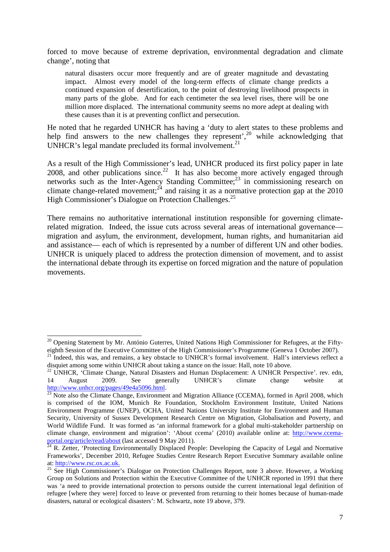forced to move because of extreme deprivation, environmental degradation and climate change', noting that

natural disasters occur more frequently and are of greater magnitude and devastating impact. Almost every model of the long-term effects of climate change predicts a continued expansion of desertification, to the point of destroying livelihood prospects in many parts of the globe. And for each centimeter the sea level rises, there will be one million more displaced. The international community seems no more adept at dealing with these causes than it is at preventing conflict and persecution.

He noted that he regarded UNHCR has having a 'duty to alert states to these problems and help find answers to the new challenges they represent',<sup>20</sup> while acknowledging that UNHCR's legal mandate precluded its formal involvement.<sup>21</sup>

As a result of the High Commissioner's lead, UNHCR produced its first policy paper in late 2008, and other publications since.<sup>22</sup> It has also become more actively engaged through networks such as the Inter-Agency Standing Committee; $^{23}$  in commissioning research on climate change-related movement;<sup>24</sup> and raising it as a normative protection gap at the  $2010$ High Commissioner's Dialogue on Protection Challenges.<sup>25</sup>

There remains no authoritative international institution responsible for governing climaterelated migration. Indeed, the issue cuts across several areas of international governance migration and asylum, the environment, development, human rights, and humanitarian aid and assistance— each of which is represented by a number of different UN and other bodies. UNHCR is uniquely placed to address the protection dimension of movement, and to assist the international debate through its expertise on forced migration and the nature of population movements.

<sup>&</sup>lt;sup>20</sup> Opening Statement by Mr. António Guterres, United Nations High Commissioner for Refugees, at the Fiftyeighth Session of the Executive Committee of the High Commissioner's Programme (Geneva 1 October 2007).

<sup>&</sup>lt;sup>21</sup> Indeed, this was, and remains, a key obstacle to UNHCR's formal involvement. Hall's interviews reflect a disquiet among some within UNHCR about taking a stance on the issue: Hall, note 10 above.

<sup>&</sup>lt;sup>22</sup> UNHCR, 'Climate Change, Natural Disasters and Human Displacement: A UNHCR Perspective'. rev. edn, 14 August 2009. See generally UNHCR's climate change website at http://www.unhcr.org/pages/49e4a5096.html.

<sup>&</sup>lt;sup>23</sup> Note also the Climate Change, Environment and Migration Alliance (CCEMA), formed in April 2008, which is comprised of the IOM, Munich Re Foundation, Stockholm Environment Institute, United Nations Environment Programme (UNEP), OCHA, United Nations University Institute for Environment and Human Security, University of Sussex Development Research Centre on Migration, Globalisation and Poverty, and World Wildlife Fund. It was formed as 'an informal framework for a global multi-stakeholder partnership on climate change, environment and migration': 'About ccema' (2010) available online at: http://www.ccemaportal.org/article/read/about (last accessed 9 May 2011).

 $^{24}$  R. Zetter, 'Protecting Environmentally Displaced People: Developing the Capacity of Legal and Normative Frameworks', December 2010, Refugee Studies Centre Research Report Executive Summary available online at: http://www.rsc.ox.ac.uk.

<sup>&</sup>lt;sup>25</sup> See High Commissioner's Dialogue on Protection Challenges Report, note 3 above. However, a Working Group on Solutions and Protection within the Executive Committee of the UNHCR reported in 1991 that there was 'a need to provide international protection to persons outside the current international legal definition of refugee [where they were] forced to leave or prevented from returning to their homes because of human-made disasters, natural or ecological disasters': M. Schwartz, note 19 above, 379.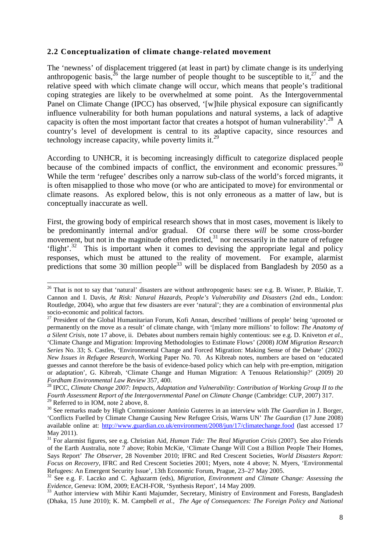#### **2.2 Conceptualization of climate change-related movement**

The 'newness' of displacement triggered (at least in part) by climate change is its underlying anthropogenic basis,  $^{26}$  the large number of people thought to be susceptible to it,  $^{27}$  and the relative speed with which climate change will occur, which means that people's traditional coping strategies are likely to be overwhelmed at some point. As the Intergovernmental Panel on Climate Change (IPCC) has observed, '[w]hile physical exposure can significantly influence vulnerability for both human populations and natural systems, a lack of adaptive capacity is often the most important factor that creates a hotspot of human vulnerability'.<sup>28</sup> A country's level of development is central to its adaptive capacity, since resources and technology increase capacity, while poverty limits it.<sup>29</sup>

According to UNHCR, it is becoming increasingly difficult to categorize displaced people because of the combined impacts of conflict, the environment and economic pressures.<sup>30</sup> While the term 'refugee' describes only a narrow sub-class of the world's forced migrants, it is often misapplied to those who move (or who are anticipated to move) for environmental or climate reasons. As explored below, this is not only erroneous as a matter of law, but is conceptually inaccurate as well.

First, the growing body of empirical research shows that in most cases, movement is likely to be predominantly internal and/or gradual. Of course there *will* be some cross-border movement, but not in the magnitude often predicted, $3<sup>1</sup>$  nor necessarily in the nature of refugee 'flight'.<sup>32</sup> This is important when it comes to devising the appropriate legal and policy responses, which must be attuned to the reality of movement. For example, alarmist predictions that some 30 million people<sup>33</sup> will be displaced from Bangladesh by 2050 as a

<sup>&</sup>lt;sup>26</sup> That is not to say that 'natural' disasters are without anthropogenic bases: see e.g. B. Wisner, P. Blaikie, T. Cannon and I. Davis, *At Risk: Natural Hazards, People's Vulnerability and Disasters* (2nd edn., London: Routledge, 2004), who argue that few disasters are ever 'natural'; they are a combination of environmental *plus* socio-economic and political factors.

<sup>&</sup>lt;sup>27</sup> President of the Global Humanitarian Forum, Kofi Annan, described 'millions of people' being 'uprooted or permanently on the move as a result' of climate change, with '[m]any more millions' to follow: *The Anatomy of a Silent Crisis*, note 17 above, ii. Debates about numbers remain highly contentious: see e.g. D. Kniveton *et al.,*  'Climate Change and Migration: Improving Methodologies to Estimate Flows' (2008) *IOM Migration Research Series* No. 33; S. Castles, 'Environmental Change and Forced Migration: Making Sense of the Debate' (2002) *New Issues in Refugee Research,* Working Paper No. 70. As Kibreab notes, numbers are based on 'educated guesses and cannot therefore be the basis of evidence-based policy which can help with pre-emption, mitigation or adaptation', G. Kibreab, 'Climate Change and Human Migration: A Tenuous Relationship?' (2009) 20 *Fordham Environmental Law Review* 357, 400.

<sup>28</sup> IPCC, *Climate Change 2007: Impacts, Adaptation and Vulnerability*: *Contribution of Working Group II to the Fourth Assessment Report of the Intergovernmental Panel on Climate Change* (Cambridge: CUP, 2007) 317. <sup>29</sup> Referred to in IOM, note 2 above, 8.

<sup>30</sup> See remarks made by High Commissioner António Guterres in an interview with *The Guardian* in J. Borger, 'Conflicts Fuelled by Climate Change Causing New Refugee Crisis, Warns UN' *The Guardian* (17 June 2008) available online at: http://www.guardian.co.uk/environment/2008/jun/17/climatechange.food (last accessed 17 May 2011).

<sup>31</sup> For alarmist figures, see e.g. Christian Aid, *Human Tide: The Real Migration Crisis* (2007). See also Friends of the Earth Australia, note 7 above; Robin McKie, 'Climate Change Will Cost a Billion People Their Homes, Says Report' *The Observer*, 28 November 2010; IFRC and Red Crescent Societies, *World Disasters Report: Focus on Recovery,* IFRC and Red Crescent Societies 2001; Myers, note 4 above; N. Myers, 'Environmental Refugees: An Emergent Security Issue', 13th Economic Forum, Prague, 23–27 May 2005.

<sup>32</sup> See e.g. F. Laczko and C. Aghazarm (eds), *Migration, Environment and Climate Change: Assessing the Evidence*, Geneva: IOM, 2009; EACH-FOR, 'Synthesis Report', 14 May 2009.

<sup>&</sup>lt;sup>33</sup> Author interview with Mihir Kanti Majumder, Secretary, Ministry of Environment and Forests, Bangladesh (Dhaka, 15 June 2010); K. M. Campbell *et al., The Age of Consequences: The Foreign Policy and National*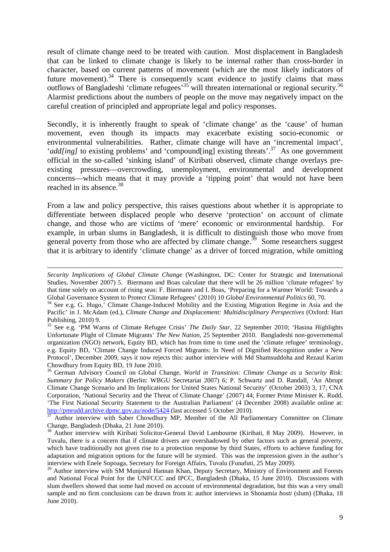result of climate change need to be treated with caution. Most displacement in Bangladesh that can be linked to climate change is likely to be internal rather than cross-border in character, based on current patterns of movement (which are the most likely indicators of future movement).<sup>34</sup> There is consequently scant evidence to justify claims that mass outflows of Bangladeshi 'climate refugees'<sup>35</sup> will threaten international or regional security.<sup>36</sup> Alarmist predictions about the numbers of people on the move may negatively impact on the careful creation of principled and appropriate legal and policy responses.

Secondly, it is inherently fraught to speak of 'climate change' as the 'cause' of human movement, even though its impacts may exacerbate existing socio-economic or environmental vulnerabilities. Rather, climate change will have an 'incremental impact', '*add[ing]* to existing problems' and 'compound[ing] existing threats'.<sup>37</sup> As one government official in the so-called 'sinking island' of Kiribati observed, climate change overlays preexisting pressures—overcrowding, unemployment, environmental and development concerns—which means that it may provide a 'tipping point' that would not have been reached in its absence.<sup>38</sup>

From a law and policy perspective, this raises questions about whether it is appropriate to differentiate between displaced people who deserve 'protection' on account of climate change, and those who are victims of 'mere' economic or environmental hardship. For example, in urban slums in Bangladesh, it is difficult to distinguish those who move from general poverty from those who are affected by climate change.<sup>39</sup> Some researchers suggest that it is arbitrary to identify 'climate change' as a driver of forced migration, while omitting

*Security Implications of Global Climate Change* (Washington, DC: Center for Strategic and International Studies, November 2007) 5. Biermann and Boas calculate that there will be 26 million 'climate refugees' by that time solely on account of rising seas: F. Biermann and I. Boas, 'Preparing for a Warmer World: Towards a Global Governance System to Protect Climate Refugees' (2010) 10 *Global Environmental Politics* 60, 70.

<sup>&</sup>lt;sup>34</sup> See e.g. G. Hugo,<sup>'</sup> Climate Change-Induced Mobility and the Existing Migration Regime in Asia and the Pacific' in J. McAdam (ed.), *Climate Change and Displacement: Multidisciplinary Perspectives* (Oxford: Hart Publishing, 2010) 9.

<sup>35</sup> See e.g. 'PM Warns of Climate Refugee Crisis' *The Daily Star,* 22 September 2010; 'Hasina Highlights Unfortunate Plight of Climate Migrants' *The New Nation*, 25 September 2010. Bangladeshi non-governmental organization (NGO) network, Equity BD, which has from time to time used the 'climate refugee' terminology, e.g. Equity BD, 'Climate Change Induced Forced Migrants: In Need of Dignified Recognition under a New Protocol', December 2009, says it now rejects this: author interview with Md Shamsuddoha and Rezaul Karim Chowdhury from Equity BD, 19 June 2010.

<sup>&</sup>lt;sup>36</sup> German Advisory Council on Global Change, *World in Transition: Climate Change as a Security Risk: Summary for Policy Makers* (Berlin: WBGU Secretariat 2007) 6; P. Schwartz and D. Randall, 'An Abrupt Climate Change Scenario and Its Implications for United States National Security' (October 2003) 3, 17; CNA Corporation, 'National Security and the Threat of Climate Change' (2007) 44; Former Prime Minister K. Rudd, 'The First National Security Statement to the Australian Parliament' (4 December 2008) available online at: http://pmrudd.archive.dpmc.gov.au/node/5424 (last accessed 5 October 2010).

<sup>37</sup> Author interview with Saber Chowdhury MP, Member of the All Parliamentary Committee on Climate Change, Bangladesh (Dhaka, 21 June 2010).

<sup>&</sup>lt;sup>38</sup> Author interview with Kiribati Solicitor-General David Lambourne (Kiribati, 8 May 2009). However, in Tuvalu, there is a concern that if climate drivers are overshadowed by other factors such as general poverty, which have traditionally not given rise to a protection response by third States, efforts to achieve funding for adaptation and migration options for the future will be stymied. This was the impression given in the author's interview with Enele Sopoaga, Secretary for Foreign Affairs, Tuvalu (Funafuti, 25 May 2009).

<sup>&</sup>lt;sup>39</sup> Author interview with SM Munjurul Hannan Khan, Deputy Secretary, Ministry of Environment and Forests and National Focal Point for the UNFCCC and IPCC, Bangladesh (Dhaka, 15 June 2010). Discussions with slum dwellers showed that some had moved on account of environmental degradation, but this was a very small sample and no firm conclusions can be drawn from it: author interviews in Shonamia *bosti* (slum) (Dhaka, 18 June 2010).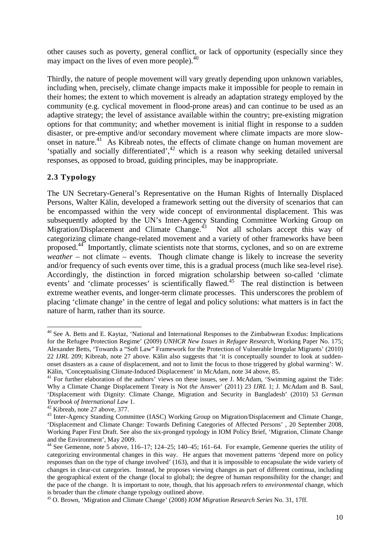other causes such as poverty, general conflict, or lack of opportunity (especially since they may impact on the lives of even more people).<sup>40</sup>

Thirdly, the nature of people movement will vary greatly depending upon unknown variables, including when, precisely, climate change impacts make it impossible for people to remain in their homes; the extent to which movement is already an adaptation strategy employed by the community (e.g. cyclical movement in flood-prone areas) and can continue to be used as an adaptive strategy; the level of assistance available within the country; pre-existing migration options for that community; and whether movement is initial flight in response to a sudden disaster, or pre-emptive and/or secondary movement where climate impacts are more slowonset in nature.<sup>41</sup> As Kibreab notes, the effects of climate change on human movement are 'spatially and socially differentiated', $42$  which is a reason why seeking detailed universal responses, as opposed to broad, guiding principles, may be inappropriate.

#### **2.3 Typology**

 $\overline{a}$ 

The UN Secretary-General's Representative on the Human Rights of Internally Displaced Persons, Walter Kälin, developed a framework setting out the diversity of scenarios that can be encompassed within the very wide concept of environmental displacement. This was subsequently adopted by the UN's Inter-Agency Standing Committee Working Group on Migration/Displacement and Climate Change.<sup>43</sup> Not all scholars accept this way of categorizing climate change-related movement and a variety of other frameworks have been proposed.<sup>44</sup> Importantly, climate scientists note that storms, cyclones, and so on are extreme *weather* – not climate – events. Though climate change is likely to increase the severity and/or frequency of such events over time, this is a gradual process (much like sea-level rise). Accordingly, the distinction in forced migration scholarship between so-called 'climate events' and 'climate processes' is scientifically flawed.<sup>45</sup> The real distinction is between extreme weather events, and longer-term climate processes. This underscores the problem of placing 'climate change' in the centre of legal and policy solutions: what matters is in fact the nature of harm, rather than its source.

<sup>&</sup>lt;sup>40</sup> See A. Betts and E. Kaytaz, 'National and International Responses to the Zimbabwean Exodus: Implications for the Refugee Protection Regime' (2009) *UNHCR New Issues in Refugee Research,* Working Paper No. 175; Alexander Betts, 'Towards a "Soft Law" Framework for the Protection of Vulnerable Irregular Migrants' (2010) 22 *IJRL* 209; Kibreab, note 27 above. Kälin also suggests that 'it is conceptually sounder to look at suddenonset disasters as a cause of displacement, and not to limit the focus to those triggered by global warming': W. Kälin, 'Conceptualising Climate-Induced Displacement' in McAdam, note 34 above, 85.

<sup>&</sup>lt;sup>41</sup> For further elaboration of the authors' views on these issues, see J. McAdam, 'Swimming against the Tide: Why a Climate Change Displacement Treaty is Not *the* Answer' (2011) 23 *IJRL* 1; J. McAdam and B. Saul, 'Displacement with Dignity: Climate Change, Migration and Security in Bangladesh' (2010) 53 *German Yearbook of International Law* 1.

<sup>42</sup> Kibreab, note 27 above, 377.

<sup>43</sup> Inter-Agency Standing Committee (IASC) Working Group on Migration/Displacement and Climate Change, 'Displacement and Climate Change: Towards Defining Categories of Affected Persons' , 20 September 2008, Working Paper First Draft. See also the six-pronged typology in IOM Policy Brief, 'Migration, Climate Change and the Environment', May 2009.

 $44$  See Gemenne, note 5 above, 116–17; 124–25; 140–45; 161–64. For example, Gemenne queries the utility of categorizing environmental changes in this way. He argues that movement patterns 'depend more on policy responses than on the type of change involved' (163), and that it is impossible to encapsulate the wide variety of changes in clear-cut categories. Instead, he proposes viewing changes as part of different continua, including the geographical extent of the change (local to global); the degree of human responsibility for the change; and the pace of the change. It is important to note, though, that his approach refers to *environmental* change, which is broader than the *climate* change typology outlined above.

<sup>45</sup> O. Brown, 'Migration and Climate Change' (2008) *IOM Migration Research Series* No. 31, 17ff.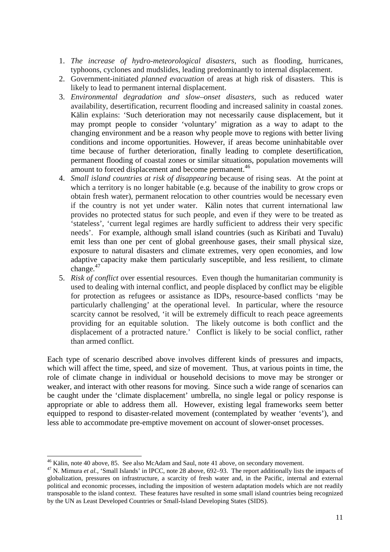- 1. *The increase of hydro-meteorological disasters*, such as flooding, hurricanes, typhoons, cyclones and mudslides, leading predominantly to internal displacement.
- 2. Government-initiated *planned evacuation* of areas at high risk of disasters. This is likely to lead to permanent internal displacement.
- 3. *Environmental degradation and slow–onset disasters*, such as reduced water availability, desertification, recurrent flooding and increased salinity in coastal zones. Kälin explains: 'Such deterioration may not necessarily cause displacement, but it may prompt people to consider 'voluntary' migration as a way to adapt to the changing environment and be a reason why people move to regions with better living conditions and income opportunities. However, if areas become uninhabitable over time because of further deterioration, finally leading to complete desertification, permanent flooding of coastal zones or similar situations, population movements will amount to forced displacement and become permanent.<sup>46</sup>
- 4. *Small island countries at risk of disappearing* because of rising seas. At the point at which a territory is no longer habitable (e.g. because of the inability to grow crops or obtain fresh water), permanent relocation to other countries would be necessary even if the country is not yet under water. Kälin notes that current international law provides no protected status for such people, and even if they were to be treated as 'stateless', 'current legal regimes are hardly sufficient to address their very specific needs'. For example, although small island countries (such as Kiribati and Tuvalu) emit less than one per cent of global greenhouse gases, their small physical size, exposure to natural disasters and climate extremes, very open economies, and low adaptive capacity make them particularly susceptible, and less resilient, to climate change. $47$
- 5. *Risk of conflict* over essential resources. Even though the humanitarian community is used to dealing with internal conflict, and people displaced by conflict may be eligible for protection as refugees or assistance as IDPs, resource-based conflicts 'may be particularly challenging' at the operational level. In particular, where the resource scarcity cannot be resolved, 'it will be extremely difficult to reach peace agreements providing for an equitable solution. The likely outcome is both conflict and the displacement of a protracted nature.' Conflict is likely to be social conflict, rather than armed conflict.

Each type of scenario described above involves different kinds of pressures and impacts, which will affect the time, speed, and size of movement. Thus, at various points in time, the role of climate change in individual or household decisions to move may be stronger or weaker, and interact with other reasons for moving. Since such a wide range of scenarios can be caught under the 'climate displacement' umbrella, no single legal or policy response is appropriate or able to address them all. However, existing legal frameworks seem better equipped to respond to disaster-related movement (contemplated by weather 'events'), and less able to accommodate pre-emptive movement on account of slower-onset processes.

<sup>46</sup> Kälin, note 40 above, 85. See also McAdam and Saul, note 41 above, on secondary movement.

<sup>&</sup>lt;sup>47</sup> N. Mimura *et al.*, 'Small Islands' in IPCC, note 28 above, 692–93. The report additionally lists the impacts of globalization, pressures on infrastructure, a scarcity of fresh water and, in the Pacific, internal and external political and economic processes, including the imposition of western adaptation models which are not readily transposable to the island context. These features have resulted in some small island countries being recognized by the UN as Least Developed Countries or Small-Island Developing States (SIDS).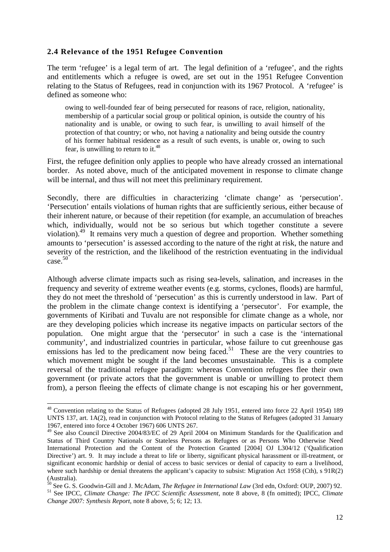#### **2.4 Relevance of the 1951 Refugee Convention**

The term 'refugee' is a legal term of art. The legal definition of a 'refugee', and the rights and entitlements which a refugee is owed, are set out in the 1951 Refugee Convention relating to the Status of Refugees, read in conjunction with its 1967 Protocol. A 'refugee' is defined as someone who:

owing to well-founded fear of being persecuted for reasons of race, religion, nationality, membership of a particular social group or political opinion, is outside the country of his nationality and is unable, or owing to such fear, is unwilling to avail himself of the protection of that country; or who, not having a nationality and being outside the country of his former habitual residence as a result of such events, is unable or, owing to such fear, is unwilling to return to it.<sup>48</sup>

First, the refugee definition only applies to people who have already crossed an international border. As noted above, much of the anticipated movement in response to climate change will be internal, and thus will not meet this preliminary requirement.

Secondly, there are difficulties in characterizing 'climate change' as 'persecution'. 'Persecution' entails violations of human rights that are sufficiently serious, either because of their inherent nature, or because of their repetition (for example, an accumulation of breaches which, individually, would not be so serious but which together constitute a severe violation).<sup>49</sup> It remains very much a question of degree and proportion. Whether something amounts to 'persecution' is assessed according to the nature of the right at risk, the nature and severity of the restriction, and the likelihood of the restriction eventuating in the individual  $case.<sup>50</sup>$ 

Although adverse climate impacts such as rising sea-levels, salination, and increases in the frequency and severity of extreme weather events (e.g. storms, cyclones, floods) are harmful, they do not meet the threshold of 'persecution' as this is currently understood in law. Part of the problem in the climate change context is identifying a 'persecutor'. For example, the governments of Kiribati and Tuvalu are not responsible for climate change as a whole, nor are they developing policies which increase its negative impacts on particular sectors of the population. One might argue that the 'persecutor' in such a case is the 'international community', and industrialized countries in particular, whose failure to cut greenhouse gas emissions has led to the predicament now being faced.<sup>51</sup> These are the very countries to which movement might be sought if the land becomes unsustainable. This is a complete reversal of the traditional refugee paradigm: whereas Convention refugees flee their own government (or private actors that the government is unable or unwilling to protect them from), a person fleeing the effects of climate change is not escaping his or her government,

<sup>48</sup> Convention relating to the Status of Refugees (adopted 28 July 1951, entered into force 22 April 1954) 189 UNTS 137, art. 1A(2), read in conjunction with Protocol relating to the Status of Refugees (adopted 31 January 1967, entered into force 4 October 1967) 606 UNTS 267.

<sup>49</sup> See also Council Directive 2004/83/EC of 29 April 2004 on Minimum Standards for the Qualification and Status of Third Country Nationals or Stateless Persons as Refugees or as Persons Who Otherwise Need International Protection and the Content of the Protection Granted [2004] OJ L304/12 ('Qualification Directive') art. 9. It may include a threat to life or liberty, significant physical harassment or ill-treatment, or significant economic hardship or denial of access to basic services or denial of capacity to earn a livelihood, where such hardship or denial threatens the applicant's capacity to subsist: Migration Act 1958 (Cth), s  $91R(2)$  $\frac{1}{50}$  such  $\frac{1}{50}$ .

<sup>50</sup> See G. S. Goodwin-Gill and J. McAdam, *The Refugee in International Law* (3rd edn, Oxford: OUP, 2007) 92. <sup>51</sup> See IPCC, *Climate Change: The IPCC Scientific Assessment*, note 8 above, 8 (fn omitted); IPCC, *Climate Change 2007: Synthesis Report*, note 8 above, 5; 6; 12; 13.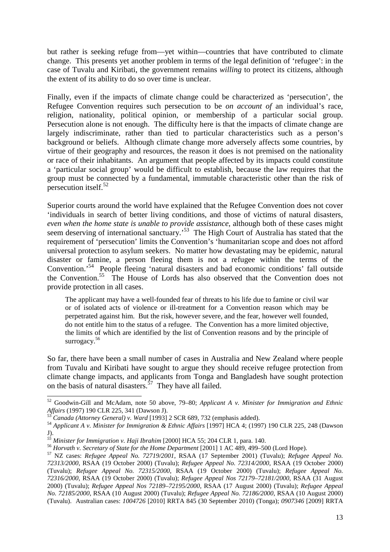but rather is seeking refuge from—yet within—countries that have contributed to climate change. This presents yet another problem in terms of the legal definition of 'refugee': in the case of Tuvalu and Kiribati, the government remains *willing* to protect its citizens, although the extent of its ability to do so over time is unclear.

Finally, even if the impacts of climate change could be characterized as 'persecution', the Refugee Convention requires such persecution to be *on account of* an individual's race, religion, nationality, political opinion, or membership of a particular social group. Persecution alone is not enough. The difficulty here is that the impacts of climate change are largely indiscriminate, rather than tied to particular characteristics such as a person's background or beliefs. Although climate change more adversely affects some countries, by virtue of their geography and resources, the reason it does is not premised on the nationality or race of their inhabitants. An argument that people affected by its impacts could constitute a 'particular social group' would be difficult to establish, because the law requires that the group must be connected by a fundamental, immutable characteristic other than the risk of  $p$ ersecution itself.<sup>52</sup>

Superior courts around the world have explained that the Refugee Convention does not cover 'individuals in search of better living conditions, and those of victims of natural disasters, *even when the home state is unable to provide assistance*, although both of these cases might seem deserving of international sanctuary.<sup>53</sup> The High Court of Australia has stated that the requirement of 'persecution' limits the Convention's 'humanitarian scope and does not afford universal protection to asylum seekers. No matter how devastating may be epidemic, natural disaster or famine, a person fleeing them is not a refugee within the terms of the Convention.'<sup>54</sup> People fleeing 'natural disasters and bad economic conditions' fall outside the Convention.<sup>55</sup> The House of Lords has also observed that the Convention does not provide protection in all cases.

The applicant may have a well-founded fear of threats to his life due to famine or civil war or of isolated acts of violence or ill-treatment for a Convention reason which may be perpetrated against him. But the risk, however severe, and the fear, however well founded, do not entitle him to the status of a refugee. The Convention has a more limited objective, the limits of which are identified by the list of Convention reasons and by the principle of surrogacy.<sup>56</sup>

So far, there have been a small number of cases in Australia and New Zealand where people from Tuvalu and Kiribati have sought to argue they should receive refugee protection from climate change impacts, and applicants from Tonga and Bangladesh have sought protection on the basis of natural disasters.<sup>57</sup> They have all failed.

<sup>52</sup> Goodwin-Gill and McAdam, note 50 above, 79–80; *Applicant A v. Minister for Immigration and Ethnic Affairs* (1997) 190 CLR 225, 341 (Dawson J).

<sup>53</sup> *Canada (Attorney General) v. Ward* [1993] 2 SCR 689, 732 (emphasis added).

<sup>54</sup> *Applicant A v. Minister for Immigration & Ethnic Affairs* [1997] HCA 4; (1997) 190 CLR 225, 248 (Dawson J).

*<sup>55</sup> Minister for Immigration v. Haji Ibrahim* [2000] HCA 55; 204 CLR 1, para. 140.

<sup>56</sup> *Horvath v. Secretary of State for the Home Department* [2001] 1 AC 489, 499–500 (Lord Hope).

<sup>57</sup> NZ cases: *Refugee Appeal No. 72719/2001*, RSAA (17 September 2001) (Tuvalu); *Refugee Appeal No. 72313/2000*, RSAA (19 October 2000) (Tuvalu); *Refugee Appeal No. 72314/2000*, RSAA (19 October 2000) (Tuvalu); *Refugee Appeal No. 72315/2000*, RSAA (19 October 2000) (Tuvalu); *Refugee Appeal No. 72316/2000*, RSAA (19 October 2000) (Tuvalu); *Refugee Appeal Nos 72179–72181/2000*, RSAA (31 August 2000) (Tuvalu); *Refugee Appeal Nos 72189–72195/2000*, RSAA (17 August 2000) (Tuvalu); *Refugee Appeal No. 72185/2000*, RSAA (10 August 2000) (Tuvalu); *Refugee Appeal No. 72186/2000*, RSAA (10 August 2000) (Tuvalu). Australian cases: *1004726* [2010] RRTA 845 (30 September 2010) (Tonga); *0907346* [2009] RRTA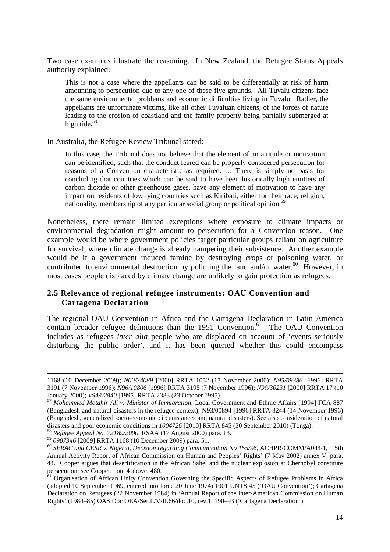Two case examples illustrate the reasoning. In New Zealand, the Refugee Status Appeals authority explained:

This is not a case where the appellants can be said to be differentially at risk of harm amounting to persecution due to any one of these five grounds. All Tuvalu citizens face the same environmental problems and economic difficulties living in Tuvalu. Rather, the appellants are unfortunate victims, like all other Tuvaluan citizens, of the forces of nature leading to the erosion of coastland and the family property being partially submerged at high tide. $58$ 

In Australia, the Refugee Review Tribunal stated:

In this case, the Tribunal does not believe that the element of an attitude or motivation can be identified, such that the conduct feared can be properly considered persecution for reasons of a Convention characteristic as required. … There is simply no basis for concluding that countries which can be said to have been historically high emitters of carbon dioxide or other greenhouse gases, have any element of motivation to have any impact on residents of low lying countries such as Kiribati, either for their race, religion, nationality, membership of any particular social group or political opinion.<sup>59</sup>

Nonetheless, there remain limited exceptions where exposure to climate impacts or environmental degradation might amount to persecution for a Convention reason. One example would be where government policies target particular groups reliant on agriculture for survival, where climate change is already hampering their subsistence. Another example would be if a government induced famine by destroying crops or poisoning water, or contributed to environmental destruction by polluting the land and/or water.<sup>60</sup> However, in most cases people displaced by climate change are unlikely to gain protection as refugees.

#### **2.5 Relevance of regional refugee instruments: OAU Convention and Cartagena Declaration**

The regional OAU Convention in Africa and the Cartagena Declaration in Latin America contain broader refugee definitions than the  $1951$  Convention.<sup>61</sup> The OAU Convention includes as refugees *inter alia* people who are displaced on account of 'events seriously disturbing the public order', and it has been queried whether this could encompass

<sup>1168 (10</sup> December 2009); *N00/34089* [2000] RRTA 1052 (17 November 2000); *N95/09386* [1996] RRTA 3191 (7 November 1996); *N96/10806* [1996] RRTA 3195 (7 November 1996); *N99/30231* [2000] RRTA 17 (10 January 2000); *V94/02840* [1995] RRTA 2383 (23 October 1995).

<sup>57</sup> *Mohammed Motahir Ali v. Minister of Immigration*, Local Government and Ethnic Affairs [1994] FCA 887 (Bangladesh and natural disasters in the refugee context); N93/00894 [1996] RRTA 3244 (14 November 1996) (Bangladesh, generalized socio-economic circumstances and natural disasters). See also consideration of natural disasters and poor economic conditions in *1004726* [2010] RRTA 845 (30 September 2010) (Tonga).

<sup>58</sup> *Refugee Appeal No. 72189/2000*, RSAA (17 August 2000) para. 13.

<sup>59</sup> *0907346* [2009] RRTA 1168 (10 December 2009) para. 51.

<sup>60</sup> *SERAC and CESR v. Nigeria*, *Decision regarding Communication No 155/96*, ACHPR/COMM/A044/1, '15th Annual Activity Report of African Commission on Human and Peoples' Rights' (7 May 2002) annex V, para. 44. Cooper argues that desertification in the African Sahel and the nuclear explosion at Chernobyl constitute persecution: see Cooper, note 4 above, 480.

<sup>&</sup>lt;sup>61</sup> Organisation of African Unity Convention Governing the Specific Aspects of Refugee Problems in Africa (adopted 10 September 1969, entered into force 20 June 1974) 1001 UNTS 45 ('OAU Convention'); Cartagena Declaration on Refugees (22 November 1984) in 'Annual Report of the Inter-American Commission on Human Rights' (1984–85) OAS Doc OEA/Ser.L/V/II.66/doc.10, rev.1, 190–93 ('Cartagena Declaration').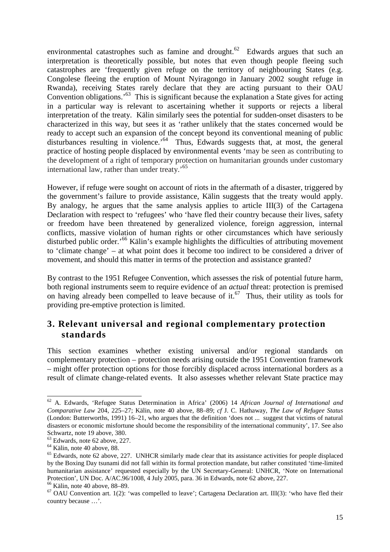environmental catastrophes such as famine and drought.<sup>62</sup> Edwards argues that such an interpretation is theoretically possible, but notes that even though people fleeing such catastrophes are 'frequently given refuge on the territory of neighbouring States (e.g. Congolese fleeing the eruption of Mount Nyiragongo in January 2002 sought refuge in Rwanda), receiving States rarely declare that they are acting pursuant to their OAU Convention obligations.<sup>63</sup> This is significant because the explanation a State gives for acting in a particular way is relevant to ascertaining whether it supports or rejects a liberal interpretation of the treaty. Kälin similarly sees the potential for sudden-onset disasters to be characterized in this way, but sees it as 'rather unlikely that the states concerned would be ready to accept such an expansion of the concept beyond its conventional meaning of public disturbances resulting in violence.<sup>64</sup> Thus, Edwards suggests that, at most, the general practice of hosting people displaced by environmental events 'may be seen as contributing to the development of a right of temporary protection on humanitarian grounds under customary international law, rather than under treaty.'<sup>65</sup>

However, if refuge were sought on account of riots in the aftermath of a disaster, triggered by the government's failure to provide assistance, Kälin suggests that the treaty would apply. By analogy, he argues that the same analysis applies to article III(3) of the Cartagena Declaration with respect to 'refugees' who 'have fled their country because their lives, safety or freedom have been threatened by generalized violence, foreign aggression, internal conflicts, massive violation of human rights or other circumstances which have seriously disturbed public order.<sup>56</sup> Kälin's example highlights the difficulties of attributing movement to 'climate change' – at what point does it become too indirect to be considered a driver of movement, and should this matter in terms of the protection and assistance granted?

By contrast to the 1951 Refugee Convention, which assesses the risk of potential future harm, both regional instruments seem to require evidence of an *actual* threat: protection is premised on having already been compelled to leave because of it.<sup>67</sup> Thus, their utility as tools for providing pre-emptive protection is limited.

## **3. Relevant universal and regional complementary protection standards**

This section examines whether existing universal and/or regional standards on complementary protection – protection needs arising outside the 1951 Convention framework – might offer protection options for those forcibly displaced across international borders as a result of climate change-related events. It also assesses whether relevant State practice may

<sup>62</sup> A. Edwards, 'Refugee Status Determination in Africa' (2006) 14 *African Journal of International and Comparative Law* 204, 225–27; Kälin, note 40 above, 88–89; *cf* J. C. Hathaway, *The Law of Refugee Status*  (London: Butterworths, 1991) 16–21, who argues that the definition 'does not ... suggest that victims of natural disasters or economic misfortune should become the responsibility of the international community', 17. See also Schwartz, note 19 above, 380.

<sup>63</sup> Edwards, note 62 above, 227.

 $64$  Kälin, note 40 above, 88.

<sup>&</sup>lt;sup>65</sup> Edwards, note 62 above, 227. UNHCR similarly made clear that its assistance activities for people displaced by the Boxing Day tsunami did not fall within its formal protection mandate, but rather constituted 'time-limited humanitarian assistance' requested especially by the UN Secretary-General: UNHCR, 'Note on International Protection', UN Doc. A/AC.96/1008, 4 July 2005, para. 36 in Edwards, note 62 above, 227.

 $66$  Kälin, note 40 above, 88–89.

 $67$  OAU Convention art. 1(2): 'was compelled to leave'; Cartagena Declaration art. III(3): 'who have fled their country because …'.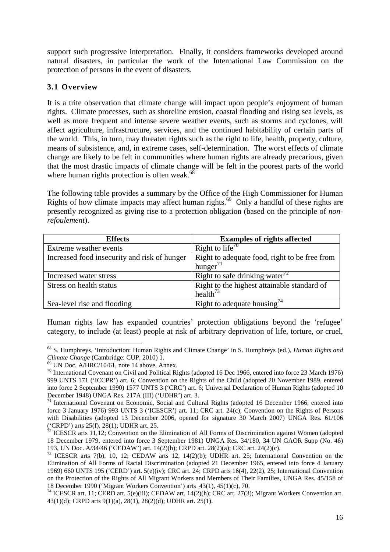support such progressive interpretation. Finally, it considers frameworks developed around natural disasters, in particular the work of the International Law Commission on the protection of persons in the event of disasters.

#### **3.1 Overview**

It is a trite observation that climate change will impact upon people's enjoyment of human rights. Climate processes, such as shoreline erosion, coastal flooding and rising sea levels, as well as more frequent and intense severe weather events, such as storms and cyclones, will affect agriculture, infrastructure, services, and the continued habitability of certain parts of the world. This, in turn, may threaten rights such as the right to life, health, property, culture, means of subsistence, and, in extreme cases, self-determination. The worst effects of climate change are likely to be felt in communities where human rights are already precarious, given that the most drastic impacts of climate change will be felt in the poorest parts of the world where human rights protection is often weak. $^{68}$ 

The following table provides a summary by the Office of the High Commissioner for Human Rights of how climate impacts may affect human rights.<sup>69</sup> Only a handful of these rights are presently recognized as giving rise to a protection obligation (based on the principle of *nonrefoulement*).

| <b>Effects</b>                               | <b>Examples of rights affected</b>                      |
|----------------------------------------------|---------------------------------------------------------|
| Extreme weather events                       | Right to life <sup>70</sup>                             |
| Increased food insecurity and risk of hunger | Right to adequate food, right to be free from           |
|                                              | hunger $^{71}$                                          |
| Increased water stress                       | Right to safe drinking water <sup><math>12</math></sup> |
| Stress on health status                      | Right to the highest attainable standard of             |
|                                              | health <sup><math>73</math></sup>                       |
| Sea-level rise and flooding                  | Right to adequate housing <sup>74</sup>                 |

Human rights law has expanded countries' protection obligations beyond the 'refugee' category, to include (at least) people at risk of arbitrary deprivation of life, torture, or cruel,

<sup>68</sup> S. Humphreys, 'Introduction: Human Rights and Climate Change' in S. Humphreys (ed.), *Human Rights and Climate Change* (Cambridge: CUP, 2010) 1.

 $69$  UN Doc. A/HRC/10/61, note 14 above, Annex.

<sup>70</sup> International Covenant on Civil and Political Rights (adopted 16 Dec 1966, entered into force 23 March 1976) 999 UNTS 171 ('ICCPR') art. 6; Convention on the Rights of the Child (adopted 20 November 1989, entered into force 2 September 1990) 1577 UNTS 3 ('CRC') art. 6; Universal Declaration of Human Rights (adopted 10 December 1948) UNGA Res. 217A (III) ('UDHR') art. 3.

<sup>&</sup>lt;sup>71</sup> International Covenant on Economic, Social and Cultural Rights (adopted 16 December 1966, entered into force 3 January 1976) 993 UNTS 3 ('ICESCR') art. 11; CRC art. 24(c); Convention on the Rights of Persons with Disabilities (adopted 13 December 2006, opened for signature 30 March 2007) UNGA Res. 61/106 ('CRPD') arts 25(f), 28(1); UDHR art. 25.

 $72$  ICESCR arts 11,12; Convention on the Elimination of All Forms of Discrimination against Women (adopted 18 December 1979, entered into force 3 September 1981) UNGA Res. 34/180, 34 UN GAOR Supp (No. 46) 193, UN Doc. A/34/46 ('CEDAW') art. 14(2)(h); CRPD art. 28(2)(a); CRC art. 24(2)(c).

<sup>&</sup>lt;sup>73</sup> ICESCR arts 7(b), 10, 12; CEDAW arts 12, 14(2)(b); UDHR art. 25; International Convention on the Elimination of All Forms of Racial Discrimination (adopted 21 December 1965, entered into force 4 January 1969) 660 UNTS 195 ('CERD') art. 5(e)(iv); CRC art. 24; CRPD arts 16(4), 22(2), 25; International Convention on the Protection of the Rights of All Migrant Workers and Members of Their Families, UNGA Res. 45/158 of 18 December 1990 ('Migrant Workers Convention') arts 43(1), 45(1)(c), 70.

<sup>74</sup> ICESCR art. 11; CERD art. 5(e)(iii); CEDAW art. 14(2)(h); CRC art. 27(3); Migrant Workers Convention art. 43(1)(d); CRPD arts 9(1)(a), 28(1), 28(2)(d); UDHR art. 25(1).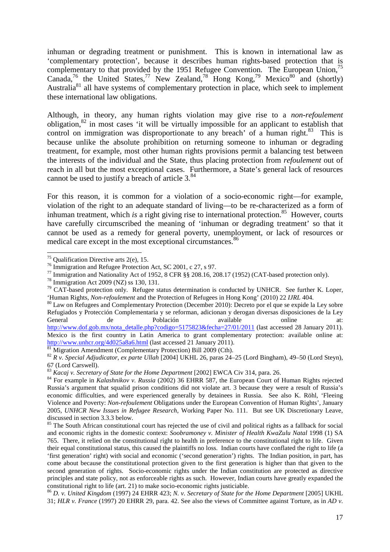inhuman or degrading treatment or punishment. This is known in international law as 'complementary protection', because it describes human rights-based protection that is complementary to that provided by the 1951 Refugee Convention. The European Union,<sup>75</sup> Canada,<sup>76</sup> the United States,<sup>77</sup> New Zealand,<sup>78</sup> Hong Kong,<sup>79</sup> Mexico<sup>80</sup> and (shortly) Australia<sup>81</sup> all have systems of complementary protection in place, which seek to implement these international law obligations.

Although, in theory, any human rights violation may give rise to a *non-refoulement* obligation, $82$  in most cases 'it will be virtually impossible for an applicant to establish that control on immigration was disproportionate to any breach' of a human right.<sup>83</sup> This is because unlike the absolute prohibition on returning someone to inhuman or degrading treatment, for example, most other human rights provisions permit a balancing test between the interests of the individual and the State, thus placing protection from *refoulement* out of reach in all but the most exceptional cases. Furthermore, a State's general lack of resources cannot be used to justify a breach of article  $3.^{84}$ .

For this reason, it is common for a violation of a socio-economic right—for example, violation of the right to an adequate standard of living—to be re-characterized as a form of inhuman treatment, which *is* a right giving rise to international protection.<sup>85</sup> However, courts have carefully circumscribed the meaning of 'inhuman or degrading treatment' so that it cannot be used as a remedy for general poverty, unemployment, or lack of resources or medical care except in the most exceptional circumstances.<sup>86</sup>

l

<sup>80</sup> Law on Refugees and Complementary Protection (December 2010): Decreto por el que se expide la Ley sobre Refugiados y Protección Complementaria y se reforman, adicionan y derogan diversas disposiciones de la Ley General de Población available online at: http://www.dof.gob.mx/nota\_detalle.php?codigo=5175823&fecha=27/01/2011 (last accessed 28 January 2011).

Mexico is the first country in Latin America to grant complementary protection: available online at: http://www.unhcr.org/4d025a8a6.html (last accessed 21 January 2011).

<sup>&</sup>lt;sup>75</sup> Oualification Directive arts  $2(e)$ , 15.

<sup>&</sup>lt;sup>76</sup> Immigration and Refugee Protection Act, SC 2001, c 27, s 97.

<sup>&</sup>lt;sup>77</sup> Immigration and Nationality Act of 1952, 8 CFR §§ 208.16, 208.17 (1952) (CAT-based protection only).

<sup>78</sup> Immigration Act 2009 (NZ) ss 130, 131.

<sup>&</sup>lt;sup>79</sup> CAT-based protection only. Refugee status determination is conducted by UNHCR. See further K. Loper, 'Human Rights, *Non-refoulement* and the Protection of Refugees in Hong Kong' (2010) 22 *IJRL* 404.

<sup>81</sup> Migration Amendment (Complementary Protection) Bill 2009 (Cth).

<sup>82</sup> *R v. Special Adjudicator, ex parte Ullah* [2004] UKHL 26, paras 24–25 (Lord Bingham), 49–50 (Lord Steyn), 67 (Lord Carswell).

<sup>83</sup> *Kacaj v. Secretary of State for the Home Department* [2002] EWCA Civ 314, para. 26.

<sup>84</sup> For example in *Kalashnikov v. Russia* (2002) 36 EHRR 587, the European Court of Human Rights rejected Russia's argument that squalid prison conditions did not violate art. 3 because they were a result of Russia's economic difficulties, and were experienced generally by detainees in Russia. See also K. Röhl, 'Fleeing Violence and Poverty: *Non-refoulement* Obligations under the European Convention of Human Rights', January 2005, *UNHCR New Issues in Refugee Research,* Working Paper No. 111. But see UK Discretionary Leave, discussed in section 3.3.3 below.

<sup>&</sup>lt;sup>85</sup> The South African constitutional court has rejected the use of civil and political rights as a fallback for social and economic rights in the domestic context: *Soobramoney v. Minister of Health KwaZulu Natal* 1998 (1) SA 765. There, it relied on the constitutional right to health in preference to the constitutional right to life. Given their equal constitutional status, this caused the plaintiffs no loss. Indian courts have conflated the right to life (a 'first generation' right) with social and economic ('second generation') rights. The Indian position, in part, has come about because the constitutional protection given to the first generation is higher than that given to the second generation of rights. Socio-economic rights under the Indian constitution are protected as directive principles and state policy, not as enforceable rights as such. However, Indian courts have greatly expanded the constitutional right to life (art. 21) to make socio-economic rights justiciable.

<sup>86</sup> *D. v. United Kingdom* (1997) 24 EHRR 423; *N. v. Secretary of State for the Home Department* [2005] UKHL 31; *HLR v. France* (1997) 20 EHRR 29, para. 42. See also the views of Committee against Torture, as in *AD v.*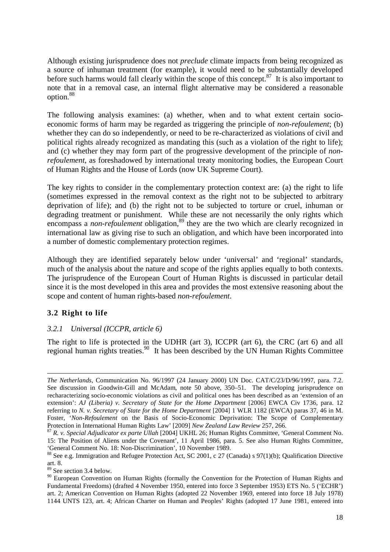Although existing jurisprudence does not *preclude* climate impacts from being recognized as a source of inhuman treatment (for example), it would need to be substantially developed before such harms would fall clearly within the scope of this concept.<sup>87</sup> It is also important to note that in a removal case, an internal flight alternative may be considered a reasonable option.<sup>88</sup>

The following analysis examines: (a) whether, when and to what extent certain socioeconomic forms of harm may be regarded as triggering the principle of *non-refoulement*; (b) whether they can do so independently, or need to be re-characterized as violations of civil and political rights already recognized as mandating this (such as a violation of the right to life); and (c) whether they may form part of the progressive development of the principle of *nonrefoulement*, as foreshadowed by international treaty monitoring bodies, the European Court of Human Rights and the House of Lords (now UK Supreme Court).

The key rights to consider in the complementary protection context are: (a) the right to life (sometimes expressed in the removal context as the right not to be subjected to arbitrary deprivation of life); and (b) the right not to be subjected to torture or cruel, inhuman or degrading treatment or punishment. While these are not necessarily the only rights which encompass a *non-refoulement* obligation,<sup>89</sup> they are the two which are clearly recognized in international law as giving rise to such an obligation, and which have been incorporated into a number of domestic complementary protection regimes.

Although they are identified separately below under 'universal' and 'regional' standards, much of the analysis about the nature and scope of the rights applies equally to both contexts. The jurisprudence of the European Court of Human Rights is discussed in particular detail since it is the most developed in this area and provides the most extensive reasoning about the scope and content of human rights-based *non-refoulement*.

#### **3.2 Right to life**

l

#### *3.2.1 Universal (ICCPR, article 6)*

The right to life is protected in the UDHR (art 3), ICCPR (art 6), the CRC (art 6) and all regional human rights treaties.<sup>90</sup> It has been described by the UN Human Rights Committee

*The Netherlands*, Communication No. 96/1997 (24 January 2000) UN Doc. CAT/C/23/D/96/1997, para. 7.2. See discussion in Goodwin-Gill and McAdam, note 50 above, 350–51. The developing jurisprudence on recharacterizing socio-economic violations as civil and political ones has been described as an 'extension of an extension': *AJ (Liberia) v. Secretary of State for the Home Department* [2006] EWCA Civ 1736, para. 12 referring to *N. v. Secretary of State for the Home Department* [2004] 1 WLR 1182 (EWCA) paras 37, 46 in M. Foster, '*Non-Refoulement* on the Basis of Socio-Economic Deprivation: The Scope of Complementary Protection in International Human Rights Law' [2009] *New Zealand Law Review* 257, 266.

<sup>87</sup> *R. v. Special Adjudicator ex parte Ullah* [2004] UKHL 26; Human Rights Committee, 'General Comment No. 15: The Position of Aliens under the Covenant', 11 April 1986, para. 5. See also Human Rights Committee, 'General Comment No. 18: Non-Discrimination', 10 November 1989.

<sup>&</sup>lt;sup>88</sup> See e.g. Immigration and Refugee Protection Act, SC 2001, c 27 (Canada) s 97(1)(b); Qualification Directive art. 8.

<sup>89</sup> See section 3.4 below.

<sup>&</sup>lt;sup>90</sup> European Convention on Human Rights (formally the Convention for the Protection of Human Rights and Fundamental Freedoms) (drafted 4 November 1950, entered into force 3 September 1953) ETS No. 5 ('ECHR') art. 2; American Convention on Human Rights (adopted 22 November 1969, entered into force 18 July 1978) 1144 UNTS 123, art. 4; African Charter on Human and Peoples' Rights (adopted 17 June 1981, entered into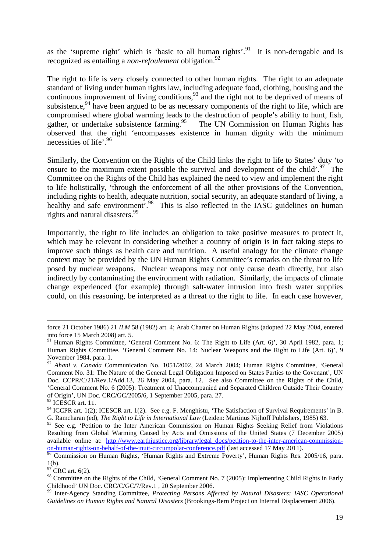as the 'supreme right' which is 'basic to all human rights'.<sup>91</sup> It is non-derogable and is recognized as entailing a *non-refoulement* obligation.<sup>92</sup>

The right to life is very closely connected to other human rights. The right to an adequate standard of living under human rights law, including adequate food, clothing, housing and the continuous improvement of living conditions,  $93$  and the right not to be deprived of means of subsistence,  $94$  have been argued to be as necessary components of the right to life, which are compromised where global warming leads to the destruction of people's ability to hunt, fish, gather, or undertake subsistence farming.<sup>95</sup> The UN Commission on Human Rights has observed that the right 'encompasses existence in human dignity with the minimum necessities of life'.<sup>96</sup>

Similarly, the Convention on the Rights of the Child links the right to life to States' duty 'to ensure to the maximum extent possible the survival and development of the child'.<sup>97</sup> The Committee on the Rights of the Child has explained the need to view and implement the right to life holistically, 'through the enforcement of all the other provisions of the Convention, including rights to health, adequate nutrition, social security, an adequate standard of living, a healthy and safe environment<sup>7</sup>.<sup>98</sup> This is also reflected in the IASC guidelines on human rights and natural disasters.<sup>99</sup>

Importantly, the right to life includes an obligation to take positive measures to protect it, which may be relevant in considering whether a country of origin is in fact taking steps to improve such things as health care and nutrition. A useful analogy for the climate change context may be provided by the UN Human Rights Committee's remarks on the threat to life posed by nuclear weapons. Nuclear weapons may not only cause death directly, but also indirectly by contaminating the environment with radiation. Similarly, the impacts of climate change experienced (for example) through salt-water intrusion into fresh water supplies could, on this reasoning, be interpreted as a threat to the right to life. In each case however,

 $\overline{a}$ 

 $\overrightarrow{97}$  CRC art. 6(2).

force 21 October 1986) 21 *ILM* 58 (1982) art. 4; Arab Charter on Human Rights (adopted 22 May 2004, entered into force 15 March 2008) art. 5.

<sup>&</sup>lt;sup>91</sup> Human Rights Committee, 'General Comment No. 6: The Right to Life (Art. 6)', 30 April 1982, para. 1; Human Rights Committee, 'General Comment No. 14: Nuclear Weapons and the Right to Life (Art. 6)', 9 November 1984, para. 1.

<sup>92</sup> *Ahani v. Canada* Communication No. 1051/2002, 24 March 2004; Human Rights Committee, 'General Comment No. 31: The Nature of the General Legal Obligation Imposed on States Parties to the Covenant', UN Doc. CCPR/C/21/Rev.1/Add.13, 26 May 2004, para. 12. See also Committee on the Rights of the Child, 'General Comment No. 6 (2005): Treatment of Unaccompanied and Separated Children Outside Their Country of Origin', UN Doc. CRC/GC/2005/6, 1 September 2005, para. 27.

<sup>&</sup>lt;sup>93</sup> ICESCR art. 11.

<sup>&</sup>lt;sup>94</sup> ICCPR art. 1(2); ICESCR art. 1(2). See e.g. F. Menghistu, 'The Satisfaction of Survival Requirements' in B. G. Ramcharan (ed), *The Right to Life in International Law* (Leiden: Martinus Nijhoff Publishers, 1985) 63.

<sup>&</sup>lt;sup>95</sup> See e.g. 'Petition to the Inter American Commission on Human Rights Seeking Relief from Violations Resulting from Global Warming Caused by Acts and Omissions of the United States (7 December 2005) available online at: http://www.earthjustice.org/library/legal\_docs/petition-to-the-inter-american-commissionon-human-rights-on-behalf-of-the-inuit-circumpolar-conference.pdf (last accessed 17 May 2011).

<sup>&</sup>lt;sup>96</sup> Commission on Human Rights, 'Human Rights and Extreme Poverty', Human Rights Res. 2005/16, para. 1(b).

<sup>98</sup> Committee on the Rights of the Child, 'General Comment No. 7 (2005): Implementing Child Rights in Early Childhood' UN Doc. CRC/C/GC/7/Rev.1 , 20 September 2006.

<sup>99</sup> Inter-Agency Standing Committee, *Protecting Persons Affected by Natural Disasters: IASC Operational Guidelines on Human Rights and Natural Disasters* (Brookings-Bern Project on Internal Displacement 2006).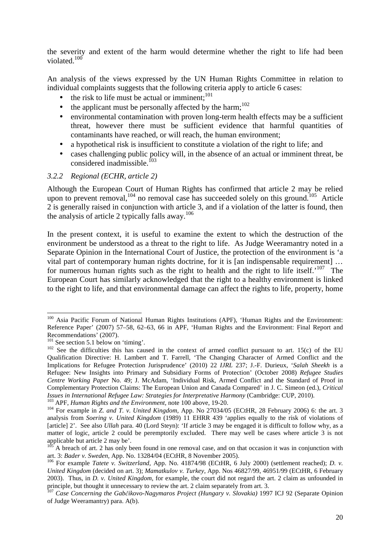the severity and extent of the harm would determine whether the right to life had been violated. $100$ 

An analysis of the views expressed by the UN Human Rights Committee in relation to individual complaints suggests that the following criteria apply to article 6 cases:

- the risk to life must be actual or imminent;<sup>101</sup>
- the applicant must be personally affected by the harm;<sup>102</sup>
- environmental contamination with proven long-term health effects may be a sufficient threat, however there must be sufficient evidence that harmful quantities of contaminants have reached, or will reach, the human environment;
- a hypothetical risk is insufficient to constitute a violation of the right to life; and
- cases challenging public policy will, in the absence of an actual or imminent threat, be considered inadmissible. $^{103}$

#### *3.2.2 Regional (ECHR, article 2)*

Although the European Court of Human Rights has confirmed that article 2 may be relied upon to prevent removal,  $^{104}$  no removal case has succeeded solely on this ground.<sup>105</sup> Article 2 is generally raised in conjunction with article 3, and if a violation of the latter is found, then the analysis of article 2 typically falls away. $106$ 

In the present context, it is useful to examine the extent to which the destruction of the environment be understood as a threat to the right to life. As Judge Weeramantry noted in a Separate Opinion in the International Court of Justice, the protection of the environment is 'a vital part of contemporary human rights doctrine, for it is [an indispensable requirement] … for numerous human rights such as the right to health and the right to life itself.<sup>'107</sup> The European Court has similarly acknowledged that the right to a healthy environment is linked to the right to life, and that environmental damage can affect the rights to life, property, home

 $\overline{a}$ 

<sup>3</sup> APF, *Human Rights and the Environment*, note 100 above, 19-20.

<sup>100</sup> Asia Pacific Forum of National Human Rights Institutions (APF), 'Human Rights and the Environment: Reference Paper' (2007) 57–58, 62–63, 66 in APF, 'Human Rights and the Environment: Final Report and Recommendations' (2007).

<sup>&</sup>lt;sup>101</sup> See section 5.1 below on 'timing'.

 $102$  See the difficulties this has caused in the context of armed conflict pursuant to art. 15(c) of the EU Qualification Directive: H. Lambert and T. Farrell, 'The Changing Character of Armed Conflict and the Implications for Refugee Protection Jurisprudence' (2010) 22 *IJRL* 237; J.-F. Durieux, '*Salah Sheekh* is a Refugee: New Insights into Primary and Subsidiary Forms of Protection' (October 2008) *Refugee Studies Centre Working Paper* No. 49; J. McAdam, 'Individual Risk, Armed Conflict and the Standard of Proof in Complementary Protection Claims: The European Union and Canada Compared' in J. C. Simeon (ed.), *Critical Issues in International Refugee Law: Strategies for Interpretative Harmony* (Cambridge: CUP, 2010).

<sup>&</sup>lt;sup>104</sup> For example in *Z. and T. v. United Kingdom*, App. No 27034/05 (ECtHR, 28 February 2006) 6: the art. 3 analysis from *Soering v. United Kingdom* (1989) 11 EHRR 439 'applies equally to the risk of violations of [article] 2'. See also *Ullah* para. 40 (Lord Steyn): 'If article 3 may be engaged it is difficult to follow why, as a matter of logic, article 2 could be peremptorily excluded. There may well be cases where article 3 is not applicable but article 2 may be'.

A breach of art. 2 has only been found in one removal case, and on that occasion it was in conjunction with art. 3: *Bader v. Sweden,* App. No. 13284/04 (ECtHR, 8 November 2005).

<sup>106</sup> For example *Tatete v. Switzerland,* App. No. 41874/98 (ECtHR, 6 July 2000) (settlement reached); *D. v. United Kingdom* (decided on art. 3); *Mamatkulov v. Turkey,* App. Nos 46827/99, 46951/99 (ECtHR, 6 February 2003). Thus, in *D. v. United Kingdom*, for example, the court did not regard the art. 2 claim as unfounded in principle, but thought it unnecessary to review the art. 2 claim separately from art. 3.

<sup>107</sup> *Case Concerning the Gab*č*ikovo-Nagymaros Project (Hungary v. Slovakia)* 1997 ICJ 92 (Separate Opinion of Judge Weeramantry) para. A(b).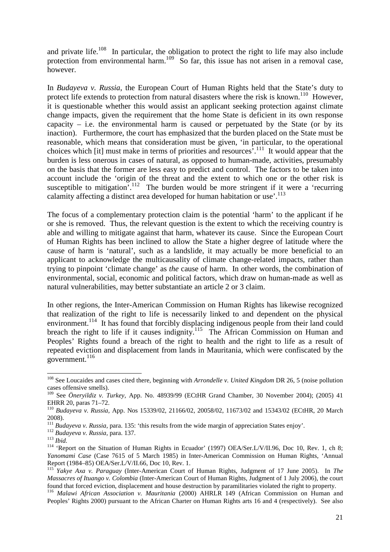and private life.<sup>108</sup> In particular, the obligation to protect the right to life may also include protection from environmental harm.<sup>109</sup> So far, this issue has not arisen in a removal case, however.

In *Budayeva v. Russia*, the European Court of Human Rights held that the State's duty to protect life extends to protection from natural disasters where the risk is known.<sup>110</sup> However, it is questionable whether this would assist an applicant seeking protection against climate change impacts, given the requirement that the home State is deficient in its own response capacity  $-$  i.e. the environmental harm is caused or perpetuated by the State (or by its inaction). Furthermore, the court has emphasized that the burden placed on the State must be reasonable, which means that consideration must be given, 'in particular, to the operational choices which [it] must make in terms of priorities and resources<sup>7.111</sup> It would appear that the burden is less onerous in cases of natural, as opposed to human-made, activities, presumably on the basis that the former are less easy to predict and control. The factors to be taken into account include the 'origin of the threat and the extent to which one or the other risk is susceptible to mitigation<sup>7</sup>.<sup>112</sup> The burden would be more stringent if it were a 'recurring calamity affecting a distinct area developed for human habitation or use'.<sup>113</sup>

The focus of a complementary protection claim is the potential 'harm' to the applicant if he or she is removed. Thus, the relevant question is the extent to which the receiving country is able and willing to mitigate against that harm, whatever its cause. Since the European Court of Human Rights has been inclined to allow the State a higher degree of latitude where the cause of harm is 'natural', such as a landslide, it may actually be more beneficial to an applicant to acknowledge the multicausality of climate change-related impacts, rather than trying to pinpoint 'climate change' as *the* cause of harm. In other words, the combination of environmental, social, economic and political factors, which draw on human-made as well as natural vulnerabilities, may better substantiate an article 2 or 3 claim.

In other regions, the Inter-American Commission on Human Rights has likewise recognized that realization of the right to life is necessarily linked to and dependent on the physical environment.<sup>114</sup> It has found that forcibly displacing indigenous people from their land could breach the right to life if it causes indignity.<sup>115</sup> The African Commission on Human and Peoples' Rights found a breach of the right to health and the right to life as a result of repeated eviction and displacement from lands in Mauritania, which were confiscated by the government.<sup>116</sup>

<sup>108</sup> See Loucaides and cases cited there, beginning with *Arrondelle v. United Kingdom* DR 26, 5 (noise pollution cases offensive smells).

<sup>109</sup> See *Öneryildiz v. Turkey,* App. No. 48939/99 (ECtHR Grand Chamber, 30 November 2004); (2005) 41 EHRR 20, paras 71–72.

<sup>110</sup> *Budayeva v. Russia,* App. Nos 15339/02, 21166/02, 20058/02, 11673/02 and 15343/02 (ECtHR, 20 March 2008).

<sup>&</sup>lt;sup>111</sup> *Budayeva v. Russia, para.* 135: 'this results from the wide margin of appreciation States enjoy'.

<sup>112</sup> *Budayeva v. Russia,* para. 137. *Budayeva v. Russia, para.* 137.<br><sup>112</sup> *Budayeva v. Russia, para.* 137.

<sup>&</sup>lt;sup>114</sup> 'Report on the Situation of Human Rights in Ecuador' (1997) OEA/Ser.L/V/II.96, Doc 10, Rev. 1, ch 8; *Yanomami Case* (Case 7615 of 5 March 1985) in Inter-American Commission on Human Rights, 'Annual Report (1984–85) OEA/Ser.L/V/II.66, Doc 10, Rev. 1.

<sup>115</sup> *Yakye Axa v. Paraguay* (Inter-American Court of Human Rights, Judgment of 17 June 2005). In *The Massacres of Ituango v. Colombia* (Inter-American Court of Human Rights, Judgment of 1 July 2006), the court found that forced eviction, displacement and house destruction by paramilitaries violated the right to property.

<sup>116</sup> *Malawi African Association v. Mauritania* (2000) AHRLR 149 (African Commission on Human and Peoples' Rights 2000) pursuant to the African Charter on Human Rights arts 16 and 4 (respectively). See also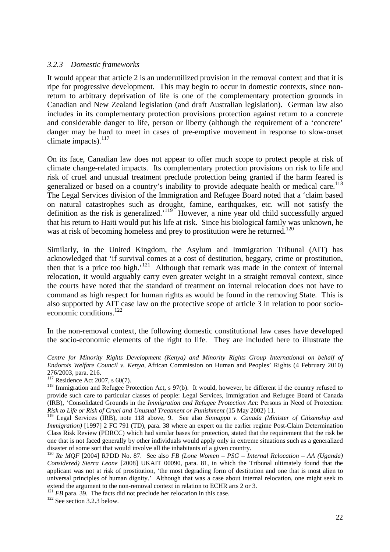#### *3.2.3 Domestic frameworks*

It would appear that article 2 is an underutilized provision in the removal context and that it is ripe for progressive development. This may begin to occur in domestic contexts, since nonreturn to arbitrary deprivation of life is one of the complementary protection grounds in Canadian and New Zealand legislation (and draft Australian legislation). German law also includes in its complementary protection provisions protection against return to a concrete and considerable danger to life, person or liberty (although the requirement of a 'concrete' danger may be hard to meet in cases of pre-emptive movement in response to slow-onset climate impacts). $117$ 

On its face, Canadian law does not appear to offer much scope to protect people at risk of climate change-related impacts. Its complementary protection provisions on risk to life and risk of cruel and unusual treatment preclude protection being granted if the harm feared is generalized or based on a country's inability to provide adequate health or medical care.<sup>118</sup> The Legal Services division of the Immigration and Refugee Board noted that a 'claim based on natural catastrophes such as drought, famine, earthquakes, etc. will not satisfy the definition as the risk is generalized.<sup>'119</sup> However, a nine year old child successfully argued that his return to Haiti would put his life at risk. Since his biological family was unknown, he was at risk of becoming homeless and prey to prostitution were he returned.<sup>120</sup>

Similarly, in the United Kingdom, the Asylum and Immigration Tribunal (AIT) has acknowledged that 'if survival comes at a cost of destitution, beggary, crime or prostitution, then that is a price too high.<sup>'121</sup> Although that remark was made in the context of internal relocation, it would arguably carry even greater weight in a straight removal context, since the courts have noted that the standard of treatment on internal relocation does not have to command as high respect for human rights as would be found in the removing State. This is also supported by AIT case law on the protective scope of article 3 in relation to poor socioeconomic conditions.<sup>122</sup>

In the non-removal context, the following domestic constitutional law cases have developed the socio-economic elements of the right to life. They are included here to illustrate the

l

<sup>121</sup> *FB* para. 39. The facts did not preclude her relocation in this case.

<sup>122</sup> See section 3.2.3 below.

*Centre for Minority Rights Development (Kenya) and Minority Rights Group International on behalf of Endorois Welfare Council v. Kenya*, African Commission on Human and Peoples' Rights (4 February 2010) 276/2003, para. 216.

 $117$  Residence Act 2007, s 60(7).

<sup>&</sup>lt;sup>118</sup> Immigration and Refugee Protection Act, s 97(b). It would, however, be different if the country refused to provide such care to particular classes of people: Legal Services, Immigration and Refugee Board of Canada (IRB), 'Consolidated Grounds in the *Immigration and Refugee Protection Act*: Persons in Need of Protection: *Risk to Life or Risk of Cruel and Unusual Treatment or Punishment* (15 May 2002) 11.

<sup>119</sup> Legal Services (IRB), note 118 above, 9. See also *Sinnappu v. Canada (Minister of Citizenship and Immigration*) [1997] 2 FC 791 (TD), para. 38 where an expert on the earlier regime Post-Claim Determination Class Risk Review (PDRCC) which had similar bases for protection, stated that the requirement that the risk be one that is not faced generally by other individuals would apply only in extreme situations such as a generalized disaster of some sort that would involve all the inhabitants of a given country.

<sup>&</sup>lt;sup>120</sup> *Re MOF* [2004] RPDD No. 87. See also *FB* (Lone Women – PSG – Internal Relocation – AA (Uganda) *Considered) Sierra Leone* [2008] UKAIT 00090, para. 81, in which the Tribunal ultimately found that the applicant was not at risk of prostitution, 'the most degrading form of destitution and one that is most alien to universal principles of human dignity.' Although that was a case about internal relocation, one might seek to extend the argument to the non-removal context in relation to ECHR arts 2 or 3.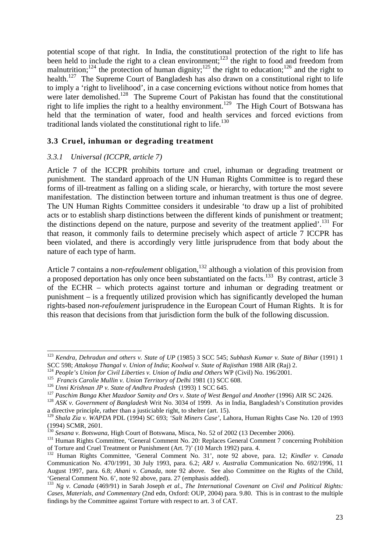potential scope of that right. In India, the constitutional protection of the right to life has been held to include the right to a clean environment;<sup>123</sup> the right to food and freedom from malnutrition;<sup>124</sup> the protection of human dignity;<sup>125</sup> the right to education;<sup>126</sup> and the right to health.<sup>127</sup> The Supreme Court of Bangladesh has also drawn on a constitutional right to life to imply a 'right to livelihood', in a case concerning evictions without notice from homes that were later demolished.<sup>128</sup> The Supreme Court of Pakistan has found that the constitutional right to life implies the right to a healthy environment.<sup>129</sup> The High Court of Botswana has held that the termination of water, food and health services and forced evictions from traditional lands violated the constitutional right to life.<sup>130</sup>

#### **3.3 Cruel, inhuman or degrading treatment**

#### *3.3.1 Universal (ICCPR, article 7)*

l

Article 7 of the ICCPR prohibits torture and cruel, inhuman or degrading treatment or punishment. The standard approach of the UN Human Rights Committee is to regard these forms of ill-treatment as falling on a sliding scale, or hierarchy, with torture the most severe manifestation. The distinction between torture and inhuman treatment is thus one of degree. The UN Human Rights Committee considers it undesirable 'to draw up a list of prohibited acts or to establish sharp distinctions between the different kinds of punishment or treatment; the distinctions depend on the nature, purpose and severity of the treatment applied'.<sup>131</sup> For that reason, it commonly fails to determine precisely which aspect of article 7 ICCPR has been violated, and there is accordingly very little jurisprudence from that body about the nature of each type of harm.

Article 7 contains a *non-refoulement* obligation,<sup>132</sup> although a violation of this provision from a proposed deportation has only once been substantiated on the facts.<sup>133</sup> By contrast, article 3 of the ECHR – which protects against torture and inhuman or degrading treatment or punishment – is a frequently utilized provision which has significantly developed the human rights-based *non-refoulement* jurisprudence in the European Court of Human Rights. It is for this reason that decisions from that jurisdiction form the bulk of the following discussion.

<sup>123</sup> *Kendra, Dehradun and others v. State of UP* (1985) 3 SCC 545; *Subhash Kumar v. State of Bihar* (1991) 1 SCC 598; *Attakoya Thangal v. Union of India*; *Koolwal v. State of Rajisthan* 1988 AIR (Raj) 2.

<sup>124</sup> *People's Union for Civil Liberties v. Union of India and Others* WP (Civil) No. 196/2001.

<sup>125</sup> *Francis Carolie Mullin v. Union Territory of Delhi* 1981 (1) SCC 608.

<sup>126</sup> *Unni Krishnan JP v. State of Andhra Pradesh* (1993) 1 SCC 645.

<sup>&</sup>lt;sup>127</sup> Paschim Banga Khet Mazdoor Samity and Ors v. State of West Bengal and Another (1996) AIR SC 2426.

<sup>128</sup> *ASK v. Government of Bangladesh* Writ No. 3034 of 1999. As in India, Bangladesh's Constitution provides a directive principle, rather than a justiciable right, to shelter (art. 15).

<sup>129</sup> *Shala Zia v. WAPDA* PDL (1994) SC 693; *'Salt Miners Case'*, Lahora, Human Rights Case No. 120 of 1993 (1994) SCMR, 2601.

<sup>130</sup> *Sesana v. Botswana*, High Court of Botswana, Misca, No. 52 of 2002 (13 December 2006).

<sup>&</sup>lt;sup>131</sup> Human Rights Committee, 'General Comment No. 20: Replaces General Comment 7 concerning Prohibition of Torture and Cruel Treatment or Punishment (Art. 7)' (10 March 1992) para. 4.

<sup>132</sup> Human Rights Committee, 'General Comment No. 31', note 92 above, para. 12; *Kindler v. Canada*  Communication No. 470/1991, 30 July 1993, para. 6.2; *ARJ v. Australia* Communication No. 692/1996, 11 August 1997, para. 6.8; *Ahani v. Canada,* note 92 above. See also Committee on the Rights of the Child, 'General Comment No. 6', note 92 above, para. 27 (emphasis added).

<sup>133</sup> *Ng v. Canada* (469/91) in Sarah Joseph *et al., The International Covenant on Civil and Political Rights: Cases, Materials, and Commentary* (2nd edn, Oxford: OUP, 2004) para. 9.80. This is in contrast to the multiple findings by the Committee against Torture with respect to art. 3 of CAT.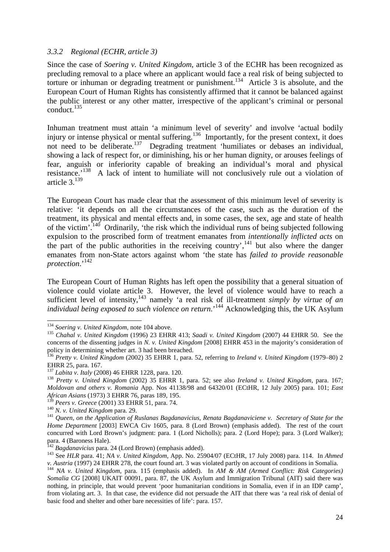#### *3.3.2 Regional (ECHR, article 3)*

Since the case of *Soering v. United Kingdom*, article 3 of the ECHR has been recognized as precluding removal to a place where an applicant would face a real risk of being subjected to torture or inhuman or degrading treatment or punishment.<sup>134</sup> Article 3 is absolute, and the European Court of Human Rights has consistently affirmed that it cannot be balanced against the public interest or any other matter, irrespective of the applicant's criminal or personal  $\text{conduct.}^{135}$ 

Inhuman treatment must attain 'a minimum level of severity' and involve 'actual bodily injury or intense physical or mental suffering.<sup>136</sup> Importantly, for the present context, it does not need to be deliberate.<sup>137</sup> Degrading treatment 'humiliates or debases an individual, showing a lack of respect for, or diminishing, his or her human dignity, or arouses feelings of fear, anguish or inferiority capable of breaking an individual's moral and physical resistance.'<sup>138</sup> A lack of intent to humiliate will not conclusively rule out a violation of article  $3.139$ 

The European Court has made clear that the assessment of this minimum level of severity is relative: 'it depends on all the circumstances of the case, such as the duration of the treatment, its physical and mental effects and, in some cases, the sex, age and state of health of the victim'.<sup>140</sup> Ordinarily, 'the risk which the individual runs of being subjected following expulsion to the proscribed form of treatment emanates from *intentionally inflicted acts* on the part of the public authorities in the receiving country',<sup>141</sup> but also where the danger emanates from non-State actors against whom 'the state has *failed to provide reasonable protection*.'<sup>142</sup>

The European Court of Human Rights has left open the possibility that a general situation of violence could violate article 3. However, the level of violence would have to reach a sufficient level of intensity,<sup>143</sup> namely 'a real risk of ill-treatment *simply by virtue of an individual being exposed to such violence on return*.<sup>144</sup> Acknowledging this, the UK Asylum

<sup>134</sup> *Soering v. United Kingdom*, note 104 above.

<sup>135</sup> *Chahal v. United Kingdom* (1996) 23 EHRR 413; *Saadi v. United Kingdom* (2007) 44 EHRR 50. See the concerns of the dissenting judges in *N. v. United Kingdom* [2008] EHRR 453 in the majority's consideration of policy in determining whether art. 3 had been breached.

<sup>136</sup> *Pretty v. United Kingdom* (2002) 35 EHRR 1, para. 52, referring to *Ireland v. United Kingdom* (1979–80) 2 EHRR 25, para. 167.

<sup>137</sup> *Labita v. Italy* (2008) 46 EHRR 1228, para. 120.

<sup>138</sup> *Pretty v. United Kingdom* (2002) 35 EHRR 1, para. 52; see also *Ireland v. United Kingdom*, para. 167; *Moldovan and others v. Romania* App. Nos 41138/98 and 64320/01 (ECtHR, 12 July 2005) para. 101; *East African Asians* (1973) 3 EHRR 76, paras 189, 195.

<sup>139</sup> *Peers v. Greece* (2001) 33 EHRR 51, para. 74.

<sup>140</sup> *N. v. United Kingdom* para. 29.

<sup>141</sup> *Queen, on the Application of Ruslanas Bagdanavicius, Renata Bagdanaviciene v. Secretary of State for the Home Department* [2003] EWCA Civ 1605, para. 8 (Lord Brown) (emphasis added). The rest of the court concurred with Lord Brown's judgment: para. 1 (Lord Nicholls); para. 2 (Lord Hope); para. 3 (Lord Walker); para. 4 (Baroness Hale).

<sup>142</sup> *Bagdanavicius* para. 24 (Lord Brown) (emphasis added).

<sup>143</sup> See *HLR* para. 41; *NA v. United Kingdom,* App. No. 25904/07 (ECtHR, 17 July 2008) para. 114. In *Ahmed v. Austria* (1997) 24 EHRR 278, the court found art. 3 was violated partly on account of conditions in Somalia.

<sup>144</sup> *NA v. United Kingdom,* para. 115 (emphasis added). In *AM & AM (Armed Conflict: Risk Categories) Somalia CG* [2008] UKAIT 00091, para. 87, the UK Asylum and Immigration Tribunal (AIT) said there was nothing, in principle, that would prevent 'poor humanitarian conditions in Somalia, even if in an IDP camp', from violating art. 3. In that case, the evidence did not persuade the AIT that there was 'a real risk of denial of basic food and shelter and other bare necessities of life': para. 157.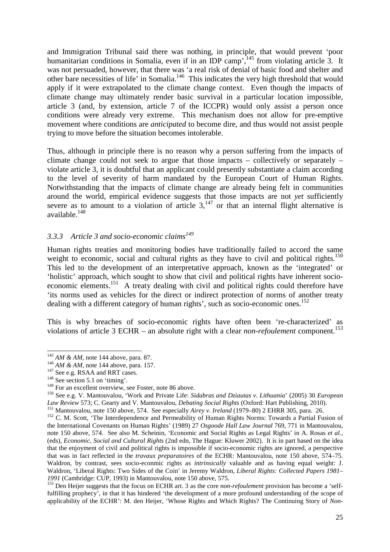and Immigration Tribunal said there was nothing, in principle, that would prevent 'poor humanitarian conditions in Somalia, even if in an IDP camp',<sup>145</sup> from violating article 3. It was not persuaded, however, that there was 'a real risk of denial of basic food and shelter and other bare necessities of life' in Somalia.<sup>146</sup> This indicates the very high threshold that would apply if it were extrapolated to the climate change context. Even though the impacts of climate change may ultimately render basic survival in a particular location impossible, article 3 (and, by extension, article 7 of the ICCPR) would only assist a person once conditions were already very extreme. This mechanism does not allow for pre-emptive movement where conditions are *anticipated* to become dire, and thus would not assist people trying to move before the situation becomes intolerable.

Thus, although in principle there is no reason why a person suffering from the impacts of climate change could not seek to argue that those impacts – collectively or separately – violate article 3, it is doubtful that an applicant could presently substantiate a claim according to the level of severity of harm mandated by the European Court of Human Rights. Notwithstanding that the impacts of climate change are already being felt in communities around the world, empirical evidence suggests that those impacts are not *yet* sufficiently severe as to amount to a violation of article  $3<sup>147</sup>$  or that an internal flight alternative is available.<sup>148</sup>

## *3.3.3 Article 3 and socio-economic claims<sup>149</sup>*

Human rights treaties and monitoring bodies have traditionally failed to accord the same weight to economic, social and cultural rights as they have to civil and political rights.<sup>150</sup> This led to the development of an interpretative approach, known as the 'integrated' or 'holistic' approach, which sought to show that civil and political rights have inherent socioeconomic elements.<sup>151</sup> A treaty dealing with civil and political rights could therefore have 'its norms used as vehicles for the direct or indirect protection of norms of another treaty dealing with a different category of human rights', such as socio-economic ones.<sup>152</sup>

This is why breaches of socio-economic rights have often been 're-characterized' as violations of article 3 ECHR – an absolute right with a clear *non-refoulement* component.<sup>153</sup>

<sup>145</sup> *AM & AM,* note 144 above, para. 87.

<sup>146</sup> *AM & AM,* note 144 above, para. 157.

<sup>&</sup>lt;sup>147</sup> See e.g. RSAA and RRT cases.

 $148$  See section 5.1 on 'timing'.

<sup>&</sup>lt;sup>149</sup> For an excellent overview, see Foster, note 86 above.

<sup>150</sup> See e.g. V. Mantouvalou, 'Work and Private Life: *Sidabras and Dziautas v. Lithuania*' (2005) 30 *European Law Review* 573; C. Gearty and V. Mantouvalou, *Debating Social Rights* (Oxford: Hart Publishing, 2010).

<sup>151</sup> Mantouvalou, note 150 above, 574. See especially *Airey v. Ireland* (1979–80) 2 EHRR 305, para. 26.

<sup>&</sup>lt;sup>152</sup> C. M. Scott, 'The Interdependence and Permeability of Human Rights Norms: Towards a Partial Fusion of the International Covenants on Human Rights' (1989) 27 *Osgoode Hall Law Journal* 769, 771 in Mantouvalou, note 150 above, 574. See also M. Scheinin, 'Economic and Social Rights as Legal Rights' in A. Rosas *et al.,*  (eds), *Economic, Social and Cultural Rights* (2nd edn, The Hague: Kluwer 2002). It is in part based on the idea that the enjoyment of civil and political rights is impossible if socio-economic rights are ignored, a perspective that was in fact reflected in the *travaux preparatoires* of the ECHR: Mantouvalou, note 150 above, 574–75. Waldron, by contrast, sees socio-econmic rights as *intrinsically* valuable and as having equal weight: J. Waldron, 'Liberal Rights: Two Sides of the Coin' in Jeremy Waldron, *Liberal Rights: Collected Papers 1981– 1991* (Cambridge: CUP, 1993) in Mantouvalou, note 150 above, 575.

<sup>153</sup> Den Heijer suggests that the focus on ECHR art. 3 as the core *non-refoulement* provision has become a 'selffulfilling prophecy', in that it has hindered 'the development of a more profound understanding of the scope of applicability of the ECHR': M. den Heijer, 'Whose Rights and Which Rights? The Continuing Story of *Non-*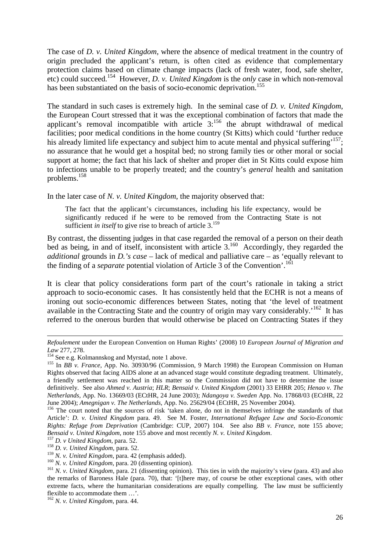The case of *D. v. United Kingdom*, where the absence of medical treatment in the country of origin precluded the applicant's return, is often cited as evidence that complementary protection claims based on climate change impacts (lack of fresh water, food, safe shelter, etc) could succeed.<sup>154</sup> However, *D. v. United Kingdom* is the *only* case in which non-removal has been substantiated on the basis of socio-economic deprivation.<sup>155</sup>

The standard in such cases is extremely high. In the seminal case of *D. v. United Kingdom*, the European Court stressed that it was the exceptional combination of factors that made the applicant's removal incompatible with article  $3$ :<sup>156</sup> the abrupt withdrawal of medical facilities; poor medical conditions in the home country (St Kitts) which could 'further reduce his already limited life expectancy and subject him to acute mental and physical suffering<sup>, 157</sup>; no assurance that he would get a hospital bed; no strong family ties or other moral or social support at home; the fact that his lack of shelter and proper diet in St Kitts could expose him to infections unable to be properly treated; and the country's *general* health and sanitation problems.<sup>158</sup>

In the later case of *N. v. United Kingdom*, the majority observed that:

The fact that the applicant's circumstances, including his life expectancy, would be significantly reduced if he were to be removed from the Contracting State is not sufficient *in itself* to give rise to breach of article 3.<sup>159</sup>

By contrast, the dissenting judges in that case regarded the removal of a person on their death bed as being, in and of itself, inconsistent with article  $3^{160}$  Accordingly, they regarded the *additional* grounds in *D.'s case* – lack of medical and palliative care – as 'equally relevant to the finding of a *separate* potential violation of Article 3 of the Convention'.<sup>161</sup>

It is clear that policy considerations form part of the court's rationale in taking a strict approach to socio-economic cases. It has consistently held that the ECHR is not a means of ironing out socio-economic differences between States, noting that 'the level of treatment available in the Contracting State and the country of origin may vary considerably.<sup>162</sup> It has referred to the onerous burden that would otherwise be placed on Contracting States if they

*Refoulement* under the European Convention on Human Rights' (2008) 10 *European Journal of Migration and Law* 277, 278.

<sup>&</sup>lt;sup>154</sup> See e.g. Kolmannskog and Myrstad, note 1 above.

<sup>155</sup> In *BB v. France*, App. No. 30930/96 (Commission, 9 March 1998) the European Commission on Human Rights observed that facing AIDS alone at an advanced stage would constitute degrading treatment. Ultimately, a friendly settlement was reached in this matter so the Commission did not have to determine the issue definitively. See also *Ahmed v. Austria*; *HLR*; *Bensaid v. United Kingdom* (2001) 33 EHRR 205; *Henao v. The Netherlands,* App. No. 13669/03 (ECtHR, 24 June 2003); *Ndangoya v. Sweden* App. No. 17868/03 (ECtHR, 22 June 2004); *Amegnigan v. The Netherlands,* App. No. 25629/04 (ECtHR, 25 November 2004).

<sup>&</sup>lt;sup>156</sup> The court noted that the sources of risk 'taken alone, do not in themselves infringe the standards of that Article': *D. v. United Kingdom* para. 49. See M. Foster, *International Refugee Law and Socio-Economic Rights: Refuge from Deprivation* (Cambridge: CUP, 2007) 104. See also *BB v. France*, note 155 above; *Bensaid v. United Kingdom*, note 155 above and most recently *N. v. United Kingdom*.

<sup>157</sup> *D. v United Kingdom,* para. 52.

<sup>158</sup> *D. v. United Kingdom,* para. 52.

<sup>159</sup> *N. v. United Kingdom,* para. 42 (emphasis added).

<sup>160</sup> *N. v. United Kingdom,* para. 20 (dissenting opinion).

<sup>&</sup>lt;sup>161</sup> *N. v. United Kingdom*, para. 21 (dissenting opinion). This ties in with the majority's view (para. 43) and also the remarks of Baroness Hale (para. 70), that: '[t]here may, of course be other exceptional cases, with other extreme facts, where the humanitarian considerations are equally compelling. The law must be sufficiently flexible to accommodate them …'.

<sup>162</sup> *N. v. United Kingdom,* para. 44.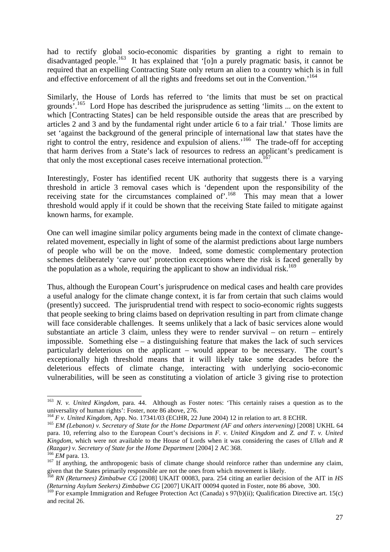had to rectify global socio-economic disparities by granting a right to remain to disadvantaged people.<sup>163</sup> It has explained that '[o]n a purely pragmatic basis, it cannot be required that an expelling Contracting State only return an alien to a country which is in full and effective enforcement of all the rights and freedoms set out in the Convention.<sup>164</sup>

Similarly, the House of Lords has referred to 'the limits that must be set on practical grounds'.<sup>165</sup> Lord Hope has described the jurisprudence as setting 'limits ... on the extent to which [Contracting States] can be held responsible outside the areas that are prescribed by articles 2 and 3 and by the fundamental right under article 6 to a fair trial.' Those limits are set 'against the background of the general principle of international law that states have the right to control the entry, residence and expulsion of aliens.<sup>'166</sup> The trade-off for accepting that harm derives from a State's lack of resources to redress an applicant's predicament is that only the most exceptional cases receive international protection.<sup>1</sup>

Interestingly, Foster has identified recent UK authority that suggests there is a varying threshold in article 3 removal cases which is 'dependent upon the responsibility of the receiving state for the circumstances complained of.<sup>168</sup> This may mean that a lower threshold would apply if it could be shown that the receiving State failed to mitigate against known harms, for example.

One can well imagine similar policy arguments being made in the context of climate changerelated movement, especially in light of some of the alarmist predictions about large numbers of people who will be on the move. Indeed, some domestic complementary protection schemes deliberately 'carve out' protection exceptions where the risk is faced generally by the population as a whole, requiring the applicant to show an individual risk.<sup>169</sup>

Thus, although the European Court's jurisprudence on medical cases and health care provides a useful analogy for the climate change context, it is far from certain that such claims would (presently) succeed. The jurisprudential trend with respect to socio-economic rights suggests that people seeking to bring claims based on deprivation resulting in part from climate change will face considerable challenges. It seems unlikely that a lack of basic services alone would substantiate an article 3 claim, unless they were to render survival – on return – entirely impossible. Something else – a distinguishing feature that makes the lack of such services particularly deleterious on the applicant – would appear to be necessary. The court's exceptionally high threshold means that it will likely take some decades before the deleterious effects of climate change, interacting with underlying socio-economic vulnerabilities, will be seen as constituting a violation of article 3 giving rise to protection

<sup>&</sup>lt;sup>163</sup> *N. v. United Kingdom*, para. 44. Although as Foster notes: 'This certainly raises a question as to the universality of human rights': Foster, note 86 above, 276.

<sup>&</sup>lt;sup>164</sup> *F v. United Kingdom*, App. No. 17341/03 (ECtHR, 22 June 2004) 12 in relation to art. 8 ECHR.

<sup>&</sup>lt;sup>165</sup> *EM (Lebanon)* v. Secretary of State for the Home Department (AF and others intervening) [2008] UKHL 64 para. 10, referring also to the European Court's decisions in *F. v. United Kingdom* and *Z. and T. v. United Kingdom*, which were not available to the House of Lords when it was considering the cases of *Ullah* and *R (Razgar) v. Secretary of State for the Home Department [2004] 2 AC 368.* 

<sup>166</sup> *EM* para. 13.

<sup>&</sup>lt;sup>167</sup> If anything, the anthropogenic basis of climate change should reinforce rather than undermine any claim, given that the States primarily responsible are not the ones from which movement is likely.

<sup>168</sup> *RN (Returnees) Zimbabwe CG* [2008] UKAIT 00083, para. 254 citing an earlier decision of the AIT in *HS (Returning Asylum Seekers) Zimbabwe CG* [2007] UKAIT 00094 quoted in Foster, note 86 above, 300.

<sup>&</sup>lt;sup>169</sup> For example Immigration and Refugee Protection Act (Canada) s 97(b)(ii); Qualification Directive art. 15(c) and recital 26.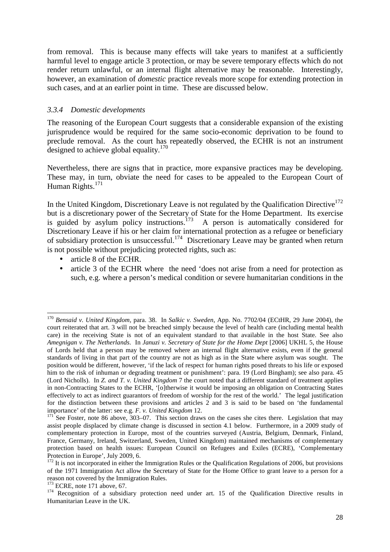from removal. This is because many effects will take years to manifest at a sufficiently harmful level to engage article 3 protection, or may be severe temporary effects which do not render return unlawful, or an internal flight alternative may be reasonable. Interestingly, however, an examination of *domestic* practice reveals more scope for extending protection in such cases, and at an earlier point in time. These are discussed below.

#### *3.3.4 Domestic developments*

The reasoning of the European Court suggests that a considerable expansion of the existing jurisprudence would be required for the same socio-economic deprivation to be found to preclude removal. As the court has repeatedly observed, the ECHR is not an instrument designed to achieve global equality.<sup>170</sup>

Nevertheless, there are signs that in practice, more expansive practices may be developing. These may, in turn, obviate the need for cases to be appealed to the European Court of Human Rights.<sup>171</sup>

In the United Kingdom, Discretionary Leave is not regulated by the Qualification Directive $172$ but is a discretionary power of the Secretary of State for the Home Department. Its exercise is guided by asylum policy instructions.<sup>173</sup> A person is automatically considered for Discretionary Leave if his or her claim for international protection as a refugee or beneficiary of subsidiary protection is unsuccessful.<sup>174</sup> Discretionary Leave may be granted when return is not possible without prejudicing protected rights, such as:

• article 8 of the ECHR.

 $\overline{a}$ 

• article 3 of the ECHR where the need 'does not arise from a need for protection as such, e.g. where a person's medical condition or severe humanitarian conditions in the

<sup>170</sup> *Bensaid v. United Kingdom,* para. 38. In *Salkic v. Sweden,* App. No. 7702/04 (ECtHR, 29 June 2004), the court reiterated that art. 3 will not be breached simply because the level of health care (including mental health care) in the receiving State is not of an equivalent standard to that available in the host State. See also *Amegnigan v. The Netherlands*. In *Januzi v. Secretary of State for the Home Dept* [2006] UKHL 5, the House of Lords held that a person may be removed where an internal flight alternative exists, even if the general standards of living in that part of the country are not as high as in the State where asylum was sought. The position would be different, however, 'if the lack of respect for human rights posed threats to his life or exposed him to the risk of inhuman or degrading treatment or punishment': para. 19 (Lord Bingham); see also para. 45 (Lord Nicholls). In *Z. and T. v. United Kingdom* 7 the court noted that a different standard of treatment applies in non-Contracting States to the ECHR, '[o]therwise it would be imposing an obligation on Contracting States effectively to act as indirect guarantors of freedom of worship for the rest of the world.' The legal justification for the distinction between these provisions and articles 2 and 3 is said to be based on 'the fundamental importance' of the latter: see e.g. *F. v. United Kingdom* 12.

 $171$  See Foster, note 86 above, 303–07. This section draws on the cases she cites there. Legislation that may assist people displaced by climate change is discussed in section 4.1 below. Furthermore, in a 2009 study of complementary protection in Europe, most of the countries surveyed (Austria, Belgium, Denmark, Finland, France, Germany, Ireland, Switzerland, Sweden, United Kingdom) maintained mechanisms of complementary protection based on health issues: European Council on Refugees and Exiles (ECRE), 'Complementary Protection in Europe', July 2009, 6.

 $172$  It is not incorporated in either the Immigration Rules or the Qualification Regulations of 2006, but provisions of the 1971 Immigration Act allow the Secretary of State for the Home Office to grant leave to a person for a reason not covered by the Immigration Rules.

 $173$  ECRE, note 171 above, 67.

<sup>&</sup>lt;sup>174</sup> Recognition of a subsidiary protection need under art. 15 of the Qualification Directive results in Humanitarian Leave in the UK.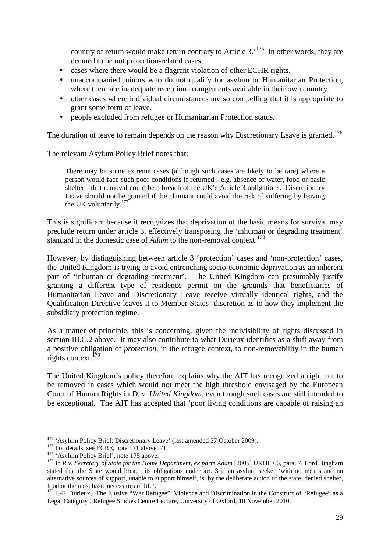country of return would make return contrary to Article  $3.^{175}$  In other words, they are deemed to be not protection-related cases.

- cases where there would be a flagrant violation of other ECHR rights.
- unaccompanied minors who do not qualify for asylum or Humanitarian Protection, where there are inadequate reception arrangements available in their own country.
- other cases where individual circumstances are so compelling that it is appropriate to grant some form of leave.
- people excluded from refugee or Humanitarian Protection status.

The duration of leave to remain depends on the reason why Discretionary Leave is granted.<sup>176</sup>

The relevant Asylum Policy Brief notes that:

There may be some extreme cases (although such cases are likely to be rare) where a person would face such poor conditions if returned - e.g. absence of water, food or basic shelter - that removal could be a breach of the UK's Article 3 obligations. Discretionary Leave should not be granted if the claimant could avoid the risk of suffering by leaving the UK voluntarily.<sup>177</sup>

This is significant because it recognizes that deprivation of the basic means for survival may preclude return under article 3, effectively transposing the 'inhuman or degrading treatment' standard in the domestic case of *Adam* to the non-removal context.<sup>178</sup>

However, by distinguishing between article 3 'protection' cases and 'non-protection' cases, the United Kingdom is trying to avoid entrenching socio-economic deprivation as an inherent part of 'inhuman or degrading treatment'. The United Kingdom can presumably justify granting a different type of residence permit on the grounds that beneficiaries of Humanitarian Leave and Discretionary Leave receive virtually identical rights, and the Qualification Directive leaves it to Member States' discretion as to how they implement the subsidiary protection regime.

As a matter of principle, this is concerning, given the indivisibility of rights discussed in section III.C.2 above. It may also contribute to what Durieux identifies as a shift away from a positive obligation of *protection*, in the refugee context, to non-removability in the human rights context.<sup>179</sup>

The United Kingdom's policy therefore explains why the AIT has recognized a right not to be removed in cases which would not meet the high threshold envisaged by the European Court of Human Rights in *D. v. United Kingdom*, even though such cases are still intended to be exceptional. The AIT has accepted that 'poor living conditions are capable of raising an

<sup>&</sup>lt;sup>175</sup> 'Asylum Policy Brief: Discretionary Leave' (last amended 27 October 2009).

<sup>&</sup>lt;sup>176</sup> For details, see ECRE, note 171 above, 71.

<sup>&</sup>lt;sup>177</sup> 'Asylum Policy Brief', note 175 above.

<sup>&</sup>lt;sup>178</sup> In *R v. Secretary of State for the Home Department, ex parte Adam* [2005] UKHL 66, para. 7, Lord Bingham stated that the State would breach its obligations under art. 3 if an asylum seeker 'with no means and no alternative sources of support, unable to support himself, is, by the deliberate action of the state, denied shelter, food or the most basic necessities of life'.

<sup>&</sup>lt;sup>179</sup> J.-F. Durieux, 'The Elusive "War Refugee": Violence and Discrimination in the Construct of "Refugee" as a Legal Category', Refugee Studies Centre Lecture, University of Oxford, 10 November 2010.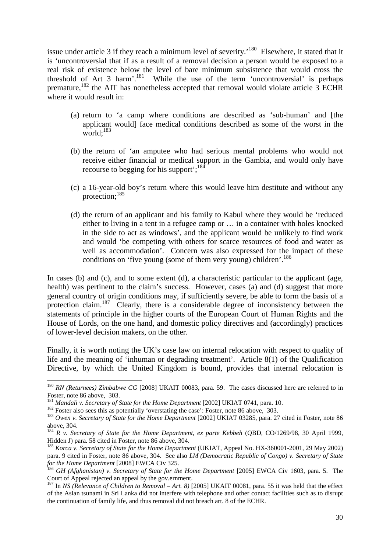issue under article 3 if they reach a minimum level of severity.<sup>180</sup> Elsewhere, it stated that it is 'uncontroversial that if as a result of a removal decision a person would be exposed to a real risk of existence below the level of bare minimum subsistence that would cross the threshold of Art 3 harm'.<sup>181</sup> While the use of the term 'uncontroversial' is perhaps premature.<sup>182</sup> the AIT has nonetheless accepted that removal would violate article 3 ECHR where it would result in:

- (a) return to 'a camp where conditions are described as 'sub-human' and [the applicant would] face medical conditions described as some of the worst in the world; $^{183}$
- (b) the return of 'an amputee who had serious mental problems who would not receive either financial or medical support in the Gambia, and would only have recourse to begging for his support';<sup>184</sup>
- (c) a 16-year-old boy's return where this would leave him destitute and without any protection;<sup>185</sup>
- (d) the return of an applicant and his family to Kabul where they would be 'reduced either to living in a tent in a refugee camp or … in a container with holes knocked in the side to act as windows', and the applicant would be unlikely to find work and would 'be competing with others for scarce resources of food and water as well as accommodation'. Concern was also expressed for the impact of these conditions on 'five young (some of them very young) children'.<sup>186</sup>

In cases (b) and (c), and to some extent (d), a characteristic particular to the applicant (age, health) was pertinent to the claim's success. However, cases (a) and (d) suggest that more general country of origin conditions may, if sufficiently severe, be able to form the basis of a protection claim.<sup>187</sup> Clearly, there is a considerable degree of inconsistency between the statements of principle in the higher courts of the European Court of Human Rights and the House of Lords, on the one hand, and domestic policy directives and (accordingly) practices of lower-level decision makers, on the other.

Finally, it is worth noting the UK's case law on internal relocation with respect to quality of life and the meaning of 'inhuman or degrading treatment'. Article 8(1) of the Qualification Directive, by which the United Kingdom is bound, provides that internal relocation is

<sup>&</sup>lt;sup>180</sup> *RN* (Returnees) Zimbabwe CG [2008] UKAIT 00083, para. 59. The cases discussed here are referred to in Foster, note 86 above, 303.

<sup>&</sup>lt;sup>181</sup> Mandali v. Secretary of State for the Home Department [2002] UKIAT 0741, para. 10.

<sup>&</sup>lt;sup>182</sup> Foster also sees this as potentially 'overstating the case': Foster, note 86 above, 303.

<sup>&</sup>lt;sup>183</sup> Owen v. Secretary of State for the Home Department [2002] UKIAT 03285, para. 27 cited in Foster, note 86 above, 304.

<sup>184</sup> *R v. Secretary of State for the Home Department, ex parte Kebbeh* (QBD, CO/1269/98, 30 April 1999, Hidden J) para. 58 cited in Foster, note 86 above, 304.

<sup>&</sup>lt;sup>185</sup> *Korca v. Secretary of State for the Home Department* (UKIAT, Appeal No. HX-360001-2001, 29 May 2002) para. 9 cited in Foster, note 86 above, 304. See also *LM (Democratic Republic of Congo) v. Secretary of State for the Home Department* [2008] EWCA Civ 325.

<sup>&</sup>lt;sup>186</sup> GH (Afghanistan) v. Secretary of State for the Home Department [2005] EWCA Civ 1603, para. 5. The Court of Appeal rejected an appeal by the gov.ernment.

<sup>187</sup> In *NS (Relevance of Children to Removal – Art. 8)* [2005] UKAIT 00081, para. 55 it was held that the effect of the Asian tsunami in Sri Lanka did not interfere with telephone and other contact facilities such as to disrupt the continuation of family life, and thus removal did not breach art. 8 of the ECHR.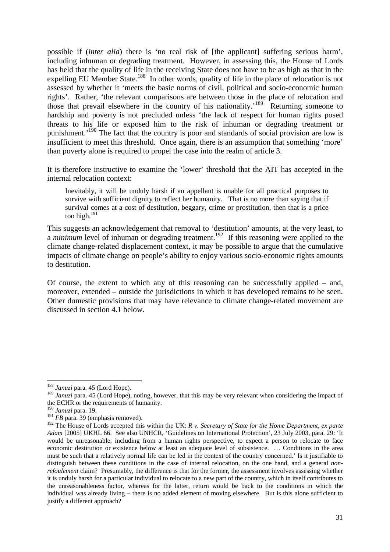possible if (*inter alia*) there is 'no real risk of [the applicant] suffering serious harm', including inhuman or degrading treatment. However, in assessing this, the House of Lords has held that the quality of life in the receiving State does not have to be as high as that in the expelling EU Member State.<sup>188</sup> In other words, quality of life in the place of relocation is not assessed by whether it 'meets the basic norms of civil, political and socio-economic human rights'. Rather, 'the relevant comparisons are between those in the place of relocation and those that prevail elsewhere in the country of his nationality.'<sup>189</sup> Returning someone to hardship and poverty is not precluded unless 'the lack of respect for human rights posed threats to his life or exposed him to the risk of inhuman or degrading treatment or punishment.<sup>'190</sup> The fact that the country is poor and standards of social provision are low is insufficient to meet this threshold. Once again, there is an assumption that something 'more' than poverty alone is required to propel the case into the realm of article 3.

It is therefore instructive to examine the 'lower' threshold that the AIT has accepted in the internal relocation context:

Inevitably, it will be unduly harsh if an appellant is unable for all practical purposes to survive with sufficient dignity to reflect her humanity. That is no more than saying that if survival comes at a cost of destitution, beggary, crime or prostitution, then that is a price too high.<sup>191</sup>

This suggests an acknowledgement that removal to 'destitution' amounts, at the very least, to a *minimum* level of inhuman or degrading treatment.<sup>192</sup> If this reasoning were applied to the climate change-related displacement context, it may be possible to argue that the cumulative impacts of climate change on people's ability to enjoy various socio-economic rights amounts to destitution.

Of course, the extent to which any of this reasoning can be successfully applied – and, moreover, extended – outside the jurisdictions in which it has developed remains to be seen. Other domestic provisions that may have relevance to climate change-related movement are discussed in section 4.1 below.

<sup>188</sup> *Januzi* para. 45 (Lord Hope).

<sup>&</sup>lt;sup>189</sup> *Januzi* para. 45 (Lord Hope), noting, however, that this may be very relevant when considering the impact of the ECHR or the requirements of humanity.

<sup>190</sup> *Januzi* para. 19.

<sup>&</sup>lt;sup>191</sup> *FB* para. 39 (emphasis removed).

<sup>&</sup>lt;sup>192</sup> The House of Lords accepted this within the UK: *R v. Secretary of State for the Home Department, ex parte* Adam <sup>[2005]</sup> UKHL 66. See also UNHCR, 'Guidelines on International Protection', 23 July 2003, para. 29: 'It would be unreasonable, including from a human rights perspective, to expect a person to relocate to face economic destitution or existence below at least an adequate level of subsistence. … Conditions in the area must be such that a relatively normal life can be led in the context of the country concerned.' Is it justifiable to distinguish between these conditions in the case of internal relocation, on the one hand, and a general *nonrefoulement* claim? Presumably, the difference is that for the former, the assessment involves assessing whether it is unduly harsh for a particular individual to relocate to a new part of the country, which in itself contributes to the unreasonableness factor, whereas for the latter, return would be back to the conditions in which the individual was already living – there is no added element of moving elsewhere. But is this alone sufficient to justify a different approach?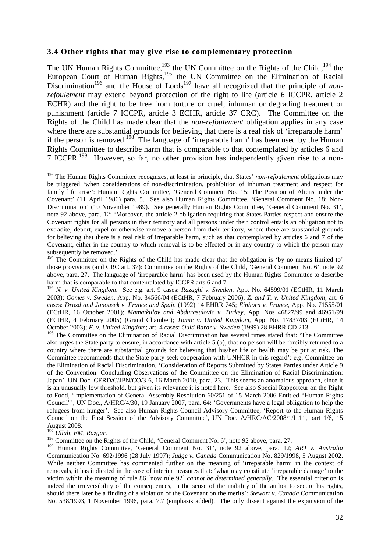#### **3.4 Other rights that may give rise to complementary protection**

The UN Human Rights Committee,<sup>193</sup> the UN Committee on the Rights of the Child,<sup>194</sup> the European Court of Human Rights,<sup>195</sup> the UN Committee on the Elimination of Racial Discrimination<sup>196</sup> and the House of Lords<sup>197</sup> have all recognized that the principle of *nonrefoulement* may extend beyond protection of the right to life (article 6 ICCPR, article 2 ECHR) and the right to be free from torture or cruel, inhuman or degrading treatment or punishment (article 7 ICCPR, article 3 ECHR, article 37 CRC). The Committee on the Rights of the Child has made clear that the *non-refoulement* obligation applies in any case where there are substantial grounds for believing that there is a real risk of 'irreparable harm' if the person is removed.<sup>198</sup> The language of 'irreparable harm' has been used by the Human Rights Committee to describe harm that is comparable to that contemplated by articles 6 and 7 ICCPR.<sup>199</sup> However, so far, no other provision has independently given rise to a non-

#### <sup>197</sup> *Ullah*; *EM*; *Razgar*.

l

<sup>198</sup> Committee on the Rights of the Child, 'General Comment No. 6', note 92 above, para. 27.

<sup>199</sup> Human Rights Committee, 'General Comment No. 31', note 92 above, para. 12; *ARJ v. Australia*  Communication No. 692/1996 (28 July 1997); *Judge v. Canada* Communication No. 829/1998, 5 August 2002. While neither Committee has commented further on the meaning of 'irreparable harm' in the context of removals, it has indicated in the case of interim measures that: 'what may constitute 'irreparable damage' to the victim within the meaning of rule 86 [now rule 92] *cannot be determined generally*. The essential criterion is indeed the irreversibility of the consequences, in the sense of the inability of the author to secure his rights, should there later be a finding of a violation of the Covenant on the merits': *Stewart v. Canada* Communication No. 538/1993, 1 November 1996, para. 7.7 (emphasis added). The only dissent against the expansion of the

<sup>193</sup> The Human Rights Committee recognizes, at least in principle, that States' *non-refoulement* obligations may be triggered 'when considerations of non-discrimination, prohibition of inhuman treatment and respect for family life arise': Human Rights Committee, 'General Comment No. 15: The Position of Aliens under the Covenant' (11 April 1986) para. 5. See also Human Rights Committee, 'General Comment No. 18: Non-Discrimination' (10 November 1989). See generally Human Rights Committee, 'General Comment No. 31', note 92 above, para. 12: 'Moreover, the article 2 obligation requiring that States Parties respect and ensure the Covenant rights for all persons in their territory and all persons under their control entails an obligation not to extradite, deport, expel or otherwise remove a person from their territory, where there are substantial grounds for believing that there is a real risk of irreparable harm, such as that contemplated by articles 6 and 7 of the Covenant, either in the country to which removal is to be effected or in any country to which the person may subsequently be removed.'

<sup>&</sup>lt;sup>194</sup> The Committee on the Rights of the Child has made clear that the obligation is 'by no means limited to' those provisions (and CRC art. 37): Committee on the Rights of the Child, 'General Comment No. 6', note 92 above, para. 27. The language of 'irreparable harm' has been used by the Human Rights Committee to describe harm that is comparable to that contemplated by ICCPR arts 6 and 7.

<sup>195</sup> *N. v. United Kingdom*. See e.g. art. 9 cases: *Razaghi v. Sweden,* App. No. 64599/01 (ECtHR, 11 March 2003); *Gomes v. Sweden,* App. No. 34566/04 (ECtHR, 7 February 2006); *Z. and T. v. United Kingdom*; art. 6 cases: *Drozd and Janousek v. France and Spain* (1992) 14 EHRR 745; *Einhorn v. France,* App. No. 71555/01 (ECtHR, 16 October 2001); *Mamatkulov and Abdurasulovic v. Turkey,* App. Nos 46827/99 and 46951/99 (ECtHR, 4 February 2005) (Grand Chamber); *Tomic v. United Kingdom,* App. No. 17837/03 (ECtHR, 14 October 2003); *F. v. United Kingdom*; art. 4 cases: *Ould Barar v. Sweden* (1999) 28 EHRR CD 213.

<sup>&</sup>lt;sup>196</sup> The Committee on the Elimination of Racial Discrimination has several times stated that: 'The Committee also urges the State party to ensure, in accordance with article 5 (b), that no person will be forcibly returned to a country where there are substantial grounds for believing that his/her life or health may be put at risk. The Committee recommends that the State party seek cooperation with UNHCR in this regard': e.g. Committee on the Elimination of Racial Discrimination, 'Consideration of Reports Submitted by States Parties under Article 9 of the Convention: Concluding Observations of the Committee on the Elimination of Racial Discrimination: Japan', UN Doc. CERD/C/JPN/CO/3-6, 16 March 2010, para. 23. This seems an anomalous approach, since it is an unusually low threshold, but given its relevance it is noted here. See also Special Rapporteur on the Right to Food, 'Implementation of General Assembly Resolution 60/251 of 15 March 2006 Entitled "Human Rights Council"'*,* UN Doc., A/HRC/4/30, 19 January 2007, para. 64: 'Governments have a legal obligation to help the refugees from hunger'. See also Human Rights Council Advisory Committee, 'Report to the Human Rights Council on the First Session of the Advisory Committee', UN Doc. A/HRC/AC/2008/1/L.11, part 1/6, 15 August 2008.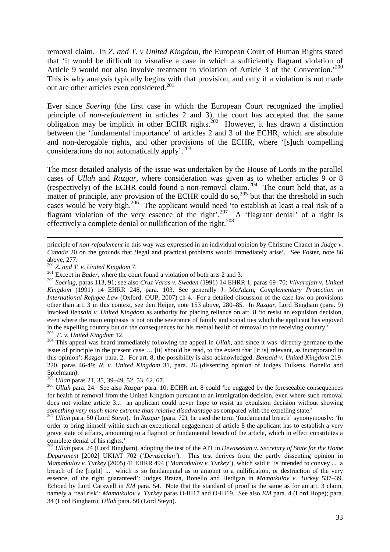removal claim. In *Z. and T. v United Kingdom*, the European Court of Human Rights stated that 'it would be difficult to visualise a case in which a sufficiently flagrant violation of Article 9 would not also involve treatment in violation of Article 3 of the Convention.<sup>'200</sup> This is why analysis typically begins with that provision, and only if a violation is not made out are other articles even considered.<sup>201</sup>

Ever since *Soering* (the first case in which the European Court recognized the implied principle of *non-refoulement* in articles 2 and 3), the court has accepted that the same obligation may be implicit in other ECHR rights.<sup>202</sup> However, it has drawn a distinction between the 'fundamental importance' of articles 2 and 3 of the ECHR, which are absolute and non-derogable rights, and other provisions of the ECHR, where '[s]uch compelling considerations do not automatically apply'.<sup>203</sup>

The most detailed analysis of the issue was undertaken by the House of Lords in the parallel cases of *Ullah* and *Razgar*, where consideration was given as to whether articles 9 or 8 (respectively) of the ECHR could found a non-removal claim.<sup>204</sup> The court held that, as a matter of principle, any provision of the ECHR could do so,<sup>205</sup> but that the threshold in such cases would be very high.<sup>206</sup> The applicant would need 'to establish at least a real risk of a flagrant violation of the very essence of the right'.<sup>207</sup> A 'flagrant denial' of a right is effectively a complete denial or nullification of the right.<sup>208</sup>

 $\overline{a}$ 

<sup>204</sup> This appeal was heard immediately following the appeal in *Ullah*, and since it was 'directly germane to the issue of principle in the present case … [it] should be read, to the extent that [it is] relevant, as incorporated in this opinion': *Razgar* para. 2. For art. 8, the possibility is also acknowledged: *Bensaid v. United Kingdom* 219- 220, paras 46-49; *N. v. United Kingdom* 31, para. 26 (dissenting opinion of Judges Tulkens, Bonello and Spielmann).

principle of *non-refoulement* in this way was expressed in an individual opinion by Christine Chanet in *Judge v. Canada* 20 on the grounds that 'legal and practical problems would immediately arise'. See Foster, note 86 above, 277.

<sup>200</sup> *Z. and T. v. United Kingdom* 7.

<sup>&</sup>lt;sup>201</sup> Except in *Bader*, where the court found a violation of both arts 2 and 3.

<sup>202</sup> *Soering*, paras 113, 91; see also *Cruz Varas v. Sweden* (1991) 14 EHRR 1, paras 69–70; *Vilvarajah v. United Kingdom* (1991) 14 EHRR 248, para. 103. See generally J. McAdam, *Complementary Protection in International Refugee Law* (Oxford: OUP, 2007) ch 4. For a detailed discussion of the case law on provisions other than art. 3 in this context, see den Heijer, note 153 above, 280–85. In *Razgar*, Lord Bingham (para. 9) invoked *Bensaid v. United Kingdom* as authority for placing reliance on art. 8 'to resist an expulsion decision, even where the main emphasis is not on the severance of family and social ties which the applicant has enjoyed in the expelling country but on the consequences for his mental health of removal to the receiving country.' 203 *F. v. United Kingdom* 12.

<sup>205</sup> *Ullah* paras 21, 35, 39–49, 52, 53, 62, 67.

<sup>206</sup> *Ullah* para. 24. See also *Razgar* para. 10: ECHR art. 8 could 'be engaged by the foreseeable consequences for health of removal from the United Kingdom pursuant to an immigration decision, even where such removal does not violate article 3... an applicant could never hope to resist an expulsion decision without showing *something very much more extreme than relative disadvantage* as compared with the expelling state.'

<sup>207</sup> *Ullah* para. 50 (Lord Steyn). In *Razgar* (para. 72), he used the term 'fundamental breach' synonymously: 'In order to bring himself within such an exceptional engagement of article 8 the applicant has to establish a very grave state of affairs, amounting to a flagrant or fundamental breach of the article, which in effect constitutes a complete denial of his rights.'

<sup>208</sup> *Ullah* para. 24 (Lord Bingham), adopting the test of the AIT in *Devaseelan v. Secretary of State for the Home Department* [2002] UKIAT 702 ('*Devaseelan*'). This test derives from the partly dissenting opinion in *Mamatkulov v. Turkey* (2005) 41 EHRR 494 ('*Mamatkulov v. Turkey*'), which said it 'is intended to convey ... a breach of the [right] ... which is so fundamental as to amount to a nullification, or destruction of the very essence, of the right guaranteed': Judges Bratza, Bonello and Hedigan in *Mamatkulov v. Turkey* 537–39. Echoed by Lord Carswell in *EM* para. 54. Note that the standard of proof is the same as for an art. 3 claim, namely a 'real risk': *Mamatkulov v. Turkey* paras O-III17 and O-III19. See also *EM* para. 4 (Lord Hope); para. 34 (Lord Bingham); *Ullah* para. 50 (Lord Steyn).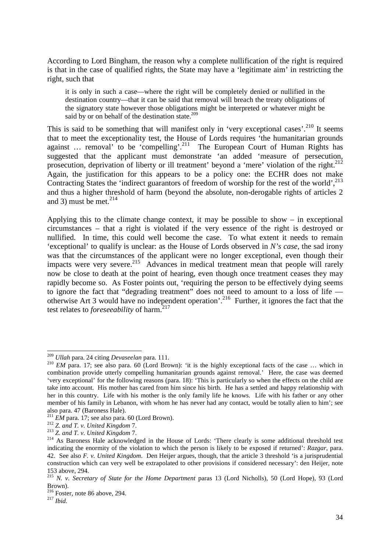According to Lord Bingham, the reason why a complete nullification of the right is required is that in the case of qualified rights, the State may have a 'legitimate aim' in restricting the right, such that

it is only in such a case—where the right will be completely denied or nullified in the destination country—that it can be said that removal will breach the treaty obligations of the signatory state however those obligations might be interpreted or whatever might be said by or on behalf of the destination state.<sup>209</sup>

This is said to be something that will manifest only in 'very exceptional cases'.<sup>210</sup> It seems that to meet the exceptionality test, the House of Lords requires 'the humanitarian grounds against ... removal' to be 'compelling'.<sup>211</sup> The European Court of Human Rights has suggested that the applicant must demonstrate 'an added 'measure of persecution, prosecution, deprivation of liberty or ill treatment' beyond a 'mere' violation of the right.<sup>212</sup> Again, the justification for this appears to be a policy one: the ECHR does not make Contracting States the 'indirect guarantors of freedom of worship for the rest of the world',  $^{213}$ and thus a higher threshold of harm (beyond the absolute, non-derogable rights of articles 2 and 3) must be met. $^{214}$ 

Applying this to the climate change context, it may be possible to show – in exceptional circumstances – that a right is violated if the very essence of the right is destroyed or nullified. In time, this could well become the case. To what extent it needs to remain 'exceptional' to qualify is unclear: as the House of Lords observed in *N's case*, the sad irony was that the circumstances of the applicant were no longer exceptional, even though their impacts were very severe.<sup>215</sup> Advances in medical treatment mean that people will rarely now be close to death at the point of hearing, even though once treatment ceases they may rapidly become so. As Foster points out, 'requiring the person to be effectively dying seems to ignore the fact that "degrading treatment" does not need to amount to a loss of life otherwise Art 3 would have no independent operation'.<sup>216</sup> Further, it ignores the fact that the test relates to *foreseeability* of harm.<sup>217</sup>

<sup>209</sup> *Ullah* para. 24 citing *Devaseelan* para. 111.

<sup>&</sup>lt;sup>210</sup> *EM* para. 17; see also para. 60 (Lord Brown): 'it is the highly exceptional facts of the case ... which in combination provide utterly compelling humanitarian grounds against removal.' Here, the case was deemed 'very exceptional' for the following reasons (para. 18): 'This is particularly so when the effects on the child are take into account. His mother has cared from him since his birth. He has a settled and happy relationship with her in this country. Life with his mother is the only family life he knows. Life with his father or any other member of his family in Lebanon, with whom he has never had any contact, would be totally alien to him'; see also para. 47 (Baroness Hale).

<sup>&</sup>lt;sup>211</sup> *EM* para. 17; see also para. 60 (Lord Brown).

<sup>212</sup> *Z. and T. v. United Kingdom* 7.

<sup>213</sup> *Z. and T. v. United Kingdom* 7.

<sup>&</sup>lt;sup>214</sup> As Baroness Hale acknowledged in the House of Lords: 'There clearly is some additional threshold test indicating the enormity of the violation to which the person is likely to be exposed if returned': *Razgar*, para. 42. See also *F. v. United Kingdom*. Den Heijer argues, though, that the article 3 threshold 'is a jurisprudential construction which can very well be extrapolated to other provisions if considered necessary': den Heijer, note 153 above, 294.

<sup>215</sup> *N. v. Secretary of State for the Home Department* paras 13 (Lord Nicholls), 50 (Lord Hope), 93 (Lord Brown).

 $216$  Foster, note 86 above, 294.

<sup>217</sup> *Ibid.*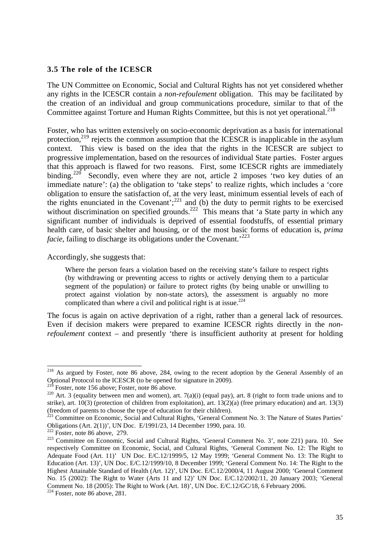#### **3.5 The role of the ICESCR**

The UN Committee on Economic, Social and Cultural Rights has not yet considered whether any rights in the ICESCR contain a *non-refoulement* obligation. This may be facilitated by the creation of an individual and group communications procedure, similar to that of the Committee against Torture and Human Rights Committee, but this is not yet operational.<sup>218</sup>

Foster, who has written extensively on socio-economic deprivation as a basis for international protection,<sup>219</sup> rejects the common assumption that the ICESCR is inapplicable in the asylum context. This view is based on the idea that the rights in the ICESCR are subject to progressive implementation, based on the resources of individual State parties. Foster argues that this approach is flawed for two reasons. First, some ICESCR rights are immediately binding.<sup>220</sup> Secondly, even where they are not, article 2 imposes 'two key duties of an immediate nature': (a) the obligation to 'take steps' to realize rights, which includes a 'core obligation to ensure the satisfaction of, at the very least, minimum essential levels of each of the rights enunciated in the Covenant';<sup>221</sup> and (b) the duty to permit rights to be exercised without discrimination on specified grounds.<sup>222</sup> This means that 'a State party in which any significant number of individuals is deprived of essential foodstuffs, of essential primary health care, of basic shelter and housing, or of the most basic forms of education is, *prima facie*, failing to discharge its obligations under the Covenant.<sup>223</sup>

Accordingly, she suggests that:

Where the person fears a violation based on the receiving state's failure to respect rights (by withdrawing or preventing access to rights or actively denying them to a particular segment of the population) or failure to protect rights (by being unable or unwilling to protect against violation by non-state actors), the assessment is arguably no more complicated than where a civil and political right is at issue.<sup>224</sup>

The focus is again on active deprivation of a right, rather than a general lack of resources. Even if decision makers were prepared to examine ICESCR rights directly in the *nonrefoulement* context – and presently 'there is insufficient authority at present for holding

<sup>&</sup>lt;sup>218</sup> As argued by Foster, note 86 above, 284, owing to the recent adoption by the General Assembly of an Optional Protocol to the ICESCR (to be opened for signature in 2009).

Foster, note 156 above; Foster, note 86 above.

<sup>&</sup>lt;sup>220</sup> Art. 3 (equality between men and women), art. 7(a)(i) (equal pay), art. 8 (right to form trade unions and to strike), art. 10(3) (protection of children from exploitation), art. 13(2)(a) (free primary education) and art. 13(3) (freedom of parents to choose the type of education for their children).

<sup>&</sup>lt;sup>221</sup> Committee on Economic, Social and Cultural Rights, 'General Comment No. 3: The Nature of States Parties' Obligations (Art. 2(1))', UN Doc. E/1991/23*,* 14 December 1990, para. 10.

 $222$  Foster, note 86 above, 279.

<sup>&</sup>lt;sup>223</sup> Committee on Economic, Social and Cultural Rights, 'General Comment No. 3', note 221) para. 10. See respectively Committee on Economic, Social, and Cultural Rights, 'General Comment No. 12: The Right to Adequate Food (Art. 11)' UN Doc. E/C.12/1999/5, 12 May 1999; 'General Comment No. 13: The Right to Education (Art. 13)', UN Doc. E/C.12/1999/10, 8 December 1999; 'General Comment No. 14: The Right to the Highest Attainable Standard of Health (Art. 12)', UN Doc. E/C.12/2000/4, 11 August 2000; 'General Comment No. 15 (2002): The Right to Water (Arts 11 and 12)' UN Doc. E/C.12/2002/11, 20 January 2003; 'General Comment No. 18 (2005): The Right to Work (Art. 18)', UN Doc. E/C.12/GC/18, 6 February 2006.

 $224$  Foster, note 86 above, 281.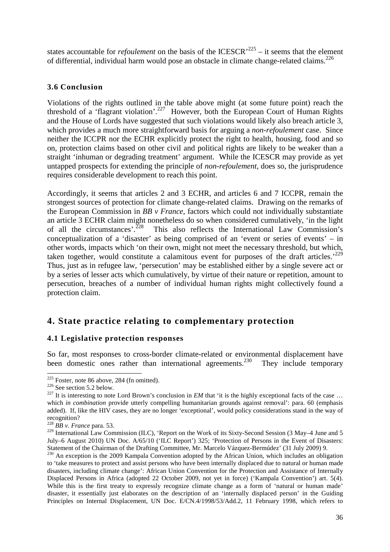states accountable for *refoulement* on the basis of the ICESCR<sup> $225$ </sup> – it seems that the element of differential, individual harm would pose an obstacle in climate change-related claims.<sup>226</sup>

#### **3.6 Conclusion**

Violations of the rights outlined in the table above might (at some future point) reach the threshold of a 'flagrant violation'.<sup>227</sup> However, both the European Court of Human Rights and the House of Lords have suggested that such violations would likely also breach article 3, which provides a much more straightforward basis for arguing a *non-refoulement* case. Since neither the ICCPR nor the ECHR explicitly protect the right to health, housing, food and so on, protection claims based on other civil and political rights are likely to be weaker than a straight 'inhuman or degrading treatment' argument. While the ICESCR may provide as yet untapped prospects for extending the principle of *non-refoulement*, does so, the jurisprudence requires considerable development to reach this point.

Accordingly, it seems that articles 2 and 3 ECHR, and articles 6 and 7 ICCPR, remain the strongest sources of protection for climate change-related claims. Drawing on the remarks of the European Commission in *BB v France*, factors which could not individually substantiate an article 3 ECHR claim might nonetheless do so when considered cumulatively, 'in the light of all the circumstances'.<sup>228</sup> This also reflects the International Law Commission's conceptualization of a 'disaster' as being comprised of an 'event or series of events' – in other words, impacts which 'on their own, might not meet the necessary threshold, but which, taken together, would constitute a calamitous event for purposes of the draft articles.<sup>229</sup> Thus, just as in refugee law, 'persecution' may be established either by a single severe act or by a series of lesser acts which cumulatively, by virtue of their nature or repetition, amount to persecution, breaches of a number of individual human rights might collectively found a protection claim.

## **4. State practice relating to complementary protection**

#### **4.1 Legislative protection responses**

So far, most responses to cross-border climate-related or environmental displacement have been domestic ones rather than international agreements.<sup>230</sup> They include temporary

 $225$  Foster, note 86 above, 284 (fn omitted).

<sup>&</sup>lt;sup>226</sup> See section 5.2 below.

<sup>&</sup>lt;sup>227</sup> It is interesting to note Lord Brown's conclusion in *EM* that 'it is the highly exceptional facts of the case ... which *in combination* provide utterly compelling humanitarian grounds against removal': para. 60 (emphasis added). If, like the HIV cases, they are no longer 'exceptional', would policy considerations stand in the way of recognition?

<sup>228</sup> *BB v. France* para. 53.

<sup>&</sup>lt;sup>229</sup> International Law Commission (ILC), 'Report on the Work of its Sixty-Second Session (3 May–4 June and 5 July–6 August 2010) UN Doc. A/65/10 ('ILC Report') 325; 'Protection of Persons in the Event of Disasters: Statement of the Chairman of the Drafting Committee, Mr. Marcelo Vázquez-Bermúdez' (31 July 2009) 9.

 $^{230}$  An exception is the 2009 Kampala Convention adopted by the African Union, which includes an obligation to 'take measures to protect and assist persons who have been internally displaced due to natural or human made disasters, including climate change': African Union Convention for the Protection and Assistance of Internally Displaced Persons in Africa (adopted 22 October 2009, not yet in force) ('Kampala Convention') art. 5(4). While this is the first treaty to expressly recognize climate change as a form of 'natural or human made' disaster, it essentially just elaborates on the description of an 'internally displaced person' in the Guiding Principles on Internal Displacement, UN Doc. E/CN.4/1998/53/Add.2, 11 February 1998, which refers to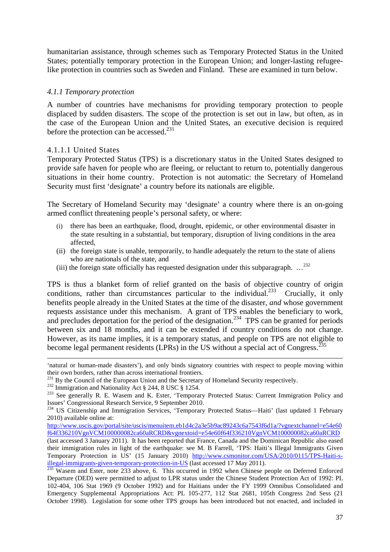humanitarian assistance, through schemes such as Temporary Protected Status in the United States; potentially temporary protection in the European Union; and longer-lasting refugeelike protection in countries such as Sweden and Finland. These are examined in turn below.

#### *4.1.1 Temporary protection*

A number of countries have mechanisms for providing temporary protection to people displaced by sudden disasters. The scope of the protection is set out in law, but often, as in the case of the European Union and the United States, an executive decision is required before the protection can be accessed. $^{231}$ 

#### 4.1.1.1 United States

l

Temporary Protected Status (TPS) is a discretionary status in the United States designed to provide safe haven for people who are fleeing, or reluctant to return to, potentially dangerous situations in their home country. Protection is not automatic: the Secretary of Homeland Security must first 'designate' a country before its nationals are eligible.

The Secretary of Homeland Security may 'designate' a country where there is an on-going armed conflict threatening people's personal safety, or where:

- (i) there has been an earthquake, flood, drought, epidemic, or other environmental disaster in the state resulting in a substantial, but temporary, disruption of living conditions in the area affected,
- (ii) the foreign state is unable, temporarily, to handle adequately the return to the state of aliens who are nationals of the state, and
- (iii) the foreign state officially has requested designation under this subparagraph.  $\ldots^{232}$

TPS is thus a blanket form of relief granted on the basis of objective country of origin conditions, rather than circumstances particular to the individual.<sup>233</sup> Crucially, it only benefits people already in the United States at the time of the disaster, *and* whose government requests assistance under this mechanism. A grant of TPS enables the beneficiary to work, and precludes deportation for the period of the designation.<sup>234</sup> TPS can be granted for periods between six and 18 months, and it can be extended if country conditions do not change. However, as its name implies, it is a temporary status, and people on TPS are not eligible to become legal permanent residents (LPRs) in the US without a special act of Congress. $^{235}$ 

<sup>&#</sup>x27;natural or human-made disasters'), and only binds signatory countries with respect to people moving within their own borders, rather than across international frontiers.

<sup>&</sup>lt;sup>231</sup> By the Council of the European Union and the Secretary of Homeland Security respectively.

<sup>&</sup>lt;sup>232</sup> Immigration and Nationality Act § 244, 8 USC § 1254.

<sup>&</sup>lt;sup>233</sup> See generally R. E. Wasem and K. Ester, 'Temporary Protected Status: Current Immigration Policy and Issues' Congressional Research Service, 9 September 2010.

<sup>&</sup>lt;sup>234</sup> US Citizenship and Immigration Services, 'Temporary Protected Status—Haiti' (last updated 1 February 2010) available online at:

http://www.uscis.gov/portal/site/uscis/menuitem.eb1d4c2a3e5b9ac89243c6a7543f6d1a/?vgnextchannel=e54e60 f64f336210VgnVCM100000082ca60aRCRD&vgnextoid=e54e60f64f336210VgnVCM100000082ca60aRCRD (last accessed 3 January 2011). It has been reported that France, Canada and the Dominican Republic also eased their immigration rules in light of the earthquake: see M. B Farrell, 'TPS: Haiti's Illegal Immigrants Given Temporary Protection in US' (15 January 2010) http://www.csmonitor.com/USA/2010/0115/TPS-Haiti-sillegal-immigrants-given-temporary-protection-in-US (last accessed 17 May 2011).

<sup>&</sup>lt;sup>235</sup> Wasem and Ester, note 233 above, 6. This occurred in 1992 when Chinese people on Deferred Enforced Departure (DED) were permitted to adjust to LPR status under the Chinese Student Protection Act of 1992: PL 102-404, 106 Stat 1969 (9 October 1992) and for Haitians under the FY 1999 Omnibus Consolidated and Emergency Supplemental Appropriations Act: PL 105-277, 112 Stat 2681, 105th Congress 2nd Sess (21 October 1998). Legislation for some other TPS groups has been introduced but not enacted, and included in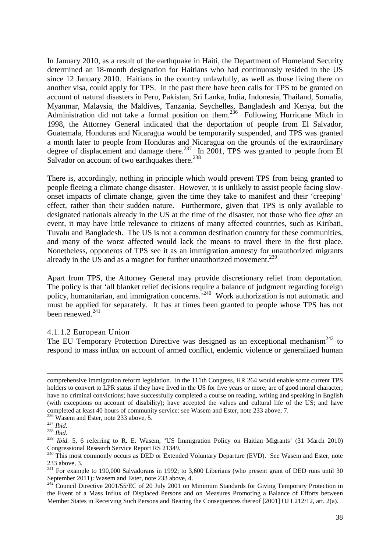In January 2010, as a result of the earthquake in Haiti, the Department of Homeland Security determined an 18-month designation for Haitians who had continuously resided in the US since 12 January 2010. Haitians in the country unlawfully, as well as those living there on another visa, could apply for TPS. In the past there have been calls for TPS to be granted on account of natural disasters in Peru, Pakistan, Sri Lanka, India, Indonesia, Thailand, Somalia, Myanmar, Malaysia, the Maldives, Tanzania, Seychelles, Bangladesh and Kenya, but the Administration did not take a formal position on them.<sup>236</sup> Following Hurricane Mitch in 1998, the Attorney General indicated that the deportation of people from El Salvador, Guatemala, Honduras and Nicaragua would be temporarily suspended, and TPS was granted a month later to people from Honduras and Nicaragua on the grounds of the extraordinary degree of displacement and damage there.<sup>237</sup> In 2001, TPS was granted to people from El Salvador on account of two earthquakes there.<sup>238</sup>

There is, accordingly, nothing in principle which would prevent TPS from being granted to people fleeing a climate change disaster. However, it is unlikely to assist people facing slowonset impacts of climate change, given the time they take to manifest and their 'creeping' effect, rather than their sudden nature. Furthermore, given that TPS is only available to designated nationals already in the US at the time of the disaster, not those who flee *after* an event, it may have little relevance to citizens of many affected countries, such as Kiribati, Tuvalu and Bangladesh. The US is not a common destination country for these communities, and many of the worst affected would lack the means to travel there in the first place. Nonetheless, opponents of TPS see it as an immigration amnesty for unauthorized migrants already in the US and as a magnet for further unauthorized movement.<sup>239</sup>

Apart from TPS, the Attorney General may provide discretionary relief from deportation. The policy is that 'all blanket relief decisions require a balance of judgment regarding foreign policy, humanitarian, and immigration concerns.'<sup>240</sup> Work authorization is not automatic and must be applied for separately. It has at times been granted to people whose TPS has not been renewed. $^{241}$ 

#### 4.1.1.2 European Union

The EU Temporary Protection Directive was designed as an exceptional mechanism<sup>242</sup> to respond to mass influx on account of armed conflict, endemic violence or generalized human

comprehensive immigration reform legislation. In the 111th Congress, HR 264 would enable some current TPS holders to convert to LPR status if they have lived in the US for five years or more; are of good moral character; have no criminal convictions; have successfully completed a course on reading, writing and speaking in English (with exceptions on account of disability); have accepted the values and cultural life of the US; and have completed at least 40 hours of community service: see Wasem and Ester, note 233 above, 7.

 $236$  Wasem and Ester, note 233 above, 5.

<sup>237</sup> *Ibid.*

<sup>238</sup> *Ibid.*

<sup>239</sup> *Ibid.* 5, 6 referring to R. E. Wasem, 'US Immigration Policy on Haitian Migrants' (31 March 2010) Congressional Research Service Report RS 21349.

<sup>&</sup>lt;sup>240</sup> This most commonly occurs as DED or Extended Voluntary Departure (EVD). See Wasem and Ester, note 233 above, 3.

 $241$  For example to 190,000 Salvadorans in 1992; to 3,600 Liberians (who present grant of DED runs until 30 September 2011): Wasem and Ester, note 233 above, 4.

<sup>&</sup>lt;sup>242</sup> Council Directive 2001/55/EC of 20 July 2001 on Minimum Standards for Giving Temporary Protection in the Event of a Mass Influx of Displaced Persons and on Measures Promoting a Balance of Efforts between Member States in Receiving Such Persons and Bearing the Consequences thereof [2001] OJ L212/12, art. 2(a).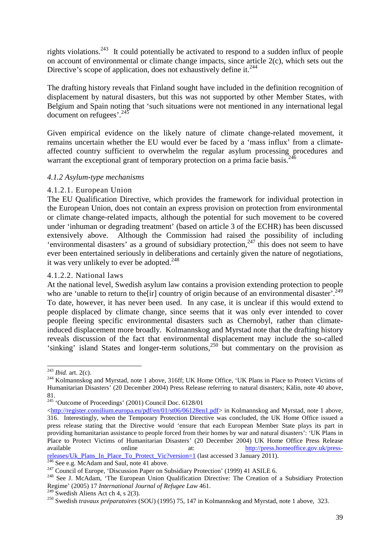rights violations.<sup>243</sup> It could potentially be activated to respond to a sudden influx of people on account of environmental or climate change impacts, since article 2(c), which sets out the Directive's scope of application, does not exhaustively define it.<sup>244</sup>

The drafting history reveals that Finland sought have included in the definition recognition of displacement by natural disasters, but this was not supported by other Member States, with Belgium and Spain noting that 'such situations were not mentioned in any international legal document on refugees'.<sup>245</sup>

Given empirical evidence on the likely nature of climate change-related movement, it remains uncertain whether the EU would ever be faced by a 'mass influx' from a climateaffected country sufficient to overwhelm the regular asylum processing procedures and warrant the exceptional grant of temporary protection on a prima facie basis.<sup>246</sup>

#### *4.1.2 Asylum-type mechanisms*

#### 4.1.2.1. European Union

The EU Qualification Directive, which provides the framework for individual protection in the European Union, does not contain an express provision on protection from environmental or climate change-related impacts, although the potential for such movement to be covered under 'inhuman or degrading treatment' (based on article 3 of the ECHR) has been discussed extensively above. Although the Commission had raised the possibility of including 'environmental disasters' as a ground of subsidiary protection,<sup>247</sup> this does not seem to have ever been entertained seriously in deliberations and certainly given the nature of negotiations, it was very unlikely to ever be adopted. $248$ 

#### 4.1.2.2. National laws

At the national level, Swedish asylum law contains a provision extending protection to people who are 'unable to return to the[ir] country of origin because of an environmental disaster'.<sup>249</sup> To date, however, it has never been used. In any case, it is unclear if this would extend to people displaced by climate change, since seems that it was only ever intended to cover people fleeing specific environmental disasters such as Chernobyl, rather than climateinduced displacement more broadly. Kolmannskog and Myrstad note that the drafting history reveals discussion of the fact that environmental displacement may include the so-called 'sinking' island States and longer-term solutions,<sup>250</sup> but commentary on the provision as

<sup>243</sup> *Ibid.* art. 2(c).

<sup>&</sup>lt;sup>244</sup> Kolmannskog and Myrstad, note 1 above, 316ff; UK Home Office, 'UK Plans in Place to Protect Victims of Humanitarian Disasters' (20 December 2004) Press Release referring to natural disasters; Kälin, note 40 above, 81.

<sup>&</sup>lt;sup>245</sup> 'Outcome of Proceedings' (2001) Council Doc. 6128/01

<sup>&</sup>lt;http://register.consilium.europa.eu/pdf/en/01/st06/06128en1.pdf> in Kolmannskog and Myrstad, note 1 above, 316. Interestingly, when the Temporary Protection Directive was concluded, the UK Home Office issued a press release stating that the Directive would 'ensure that each European Member State plays its part in providing humanitarian assistance to people forced from their homes by war and natural disasters': 'UK Plans in Place to Protect Victims of Humanitarian Disasters' (20 December 2004) UK Home Office Press Release available online at: http://press.homeoffice.gov.uk/pressreleases/Uk\_Plans\_In\_Place\_To\_Protect\_Vic?version=1 (last accessed 3 January 2011).

<sup>&</sup>lt;sup>246</sup> See e.g. McAdam and Saul, note 41 above.

<sup>&</sup>lt;sup>247</sup> Council of Europe, 'Discussion Paper on Subsidiary Protection' (1999) 41 ASILE 6.

<sup>&</sup>lt;sup>248</sup> See J. McAdam, 'The European Union Qualification Directive: The Creation of a Subsidiary Protection Regime' (2005) 17 *International Journal of Refugee Law* 461.

 $249$  Swedish Aliens Act ch 4, s 2(3).

<sup>250</sup> Swedish *travaux préparatoires* (SOU) (1995) 75, 147 in Kolmannskog and Myrstad, note 1 above, 323.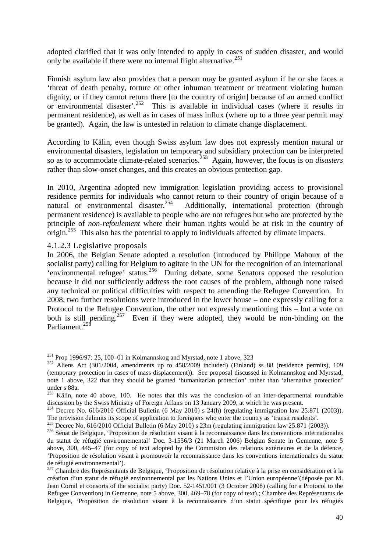adopted clarified that it was only intended to apply in cases of sudden disaster, and would only be available if there were no internal flight alternative.<sup>251</sup>

Finnish asylum law also provides that a person may be granted asylum if he or she faces a 'threat of death penalty, torture or other inhuman treatment or treatment violating human dignity, or if they cannot return there [to the country of origin] because of an armed conflict or environmental disaster'.<sup>252</sup> This is available in individual cases (where it results in permanent residence), as well as in cases of mass influx (where up to a three year permit may be granted). Again, the law is untested in relation to climate change displacement.

According to Kälin, even though Swiss asylum law does not expressly mention natural or environmental disasters, legislation on temporary and subsidiary protection can be interpreted so as to accommodate climate-related scenarios.<sup>253</sup> Again, however, the focus is on *disasters* rather than slow-onset changes, and this creates an obvious protection gap.

In 2010, Argentina adopted new immigration legislation providing access to provisional residence permits for individuals who cannot return to their country of origin because of a natural or environmental disaster.<sup>254</sup> Additionally, international protection (through Additionally, international protection (through permanent residence) is available to people who are not refugees but who are protected by the principle of *non-refoulement* where their human rights would be at risk in the country of origin.<sup>255</sup> This also has the potential to apply to individuals affected by climate impacts.

4.1.2.3 Legislative proposals

l

In 2006, the Belgian Senate adopted a resolution (introduced by Philippe Mahoux of the socialist party) calling for Belgium to agitate in the UN for the recognition of an international 'environmental refugee' status.<sup>256</sup> During debate, some Senators opposed the resolution because it did not sufficiently address the root causes of the problem, although none raised any technical or political difficulties with respect to amending the Refugee Convention. In 2008, two further resolutions were introduced in the lower house – one expressly calling for a Protocol to the Refugee Convention, the other not expressly mentioning this – but a vote on both is still pending.<sup>257</sup> Even if they were adopted, they would be non-binding on the Parliament.<sup>258</sup>

<sup>251</sup> Prop 1996/97: 25, 100–01 in Kolmannskog and Myrstad, note 1 above, 323

 $252$  Aliens Act (301/2004, amendments up to 458/2009 included) (Finland) ss 88 (residence permits), 109 (temporary protection in cases of mass displacement)). See proposal discussed in Kolmannskog and Myrstad, note 1 above, 322 that they should be granted 'humanitarian protection' rather than 'alternative protection' under s 88a.

 $^{253}$  Kälin, note 40 above, 100. He notes that this was the conclusion of an inter-departmental roundtable discussion by the Swiss Ministry of Foreign Affairs on 13 January 2009, at which he was present.

<sup>&</sup>lt;sup>254</sup> Decree No. 616/2010 Official Bulletin (6 May 2010) s 24(h) (regulating immigration law 25.871 (2003)). The provision delimits its scope of application to foreigners who enter the country as 'transit residents'.

<sup>255</sup> Decree No. 616/2010 Official Bulletin (6 May 2010) s 23m (regulating immigration law 25.871 (2003)).

<sup>&</sup>lt;sup>256</sup> Sénat de Belgique, 'Proposition de résolution visant à la reconnaissance dans les conventions internationales du statut de réfugié environnemental' Doc. 3-1556/3 (21 March 2006) Belgian Senate in Gemenne, note 5 above, 300, 445–47 (for copy of text adopted by the Commision des relations extérieures et de la défence, 'Proposition de résolution visant à promouvoir la reconnaissance dans les conventions internationales du statut de réfugié environnemental').

<sup>&</sup>lt;sup>257</sup> Chambre des Représentants de Belgique, 'Proposition de résolution relative à la prise en considération et à la création d'un statut de réfugié environnemental par les Nations Unies et l'Union européenne'(déposée par M. Jean Cornil et consorts of the socialist party) Doc. 52-1451/001 (3 October 2008) (calling for a Protocol to the Refugee Convention) in Gemenne, note 5 above, 300, 469–78 (for copy of text).; Chambre des Représentants de Belgique, 'Proposition de résolution visant à la reconnaissance d'un statut spécifique pour les réfugiés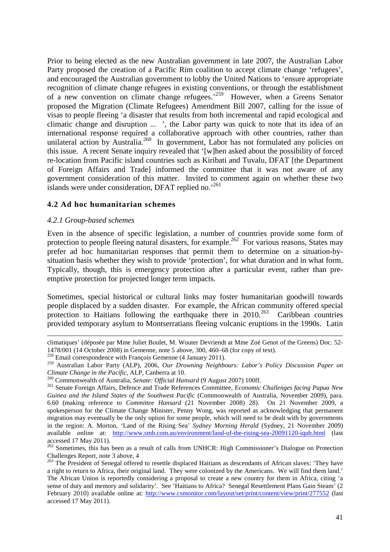Prior to being elected as the new Australian government in late 2007, the Australian Labor Party proposed the creation of a Pacific Rim coalition to accept climate change 'refugees', and encouraged the Australian government to lobby the United Nations to 'ensure appropriate recognition of climate change refugees in existing conventions, or through the establishment of a new convention on climate change refugees.'<sup>259</sup> However, when a Greens Senator proposed the Migration (Climate Refugees) Amendment Bill 2007, calling for the issue of visas to people fleeing 'a disaster that results from both incremental and rapid ecological and climatic change and disruption ... ', the Labor party was quick to note that its idea of an international response required a collaborative approach with other countries, rather than unilateral action by Australia.<sup>260</sup> In government, Labor has not formulated any policies on this issue. A recent Senate inquiry revealed that '[w]hen asked about the possibility of forced re-location from Pacific island countries such as Kiribati and Tuvalu, DFAT [the Department of Foreign Affairs and Trade] informed the committee that it was not aware of any government consideration of this matter. Invited to comment again on whether these two islands were under consideration, DFAT replied no.<sup>'261</sup>

#### **4.2 Ad hoc humanitarian schemes**

#### *4.2.1 Group-based schemes*

 $\overline{a}$ 

Even in the absence of specific legislation, a number of countries provide some form of protection to people fleeing natural disasters, for example.<sup>262</sup> For various reasons, States may prefer ad hoc humanitarian responses that permit them to determine on a situation-bysituation basis whether they wish to provide 'protection', for what duration and in what form. Typically, though, this is emergency protection after a particular event, rather than preemptive protection for projected longer term impacts.

Sometimes, special historical or cultural links may foster humanitarian goodwill towards people displaced by a sudden disaster. For example, the African community offered special protection to Haitians following the earthquake there in 2010.<sup>263</sup> Caribbean countries provided temporary asylum to Montserratians fleeing volcanic eruptions in the 1990s. Latin

climatiques' (déposée par Mme Juliet Boulet, M. Wouter Devriendt at Mme Zoé Genot of the Greens) Doc. 52- 1478/001 (14 October 2008) in Gemenne, note 5 above, 300, 460–68 (for copy of text).

<sup>&</sup>lt;sup>258</sup> Email correspondence with François Gemenne (4 January 2011).

<sup>259</sup> Australian Labor Party (ALP), 2006, *Our Drowning Neighbours: Labor's Policy Discussion Paper on Climate Change in the Pacific*, ALP, Canberra at 10.

<sup>260</sup> Commonwealth of Australia, *Senate: Official Hansard* (9 August 2007) 100ff.

<sup>261</sup> Senate Foreign Affairs, Defence and Trade References Committee, *Economic Challenges facing Papua New Guinea and the Island States of the Southwest Pacific* (Commonwealth of Australia, November 2009), para. 6.60 (making reference to *Committee Hansard* (21 November 2008) 28). On 21 November 2009, a spokesperson for the Climate Change Minister, Penny Wong, was reported as acknowledging that permanent migration may eventually be the only option for some people, which will need to be dealt with by governments in the region: A. Morton, 'Land of the Rising Sea' *Sydney Morning Herald* (Sydney, 21 November 2009) available online at: http://www.smh.com.au/environment/land-of-the-rising-sea-20091120-iqub.html (last accessed 17 May 2011).

<sup>&</sup>lt;sup>262</sup> Sometimes, this has been as a result of calls from UNHCR: High Commissioner's Dialogue on Protection Challenges Report, note 3 above, 4

<sup>&</sup>lt;sup>263</sup> The President of Senegal offered to resettle displaced Haitians as descendants of African slaves: 'They have a right to return to Africa, their original land. They were colonized by the Americans. We will find them land.' The African Union is reportedly considering a proposal to create a new country for them in Africa, citing 'a sense of duty and memory and solidarity'. See 'Haitians to Africa? Senegal Resettlement Plans Gain Steam' (2 February 2010) available online at: http://www.csmonitor.com/layout/set/print/content/view/print/277552 (last accessed 17 May 2011).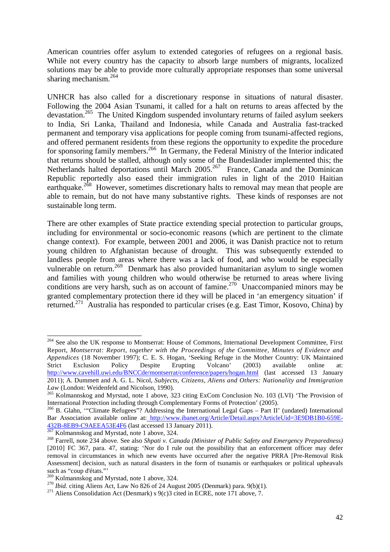American countries offer asylum to extended categories of refugees on a regional basis. While not every country has the capacity to absorb large numbers of migrants, localized solutions may be able to provide more culturally appropriate responses than some universal sharing mechanism.<sup>264</sup>

UNHCR has also called for a discretionary response in situations of natural disaster. Following the 2004 Asian Tsunami, it called for a halt on returns to areas affected by the devastation.<sup>265</sup> The United Kingdom suspended involuntary returns of failed asylum seekers to India, Sri Lanka, Thailand and Indonesia, while Canada and Australia fast-tracked permanent and temporary visa applications for people coming from tsunami-affected regions, and offered permanent residents from these regions the opportunity to expedite the procedure for sponsoring family members.<sup>266</sup> In Germany, the Federal Ministry of the Interior indicated that returns should be stalled, although only some of the Bundesländer implemented this; the Netherlands halted deportations until March 2005.<sup>267</sup> France, Canada and the Dominican Republic reportedly also eased their immigration rules in light of the 2010 Haitian earthquake.<sup>268</sup> However, sometimes discretionary halts to removal may mean that people are able to remain, but do not have many substantive rights. These kinds of responses are not sustainable long term.

There are other examples of State practice extending special protection to particular groups, including for environmental or socio-economic reasons (which are pertinent to the climate change context). For example, between 2001 and 2006, it was Danish practice not to return young children to Afghanistan because of drought. This was subsequently extended to landless people from areas where there was a lack of food, and who would be especially vulnerable on return.<sup>269</sup> Denmark has also provided humanitarian asylum to single women and families with young children who would otherwise be returned to areas where living conditions are very harsh, such as on account of famine.<sup>270</sup> Unaccompanied minors may be granted complementary protection there id they will be placed in 'an emergency situation' if returned.<sup>271</sup> Australia has responded to particular crises (e.g. East Timor, Kosovo, China) by

<sup>264</sup> See also the UK response to Montserrat: House of Commons, International Development Committee, First Report, *Montserrat: Report, together with the Proceedings of the Committee, Minutes of Evidence and Appendices* (18 November 1997); C. E. S. Hogan, 'Seeking Refuge in the Mother Country: UK Maintained Strict Exclusion Policy Despite Erupting Volcano' (2003) available online at: Strict Exclusion Policy Despite Erupting Volcano' (2003) available online at: http://www.cavehill.uwi.edu/BNCCde/montserrat/conference/papers/hogan.html (last accessed 13 January 2011); A. Dummett and A. G. L. Nicol, *Subjects, Citizens, Aliens and Others: Nationality and Immigration Law* (London: Weidenfeld and Nicolson, 1990).

<sup>&</sup>lt;sup>265</sup> Kolmannskog and Myrstad, note 1 above, 323 citing ExCom Conclusion No. 103 (LVI) 'The Provision of International Protection including through Complementary Forms of Protection' (2005).

<sup>&</sup>lt;sup>266</sup> B. Glahn, "Climate Refugees"? Addressing the International Legal Gaps – Part II' (undated) International Bar Association available online at: http://www.ibanet.org/Article/Detail.aspx?ArticleUid=3E9DB1B0-659E-432B-8EB9-C9AEEA53E4F6 (last accessed 13 January 2011).

 $267$  Kolmannskog and Myrstad, note 1 above, 324.

<sup>268</sup> Farrell, note 234 above. See also *Shpati v. Canada (Minister of Public Safety and Emergency Preparedness)* [2010] FC 367, para. 47, stating: 'Nor do I rule out the possibility that an enforcement officer may defer removal in circumstances in which new events have occurred after the negative PRRA [Pre-Removal Risk Assessment] decision, such as natural disasters in the form of tsunamis or earthquakes or political upheavals such as "coup d'états."'

<sup>&</sup>lt;sup>269</sup> Kolmannskog and Myrstad, note 1 above, 324.

<sup>270</sup> *Ibid.* citing Aliens Act, Law No 826 of 24 August 2005 (Denmark) para. 9(b)(1).

<sup>&</sup>lt;sup>271</sup> Aliens Consolidation Act (Denmark) s  $9(c)3$  cited in ECRE, note 171 above, 7.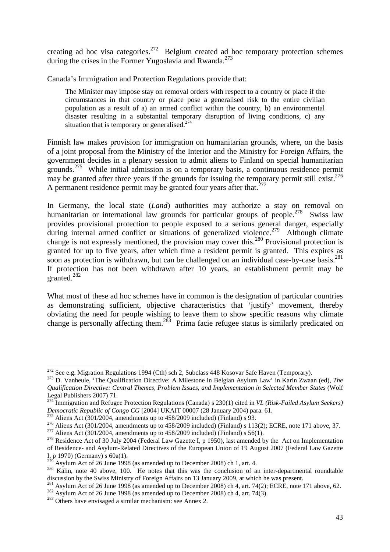creating ad hoc visa categories.<sup>272</sup> Belgium created ad hoc temporary protection schemes during the crises in the Former Yugoslavia and Rwanda.<sup>273</sup>

Canada's Immigration and Protection Regulations provide that:

The Minister may impose stay on removal orders with respect to a country or place if the circumstances in that country or place pose a generalised risk to the entire civilian population as a result of a) an armed conflict within the country, b) an environmental disaster resulting in a substantial temporary disruption of living conditions, c) any situation that is temporary or generalised. $274$ 

Finnish law makes provision for immigration on humanitarian grounds, where, on the basis of a joint proposal from the Ministry of the Interior and the Ministry for Foreign Affairs, the government decides in a plenary session to admit aliens to Finland on special humanitarian grounds.<sup>275</sup> While initial admission is on a temporary basis, a continuous residence permit may be granted after three years if the grounds for issuing the temporary permit still exist.<sup>276</sup> A permanent residence permit may be granted four years after that. $^{277}$ 

In Germany, the local state (*Land*) authorities may authorize a stay on removal on humanitarian or international law grounds for particular groups of people.<sup>278</sup> Swiss law provides provisional protection to people exposed to a serious general danger, especially during internal armed conflict or situations of generalized violence.<sup>279</sup> Although climate change is not expressly mentioned, the provision may cover this.<sup>280</sup> Provisional protection is granted for up to five years, after which time a resident permit is granted. This expires as soon as protection is withdrawn, but can be challenged on an individual case-by-case basis.<sup>281</sup> If protection has not been withdrawn after 10 years, an establishment permit may be granted.<sup>282</sup>

What most of these ad hoc schemes have in common is the designation of particular countries as demonstrating sufficient, objective characteristics that 'justify' movement, thereby obviating the need for people wishing to leave them to show specific reasons why climate change is personally affecting them.<sup>283</sup> Prima facie refugee status is similarly predicated on

<sup>&</sup>lt;sup>272</sup> See e.g. Migration Regulations 1994 (Cth) sch 2, Subclass 448 Kosovar Safe Haven (Temporary).

<sup>273</sup> D. Vanheule, 'The Qualification Directive: A Milestone in Belgian Asylum Law' in Karin Zwaan (ed), *The Qualification Directive: Central Themes, Problem Issues, and Implementation in Selected Member States* (Wolf Legal Publishers 2007) 71.

<sup>274</sup> Immigration and Refugee Protection Regulations (Canada) s 230(1) cited in *VL (Risk-Failed Asylum Seekers) Democratic Republic of Congo CG* [2004] UKAIT 00007 (28 January 2004) para. 61.

<sup>&</sup>lt;sup>275</sup> Aliens Act (301/2004, amendments up to  $458/2009$  included) (Finland) s 93.

<sup>&</sup>lt;sup>276</sup> Aliens Act (301/2004, amendments up to 458/2009 included) (Finland) s 113(2); ECRE, note 171 above, 37.

<sup>&</sup>lt;sup>277</sup> Aliens Act (301/2004, amendments up to  $458/2009$  included) (Finland) s  $56(1)$ .

<sup>&</sup>lt;sup>278</sup> Residence Act of 30 July 2004 (Federal Law Gazette I, p 1950), last amended by the Act on Implementation of Residence- and Asylum-Related Directives of the European Union of 19 August 2007 (Federal Law Gazette I, p 1970) (Germany) s  $60a(1)$ .

 $\overline{2}$  Asylum Act of 26 June 1998 (as amended up to December 2008) ch 1, art. 4.

<sup>&</sup>lt;sup>280</sup> Kälin, note 40 above, 100. He notes that this was the conclusion of an inter-departmental roundtable discussion by the Swiss Ministry of Foreign Affairs on 13 January 2009, at which he was present.

Asylum Act of 26 June 1998 (as amended up to December 2008) ch 4, art. 74(2); ECRE, note 171 above, 62.

 $282$  Asylum Act of 26 June 1998 (as amended up to December 2008) ch 4, art. 74(3).

<sup>283</sup> Others have envisaged a similar mechanism: see Annex 2.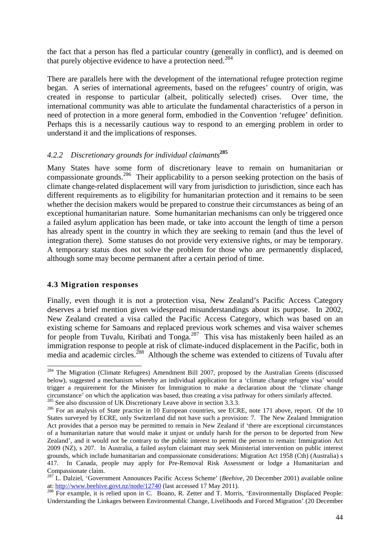the fact that a person has fled a particular country (generally in conflict), and is deemed on that purely objective evidence to have a protection need.<sup>284</sup>

There are parallels here with the development of the international refugee protection regime began. A series of international agreements, based on the refugees' country of origin, was created in response to particular (albeit, politically selected) crises. Over time, the international community was able to articulate the fundamental characteristics of a person in need of protection in a more general form, embodied in the Convention 'refugee' definition. Perhaps this is a necessarily cautious way to respond to an emerging problem in order to understand it and the implications of responses.

#### *4.2.2 Discretionary grounds for individual claimants* **285**

Many States have some form of discretionary leave to remain on humanitarian or compassionate grounds.<sup>286</sup> Their applicability to a person seeking protection on the basis of climate change-related displacement will vary from jurisdiction to jurisdiction, since each has different requirements as to eligibility for humanitarian protection and it remains to be seen whether the decision makers would be prepared to construe their circumstances as being of an exceptional humanitarian nature. Some humanitarian mechanisms can only be triggered once a failed asylum application has been made, or take into account the length of time a person has already spent in the country in which they are seeking to remain (and thus the level of integration there). Some statuses do not provide very extensive rights, or may be temporary. A temporary status does not solve the problem for those who are permanently displaced, although some may become permanent after a certain period of time.

#### **4.3 Migration responses**

 $\overline{a}$ 

Finally, even though it is not a protection visa, New Zealand's Pacific Access Category deserves a brief mention given widespread misunderstandings about its purpose. In 2002, New Zealand created a visa called the Pacific Access Category, which was based on an existing scheme for Samoans and replaced previous work schemes and visa waiver schemes for people from Tuvalu, Kiribati and Tonga.<sup>287</sup> This visa has mistakenly been hailed as an immigration response to people at risk of climate-induced displacement in the Pacific, both in media and academic circles.<sup>288</sup> Although the scheme was extended to citizens of Tuvalu after

<sup>&</sup>lt;sup>284</sup> The Migration (Climate Refugees) Amendment Bill 2007, proposed by the Australian Greens (discussed below), suggested a mechanism whereby an individual application for a 'climate change refugee visa' would trigger a requirement for the Minister for Immigration to make a declaration about the 'climate change circumstance' on which the application was based, thus creating a visa pathway for others similarly affected.  $285$  See also discussion of UK Discretionary Leave above in section 3.3.3.

<sup>&</sup>lt;sup>286</sup> For an analysis of State practice in 10 European countries, see ECRE, note 171 above, report. Of the 10 States surveyed by ECRE, only Switzerland did not have such a provision: 7. The New Zealand Immigration Act provides that a person may be permitted to remain in New Zealand if 'there are exceptional circumstances of a humanitarian nature that would make it unjust or unduly harsh for the person to be deported from New Zealand', and it would not be contrary to the public interest to permit the person to remain: Immigration Act 2009 (NZ), s 207. In Australia, a failed asylum claimant may seek Ministerial intervention on public interest grounds, which include humanitarian and compassionate considerations: Migration Act 1958 (Cth) (Australia) s 417. In Canada, people may apply for Pre-Removal Risk Assessment or lodge a Humanitarian and Compassionate claim.

<sup>&</sup>lt;sup>287</sup> L. Dalziel, 'Government Announces Pacific Access Scheme' (*Beehive*, 20 December 2001) available online at: http://www.beehive.govt.nz/node/12740 (last accessed 17 May 2011).

<sup>288</sup> For example, it is relied upon in C. Boano, R. Zetter and T. Morris, 'Environmentally Displaced People: Understanding the Linkages between Environmental Change, Livelihoods and Forced Migration' (20 December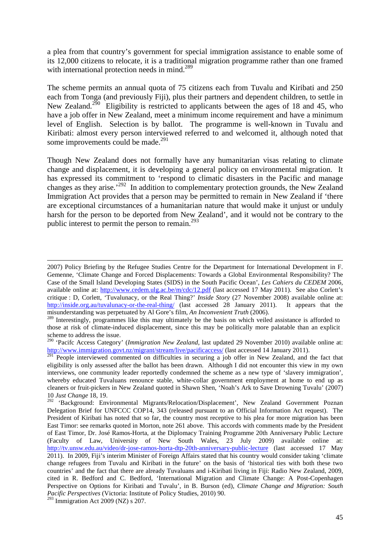a plea from that country's government for special immigration assistance to enable some of its 12,000 citizens to relocate, it is a traditional migration programme rather than one framed with international protection needs in mind.<sup>289</sup>

The scheme permits an annual quota of 75 citizens each from Tuvalu and Kiribati and 250 each from Tonga (and previously Fiji), plus their partners and dependent children, to settle in New Zealand.<sup>290</sup> Eligibility is restricted to applicants between the ages of 18 and 45, who have a job offer in New Zealand, meet a minimum income requirement and have a minimum level of English. Selection is by ballot. The programme is well-known in Tuvalu and Kiribati: almost every person interviewed referred to and welcomed it, although noted that some improvements could be made.<sup>291</sup>

Though New Zealand does not formally have any humanitarian visas relating to climate change and displacement, it is developing a general policy on environmental migration. It has expressed its commitment to 'respond to climatic disasters in the Pacific and manage changes as they arise.<sup>292</sup> In addition to complementary protection grounds, the New Zealand Immigration Act provides that a person may be permitted to remain in New Zealand if 'there are exceptional circumstances of a humanitarian nature that would make it unjust or unduly harsh for the person to be deported from New Zealand', and it would not be contrary to the public interest to permit the person to remain.<sup>293</sup>

<sup>2007)</sup> Policy Briefing by the Refugee Studies Centre for the Department for International Development in F. Gemenne, 'Climate Change and Forced Displacements: Towards a Global Environmental Responsibility? The Case of the Small Island Developing States (SIDS) in the South Pacific Ocean', *Les Cahiers du CEDEM* 2006, available online at: http://www.cedem.ulg.ac.be/m/cdc/12.pdf (last accessed 17 May 2011). See also Corlett's critique : D, Corlett, 'Tuvalunacy, or the Real Thing?' *Inside Story* (27 November 2008) available online at: http://inside.org.au/tuvalunacy-or-the-real-thing/ (last accessed 28 January 2011). It appears that the misunderstanding was perpetuated by Al Gore's film, *An Inconvenient Truth* (2006).

<sup>&</sup>lt;sup>289</sup> Interestingly, programmes like this may ultimately be the basis on which veiled assistance is afforded to those at risk of climate-induced displacement, since this may be politically more palatable than an explicit scheme to address the issue.

<sup>290</sup> 'Pacifc Access Category' (*Immigration New Zealand*, last updated 29 November 2010) available online at: http://www.immigration.govt.nz/migrant/stream/live/pacificaccess/ (last accessed 14 January 2011).

<sup>&</sup>lt;sup>291</sup> People interviewed commented on difficulties in securing a job offer in New Zealand, and the fact that eligibility is only assessed after the ballot has been drawn. Although I did not encounter this view in my own interviews, one community leader reportedly condemned the scheme as a new type of 'slavery immigration', whereby educated Tuvaluans renounce stable, white-collar government employment at home to end up as cleaners or fruit-pickers in New Zealand quoted in Shawn Shen, 'Noah's Ark to Save Drowning Tuvalu' (2007) 10 *Just Change* 18, 19.

<sup>&</sup>lt;sup>292</sup> 'Background: Environmental Migrants/Relocation/Displacement', New Zealand Government Poznan Delegation Brief for UNFCCC COP14, 343 (released pursuant to an Official Information Act request). The President of Kiribati has noted that so far, the country most receptive to his plea for more migration has been East Timor: see remarks quoted in Morton, note 261 above. This accords with comments made by the President of East Timor, Dr. José Ramos-Horta, at the Diplomacy Training Programme 20th Anniversary Public Lecture (Faculty of Law, University of New South Wales, 23 July 2009) available online at: http://tv.unsw.edu.au/video/dr-jose-ramos-horta-dtp-20th-anniversary-public-lecture (last accessed 17 May 2011). In 2009, Fiji's interim Minister of Foreign Affairs stated that his country would consider taking 'climate change refugees from Tuvalu and Kiribati in the future' on the basis of 'historical ties with both these two countries' and the fact that there are already Tuvaluans and i-Kiribati living in Fiji: Radio New Zealand, 2009, cited in R. Bedford and C. Bedford, 'International Migration and Climate Change: A Post-Copenhagen Perspective on Options for Kiribati and Tuvalu', in B. Burson (ed), *Climate Change and Migration: South Pacific Perspectives* (Victoria: Institute of Policy Studies, 2010) 90.

 $293$  Immigration Act 2009 (NZ) s 207.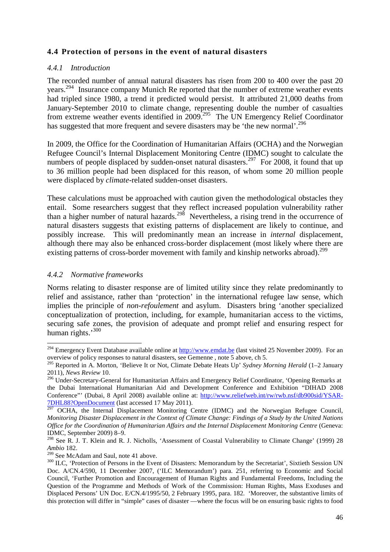#### **4.4 Protection of persons in the event of natural disasters**

#### *4.4.1 Introduction*

The recorded number of annual natural disasters has risen from 200 to 400 over the past 20 years.<sup>294</sup> Insurance company Munich Re reported that the number of extreme weather events had tripled since 1980, a trend it predicted would persist. It attributed 21,000 deaths from January-September 2010 to climate change, representing double the number of casualties from extreme weather events identified in 2009.<sup>295</sup> The UN Emergency Relief Coordinator has suggested that more frequent and severe disasters may be 'the new normal'.<sup>296</sup>

In 2009, the Office for the Coordination of Humanitarian Affairs (OCHA) and the Norwegian Refugee Council's Internal Displacement Monitoring Centre (IDMC) sought to calculate the numbers of people displaced by sudden-onset natural disasters.<sup>297</sup> For 2008, it found that up to 36 million people had been displaced for this reason, of whom some 20 million people were displaced by *climate*-related sudden-onset disasters.

These calculations must be approached with caution given the methodological obstacles they entail. Some researchers suggest that they reflect increased population vulnerability rather than a higher number of natural hazards.<sup>298</sup> Nevertheless, a rising trend in the occurrence of natural disasters suggests that existing patterns of displacement are likely to continue, and possibly increase. This will predominantly mean an increase in *internal* displacement, although there may also be enhanced cross-border displacement (most likely where there are existing patterns of cross-border movement with family and kinship networks abroad).<sup>299</sup>

#### *4.4.2 Normative frameworks*

l

Norms relating to disaster response are of limited utility since they relate predominantly to relief and assistance, rather than 'protection' in the international refugee law sense, which implies the principle of *non-refoulement* and asylum. Disasters bring 'another specialized conceptualization of protection, including, for example, humanitarian access to the victims, securing safe zones, the provision of adequate and prompt relief and ensuring respect for human rights.'300

<sup>&</sup>lt;sup>294</sup> Emergency Event Database available online at  $\frac{http://www.emdat.be)}{http://www.emdat.be)}$  (last visited 25 November 2009). For an overview of policy responses to natural disasters, see Gemenne , note 5 above, ch 5.

<sup>295</sup> Reported in A. Morton, 'Believe It or Not, Climate Debate Heats Up' *Sydney Morning Herald* (1–2 January 2011), *News Review* 10.

<sup>&</sup>lt;sup>296</sup> Under-Secretary-General for Humanitarian Affairs and Emergency Relief Coordinator, 'Opening Remarks at the Dubai International Humanitarian Aid and Development Conference and Exhibition "DIHAD 2008 Conference"' (Dubai, 8 April 2008) available online at: http://www.reliefweb.int/rw/rwb.nsf/db900sid/YSAR-7DHL88?OpenDocument (last accessed 17 May 2011).

<sup>&</sup>lt;sup>297</sup> OCHA, the Internal Displacement Monitoring Centre (IDMC) and the Norwegian Refugee Council, *Monitoring Disaster Displacement in the Context of Climate Change: Findings of a Study by the United Nations Office for the Coordination of Humanitarian Affairs and the Internal Displacement Monitoring Centre* (Geneva: IDMC, September 2009) 8–9.

<sup>&</sup>lt;sup>298</sup> See R. J. T. Klein and R. J. Nicholls, 'Assessment of Coastal Vulnerability to Climate Change' (1999) 28 *Ambio* 182.

<sup>&</sup>lt;sup>299</sup> See McAdam and Saul, note 41 above.

<sup>&</sup>lt;sup>300</sup> ILC, 'Protection of Persons in the Event of Disasters: Memorandum by the Secretariat', Sixtieth Session UN Doc. A/CN.4/590, 11 December 2007, ('ILC Memorandum') para. 251, referring to Economic and Social Council, 'Further Promotion and Encouragement of Human Rights and Fundamental Freedoms, Including the Question of the Programme and Methods of Work of the Commission: Human Rights, Mass Exoduses and Displaced Persons' UN Doc. E/CN.4/1995/50, 2 February 1995, para. 182. 'Moreover, the substantive limits of this protection will differ in "simple" cases of disaster —where the focus will be on ensuring basic rights to food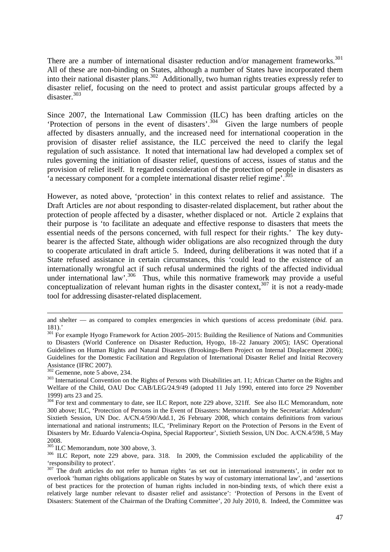There are a number of international disaster reduction and/or management frameworks.<sup>301</sup> All of these are non-binding on States, although a number of States have incorporated them into their national disaster plans.<sup>302</sup> Additionally, two human rights treaties expressly refer to disaster relief, focusing on the need to protect and assist particular groups affected by a disaster.<sup>303</sup>

Since 2007, the International Law Commission (ILC) has been drafting articles on the 'Protection of persons in the event of disasters'.<sup>304</sup> Given the large numbers of people affected by disasters annually, and the increased need for international cooperation in the provision of disaster relief assistance, the ILC perceived the need to clarify the legal regulation of such assistance. It noted that international law had developed a complex set of rules governing the initiation of disaster relief, questions of access, issues of status and the provision of relief itself. It regarded consideration of the protection of people in disasters as 'a necessary component for a complete international disaster relief regime'.<sup>305</sup>

However, as noted above, 'protection' in this context relates to relief and assistance. The Draft Articles are *not* about responding to disaster-related displacement, but rather about the protection of people affected by a disaster, whether displaced or not. Article 2 explains that their purpose is 'to facilitate an adequate and effective response to disasters that meets the essential needs of the persons concerned, with full respect for their rights.' The key dutybearer is the affected State, although wider obligations are also recognized through the duty to cooperate articulated in draft article 5. Indeed, during deliberations it was noted that if a State refused assistance in certain circumstances, this 'could lead to the existence of an internationally wrongful act if such refusal undermined the rights of the affected individual under international law'.<sup>306</sup> Thus, while this normative framework may provide a useful conceptualization of relevant human rights in the disaster context,  $307$  it is not a ready-made tool for addressing disaster-related displacement.

and shelter — as compared to complex emergencies in which questions of access predominate (*ibid.* para. 181).'

<sup>&</sup>lt;sup>301</sup> For example Hyogo Framework for Action 2005–2015: Building the Resilience of Nations and Communities to Disasters (World Conference on Disaster Reduction, Hyogo, 18–22 January 2005); IASC Operational Guidelines on Human Rights and Natural Disasters (Brookings-Bern Project on Internal Displacement 2006); Guidelines for the Domestic Facilitation and Regulation of International Disaster Relief and Initial Recovery Assistance (IFRC 2007).

<sup>302</sup> Gemenne, note 5 above, 234.

<sup>&</sup>lt;sup>303</sup> International Convention on the Rights of Persons with Disabilities art. 11; African Charter on the Rights and Welfare of the Child, OAU Doc CAB/LEG/24.9/49 (adopted 11 July 1990, entered into force 29 November 1999) arts 23 and 25.

<sup>&</sup>lt;sup>304</sup> For text and commentary to date, see ILC Report, note 229 above, 321ff. See also ILC Memorandum, note 300 above; ILC, 'Protection of Persons in the Event of Disasters: Memorandum by the Secretariat: Addendum' Sixtieth Session, UN Doc. A/CN.4/590/Add.1, 26 February 2008, which contains definitions from various international and national instruments; ILC, 'Preliminary Report on the Protection of Persons in the Event of Disasters by Mr. Eduardo Valencia-Ospina, Special Rapporteur', Sixtieth Session, UN Doc. A/CN.4/598, 5 May 2008.

<sup>305</sup> ILC Memorandum, note 300 above, 3.

<sup>&</sup>lt;sup>306</sup> ILC Report, note 229 above, para. 318. In 2009, the Commission excluded the applicability of the 'responsibility to protect'.

<sup>&</sup>lt;sup>307</sup> The draft articles do not refer to human rights 'as set out in international instruments', in order not to overlook 'human rights obligations applicable on States by way of customary international law', and 'assertions of best practices for the protection of human rights included in non-binding texts, of which there exist a relatively large number relevant to disaster relief and assistance': 'Protection of Persons in the Event of Disasters: Statement of the Chairman of the Drafting Committee', 20 July 2010, 8. Indeed, the Committee was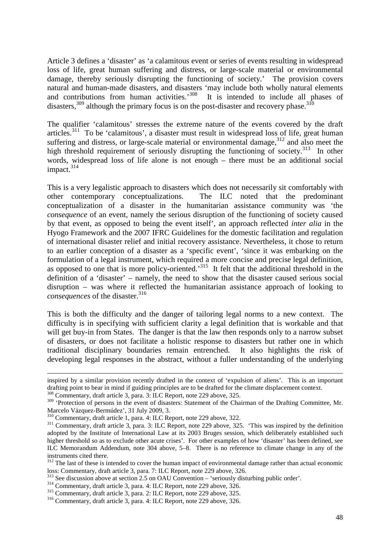Article 3 defines a 'disaster' as 'a calamitous event or series of events resulting in widespread loss of life, great human suffering and distress, or large-scale material or environmental damage, thereby seriously disrupting the functioning of society.' The provision covers natural and human-made disasters, and disasters 'may include both wholly natural elements and contributions from human activities.<sup>308</sup> It is intended to include all phases of disasters,<sup>309</sup> although the primary focus is on the post-disaster and recovery phase.<sup>310</sup>

The qualifier 'calamitous' stresses the extreme nature of the events covered by the draft articles.<sup>311</sup> To be 'calamitous', a disaster must result in widespread loss of life, great human suffering and distress, or large-scale material or environmental damage,<sup>312</sup> and also meet the high threshold requirement of seriously disrupting the functioning of society.<sup>313</sup> In other words, widespread loss of life alone is not enough – there must be an additional social impact.<sup>314</sup>

This is a very legalistic approach to disasters which does not necessarily sit comfortably with other contemporary conceptualizations. The ILC noted that the predominant conceptualization of a disaster in the humanitarian assistance community was 'the *consequence* of an event, namely the serious disruption of the functioning of society caused by that event, as opposed to being the event itself', an approach reflected *inter alia* in the Hyogo Framework and the 2007 IFRC Guidelines for the domestic facilitation and regulation of international disaster relief and initial recovery assistance. Nevertheless, it chose to return to an earlier conception of a disaster as a 'specific event', 'since it was embarking on the formulation of a legal instrument, which required a more concise and precise legal definition, as opposed to one that is more policy-oriented.'<sup>315</sup> It felt that the additional threshold in the definition of a 'disaster' – namely, the need to show that the disaster caused serious social disruption – was where it reflected the humanitarian assistance approach of looking to *consequences* of the disaster.<sup>316</sup>

This is both the difficulty and the danger of tailoring legal norms to a new context. The difficulty is in specifying with sufficient clarity a legal definition that is workable and that will get buy-in from States. The danger is that the law then responds only to a narrow subset of disasters, or does not facilitate a holistic response to disasters but rather one in which traditional disciplinary boundaries remain entrenched. It also highlights the risk of developing legal responses in the abstract, without a fuller understanding of the underlying

inspired by a similar provision recently drafted in the context of 'expulsion of aliens'. This is an important drafting point to bear in mind if guiding principles are to be drafted for the climate displacement context.

<sup>&</sup>lt;sup>308</sup> Commentary, draft article 3, para. 3: ILC Report, note 229 above, 325.

<sup>&</sup>lt;sup>309</sup> 'Protection of persons in the event of disasters: Statement of the Chairman of the Drafting Committee, Mr. Marcelo Vázquez-Bermúdez', 31 July 2009, 3.

<sup>310</sup> Commentary, draft article 1, para. 4: ILC Report, note 229 above, 322.

<sup>&</sup>lt;sup>311</sup> Commentary, draft article 3, para. 3: ILC Report, note 229 above, 325. 'This was inspired by the definition adopted by the Institute of International Law at its 2003 Bruges session, which deliberately established such higher threshold so as to exclude other acute crises'. For other examples of how 'disaster' has been defined, see ILC Memorandum Addendum, note 304 above, 5–8. There is no reference to climate change in any of the instruments cited there.

<sup>&</sup>lt;sup>312</sup> The last of these is intended to cover the human impact of environmental damage rather than actual economic loss: Commentary, draft article 3, para. 7: ILC Report, note 229 above, 326.

See discussion above at section 2.5 on OAU Convention – 'seriously disturbing public order'.

<sup>314</sup> Commentary, draft article 3, para. 4: ILC Report, note 229 above, 326.

<sup>315</sup> Commentary, draft article 3, para. 2: ILC Report, note 229 above, 325.

<sup>316</sup> Commentary, draft article 3, para. 4: ILC Report, note 229 above, 326.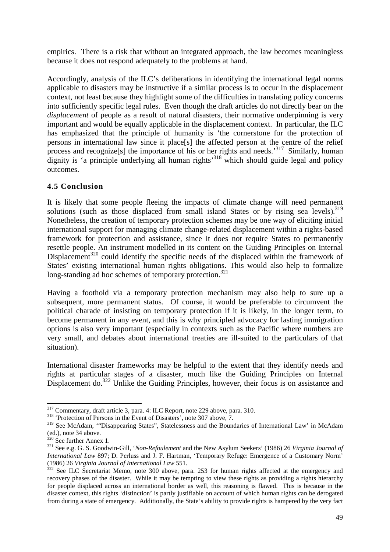empirics. There is a risk that without an integrated approach, the law becomes meaningless because it does not respond adequately to the problems at hand.

Accordingly, analysis of the ILC's deliberations in identifying the international legal norms applicable to disasters may be instructive if a similar process is to occur in the displacement context, not least because they highlight some of the difficulties in translating policy concerns into sufficiently specific legal rules. Even though the draft articles do not directly bear on the *displacement* of people as a result of natural disasters, their normative underpinning is very important and would be equally applicable in the displacement context. In particular, the ILC has emphasized that the principle of humanity is 'the cornerstone for the protection of persons in international law since it place[s] the affected person at the centre of the relief process and recognize<sup>[s]</sup> the importance of his or her rights and needs.<sup>317</sup> Similarly, human dignity is 'a principle underlying all human rights<sup>318</sup> which should guide legal and policy outcomes.

#### **4.5 Conclusion**

It is likely that some people fleeing the impacts of climate change will need permanent solutions (such as those displaced from small island States or by rising sea levels).<sup>319</sup> Nonetheless, the creation of temporary protection schemes may be one way of eliciting initial international support for managing climate change-related displacement within a rights-based framework for protection and assistance, since it does not require States to permanently resettle people. An instrument modelled in its content on the Guiding Principles on Internal Displacement<sup>320</sup> could identify the specific needs of the displaced within the framework of States' existing international human rights obligations. This would also help to formalize long-standing ad hoc schemes of temporary protection.<sup>321</sup>

Having a foothold via a temporary protection mechanism may also help to sure up a subsequent, more permanent status. Of course, it would be preferable to circumvent the political charade of insisting on temporary protection if it is likely, in the longer term, to become permanent in any event, and this is why principled advocacy for lasting immigration options is also very important (especially in contexts such as the Pacific where numbers are very small, and debates about international treaties are ill-suited to the particulars of that situation).

International disaster frameworks may be helpful to the extent that they identify needs and rights at particular stages of a disaster, much like the Guiding Principles on Internal Displacement do.<sup>322</sup> Unlike the Guiding Principles, however, their focus is on assistance and

<sup>317</sup> Commentary, draft article 3, para. 4: ILC Report, note 229 above, para. 310.

<sup>318</sup> 'Protection of Persons in the Event of Disasters', note 307 above, 7.

<sup>&</sup>lt;sup>319</sup> See McAdam, "'Disappearing States", Statelessness and the Boundaries of International Law' in McAdam (ed.), note 34 above.

 $320$  See further Annex 1.

<sup>321</sup> See e.g. G. S. Goodwin-Gill, '*Non-Refoulement* and the New Asylum Seekers' (1986) 26 *Virginia Journal of International Law* 897; D. Perluss and J. F. Hartman, 'Temporary Refuge: Emergence of a Customary Norm' (1986) 26 *Virginia Journal of International Law* 551.

 $322$  See ILC Secretariat Memo, note 300 above, para. 253 for human rights affected at the emergency and recovery phases of the disaster. While it may be tempting to view these rights as providing a rights hierarchy for people displaced across an international border as well, this reasoning is flawed. This is because in the disaster context, this rights 'distinction' is partly justifiable on account of which human rights can be derogated from during a state of emergency. Additionally, the State's ability to provide rights is hampered by the very fact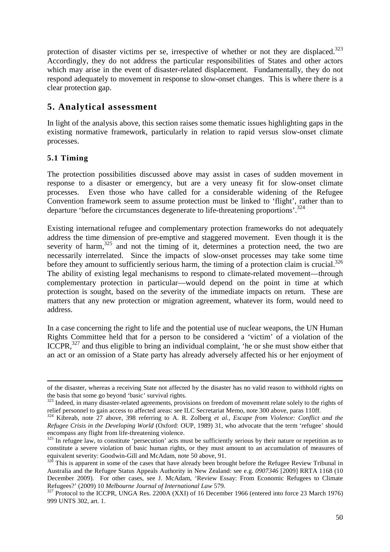protection of disaster victims per se, irrespective of whether or not they are displaced.<sup>323</sup> Accordingly, they do not address the particular responsibilities of States and other actors which may arise in the event of disaster-related displacement. Fundamentally, they do not respond adequately to movement in response to slow-onset changes. This is where there is a clear protection gap.

## **5. Analytical assessment**

In light of the analysis above, this section raises some thematic issues highlighting gaps in the existing normative framework, particularly in relation to rapid versus slow-onset climate processes.

### **5.1 Timing**

 $\overline{a}$ 

The protection possibilities discussed above may assist in cases of sudden movement in response to a disaster or emergency, but are a very uneasy fit for slow-onset climate processes. Even those who have called for a considerable widening of the Refugee Convention framework seem to assume protection must be linked to 'flight', rather than to departure 'before the circumstances degenerate to life-threatening proportions'.<sup>324</sup>

Existing international refugee and complementary protection frameworks do not adequately address the time dimension of pre-emptive and staggered movement. Even though it is the severity of harm, $325$  and not the timing of it, determines a protection need, the two are necessarily interrelated. Since the impacts of slow-onset processes may take some time before they amount to sufficiently serious harm, the timing of a protection claim is crucial.<sup>326</sup> The ability of existing legal mechanisms to respond to climate-related movement—through complementary protection in particular—would depend on the point in time at which protection is sought, based on the severity of the immediate impacts on return. These are matters that any new protection or migration agreement, whatever its form, would need to address.

In a case concerning the right to life and the potential use of nuclear weapons, the UN Human Rights Committee held that for a person to be considered a 'victim' of a violation of the ICCPR,  $327$  and thus eligible to bring an individual complaint, 'he or she must show either that an act or an omission of a State party has already adversely affected his or her enjoyment of

of the disaster, whereas a receiving State not affected by the disaster has no valid reason to withhold rights on the basis that some go beyond 'basic' survival rights.

<sup>&</sup>lt;sup>323</sup> Indeed, in many disaster-related agreements, provisions on freedom of movement relate solely to the rights of relief personnel to gain access to affected areas: see ILC Secretariat Memo, note 300 above, paras 110ff.

<sup>324</sup> Kibreab, note 27 above, 398 referring to A. R. Zolberg *et al.*, *Escape from Violence: Conflict and the Refugee Crisis in the Developing World* (Oxford: OUP, 1989) 31, who advocate that the term 'refugee' should encompass any flight from life-threatening violence.

<sup>&</sup>lt;sup>325</sup> In refugee law, to constitute 'persecution' acts must be sufficiently serious by their nature or repetition as to constitute a severe violation of basic human rights, or they must amount to an accumulation of measures of equivalent severity: Goodwin-Gill and McAdam, note 50 above, 91.

 $326$  This is apparent in some of the cases that have already been brought before the Refugee Review Tribunal in Australia and the Refugee Status Appeals Authority in New Zealand: see e.g. *0907346* [2009] RRTA 1168 (10 December 2009). For other cases, see J. McAdam, 'Review Essay: From Economic Refugees to Climate Refugees?' (2009) 10 *Melbourne Journal of International Law* 579.

<sup>&</sup>lt;sup>327</sup> Protocol to the ICCPR, UNGA Res. 2200A (XXI) of 16 December 1966 (entered into force 23 March 1976) 999 UNTS 302, art. 1.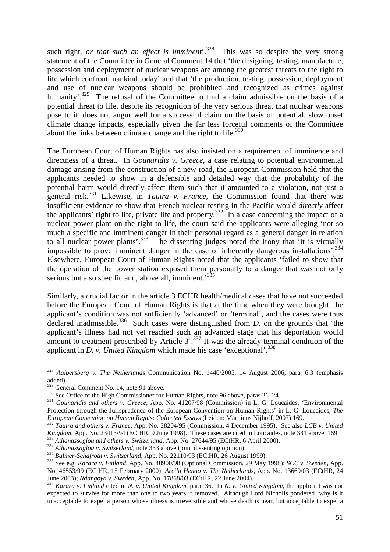such right, *or that such an effect is imminent*<sup>'</sup>.<sup>328</sup> This was so despite the very strong statement of the Committee in General Comment 14 that 'the designing, testing, manufacture, possession and deployment of nuclear weapons are among the greatest threats to the right to life which confront mankind today' and that 'the production, testing, possession, deployment and use of nuclear weapons should be prohibited and recognized as crimes against humanity'.<sup>329</sup> The refusal of the Committee to find a claim admissible on the basis of a potential threat to life, despite its recognition of the very serious threat that nuclear weapons pose to it, does not augur well for a successful claim on the basis of potential, slow onset climate change impacts, especially given the far less forceful comments of the Committee about the links between climate change and the right to life.<sup>330</sup>

The European Court of Human Rights has also insisted on a requirement of imminence and directness of a threat. In *Gounaridis v. Greece*, a case relating to potential environmental damage arising from the construction of a new road, the European Commission held that the applicants needed to show in a defensible and detailed way that the probability of the potential harm would directly affect them such that it amounted to a violation, not just a general risk.<sup>331</sup> Likewise, in *Tauira v. France*, the Commission found that there was insufficient evidence to show that French nuclear testing in the Pacific would *directly* affect the applicants' right to life, private life and property.<sup>332</sup> In a case concerning the impact of a nuclear power plant on the right to life, the court said the applicants were alleging 'not so much a specific and imminent danger in their personal regard as a general danger in relation to all nuclear power plants'.<sup>333</sup> The dissenting judges noted the irony that 'it is virtually impossible to prove imminent danger in the case of inherently dangerous installations'.<sup>334</sup> Elsewhere, European Court of Human Rights noted that the applicants 'failed to show that the operation of the power station exposed them personally to a danger that was not only serious but also specific and, above all, imminent.<sup>335</sup>

Similarly, a crucial factor in the article 3 ECHR health/medical cases that have not succeeded before the European Court of Human Rights is that at the time when they were brought, the applicant's condition was not sufficiently 'advanced' or 'terminal', and the cases were thus declared inadmissible.<sup>336</sup> Such cases were distinguished from *D*. on the grounds that 'the applicant's illness had not yet reached such an advanced stage that his deportation would amount to treatment proscribed by Article 3'.<sup>337</sup> It was the already terminal condition of the applicant in *D. v. United Kingdom* which made his case 'exceptional'.<sup>338</sup>

<sup>328</sup> *Aalbersberg v. The Netherlands* Communication No. 1440/2005, 14 August 2006, para. 6.3 (emphasis added).

<sup>&</sup>lt;sup>329</sup> General Comment No. 14, note 91 above.

<sup>330</sup> See Office of the High Commissioner for Human Rights, note 96 above, paras 21–24.

<sup>331</sup> *Gounaridis and others v. Greece,* App. No. 41207/98 (Commission) in L. G. Loucaides, 'Environmental Protection through the Jurisprudence of the European Convention on Human Rights' in L. G. Loucaides, *The European Convention on Human Rights: Collected Essays* (Leiden: Mart.inus Nijhoff, 2007) 169.

<sup>332</sup> *Tauira and others v. France,* App. No. 28204/95 (Commission, 4 December 1995). See also *LCB v. United Kingdom,* App. No. 23413/94 (ECtHR, 9 June 1998). These cases are cited in Loucaides, note 331 above, 169.

<sup>333</sup> *Athanassoglou and others v. Switzerland*, App. No. 27644/95 (ECtHR, 6 April 2000).

<sup>334</sup> *Athanassaglou v. Switzerland*, note 333 above (joint dissenting opinion).

<sup>335</sup> *Balmer-Schafroth v. Switzerland,* App. No. 22110/93 (ECtHR, 26 August 1999).

<sup>336</sup> See e.g. *Karara v. Finland,* App. No. 40900/98 (Optional Commission, 29 May 1998); *SCC v. Sweden,* App. No. 46553/99 (ECtHR, 15 February 2000); *Arcila Henao v. The Netherlands,* App. No. 13669/03 (ECtHR, 24 June 2003); *Ndangoya v. Sweden,* App. No. 17868/03 (ECtHR, 22 June 2004).

<sup>337</sup> *Karara v. Finland* cited in *N. v. United Kingdom,* para. 36. In *N. v. United Kingdom*, the applicant was not expected to survive for more than one to two years if removed. Although Lord Nicholls pondered 'why is it unacceptable to expel a person whose illness is irreversible and whose death is near, but acceptable to expel a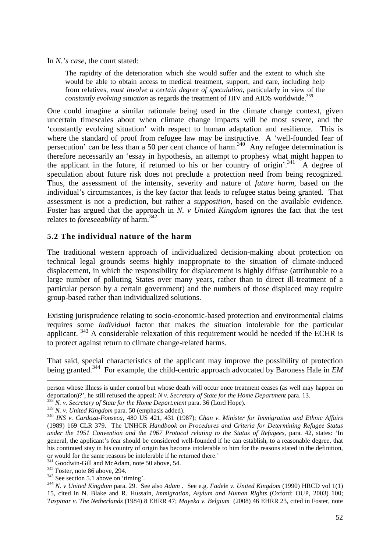In *N.'s case*, the court stated:

The rapidity of the deterioration which she would suffer and the extent to which she would be able to obtain access to medical treatment, support, and care, including help from relatives, *must involve a certain degree of speculation*, particularly in view of the *constantly evolving situation* as regards the treatment of HIV and AIDS worldwide. 339

One could imagine a similar rationale being used in the climate change context, given uncertain timescales about when climate change impacts will be most severe, and the 'constantly evolving situation' with respect to human adaptation and resilience. This is where the standard of proof from refugee law may be instructive. A 'well-founded fear of persecution' can be less than a 50 per cent chance of harm.<sup>340</sup> Any refugee determination is therefore necessarily an 'essay in hypothesis, an attempt to prophesy what might happen to the applicant in the future, if returned to his or her country of origin'.<sup>341</sup> A degree of speculation about future risk does not preclude a protection need from being recognized. Thus, the assessment of the intensity, severity and nature of *future harm*, based on the individual's circumstances, is the key factor that leads to refugee status being granted. That assessment is not a prediction, but rather a *supposition*, based on the available evidence. Foster has argued that the approach in *N. v United Kingdom* ignores the fact that the test relates to *foreseeability* of harm.<sup>342</sup>

#### **5.2 The individual nature of the harm**

The traditional western approach of individualized decision-making about protection on technical legal grounds seems highly inappropriate to the situation of climate-induced displacement, in which the responsibility for displacement is highly diffuse (attributable to a large number of polluting States over many years, rather than to direct ill-treatment of a particular person by a certain government) and the numbers of those displaced may require group-based rather than individualized solutions.

Existing jurisprudence relating to socio-economic-based protection and environmental claims requires some *individual* factor that makes the situation intolerable for the particular applicant. <sup>343</sup> A considerable relaxation of this requirement would be needed if the ECHR is to protect against return to climate change-related harms.

That said, special characteristics of the applicant may improve the possibility of protection being granted.<sup>344</sup> For example, the child-centric approach advocated by Baroness Hale in *EM* 

person whose illness is under control but whose death will occur once treatment ceases (as well may happen on deportation)?', he still refused the appeal: *N v. Secretary of State for the Home Department* para. 13.

<sup>338</sup> *N. v. Secretary of State for the Home Depart.ment* para. 36 (Lord Hope).

<sup>339</sup> *N. v. United Kingdom* para. 50 (emphasis added).

<sup>340</sup> *INS v. Cardoza-Fonseca*, 480 US 421, 431 (1987); *Chan v. Minister for Immigration and Ethnic Affairs* (1989) 169 CLR 379. The UNHCR *Handbook on Procedures and Criteria for Determining Refugee Status under the 1951 Convention and the 1967 Protocol relating to the Status of Refugees,* para. 42, states: 'In general, the applicant's fear should be considered well-founded if he can establish, to a reasonable degree, that his continued stay in his country of origin has become intolerable to him for the reasons stated in the definition, or would for the same reasons be intolerable if he returned there.'

<sup>&</sup>lt;sup>341</sup> Goodwin-Gill and McAdam, note 50 above, 54.

<sup>342</sup> Foster, note 86 above, 294.

<sup>&</sup>lt;sup>343</sup> See section 5.1 above on 'timing'.

<sup>344</sup> *N. v United Kingdom* para. 29. See also *Adam* . See e.g. *Fadele v. United Kingdom* (1990) HRCD vol 1(1) 15, cited in N. Blake and R. Hussain, *Immigration, Asylum and Human Rights* (Oxford: OUP, 2003) 100; *Taspinar v. The Netherlands* (1984) 8 EHRR 47; *Mayeka v. Belgium* (2008) 46 EHRR 23, cited in Foster, note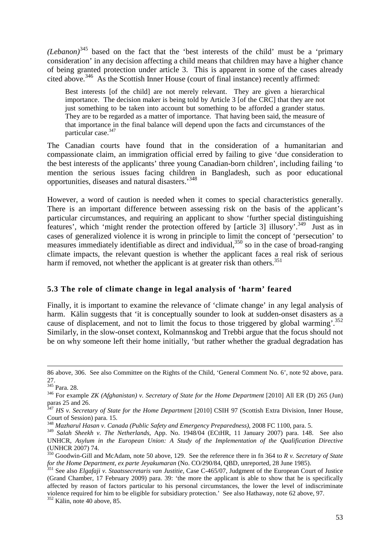*(Lebanon)*<sup>345</sup> based on the fact that the 'best interests of the child' must be a 'primary consideration' in any decision affecting a child means that children may have a higher chance of being granted protection under article 3. This is apparent in some of the cases already cited above.<sup>346</sup> As the Scottish Inner House (court of final instance) recently affirmed:

Best interests [of the child] are not merely relevant. They are given a hierarchical importance. The decision maker is being told by Article 3 [of the CRC] that they are not just something to be taken into account but something to be afforded a grander status. They are to be regarded as a matter of importance. That having been said, the measure of that importance in the final balance will depend upon the facts and circumstances of the particular case.<sup>347</sup>

The Canadian courts have found that in the consideration of a humanitarian and compassionate claim, an immigration official erred by failing to give 'due consideration to the best interests of the applicants' three young Canadian-born children', including failing 'to mention the serious issues facing children in Bangladesh, such as poor educational opportunities, diseases and natural disasters.<sup>348</sup>

However, a word of caution is needed when it comes to special characteristics generally. There is an important difference between assessing risk on the basis of the applicant's particular circumstances, and requiring an applicant to show 'further special distinguishing features', which 'might render the protection offered by [article 3] illusory'.<sup>349</sup> Just as in cases of generalized violence it is wrong in principle to limit the concept of 'persecution' to measures immediately identifiable as direct and individual,<sup>350</sup> so in the case of broad-ranging climate impacts, the relevant question is whether the applicant faces a real risk of serious harm if removed, not whether the applicant is at greater risk than others.<sup>351</sup>

#### **5.3 The role of climate change in legal analysis of 'harm' feared**

Finally, it is important to examine the relevance of 'climate change' in any legal analysis of harm. Kälin suggests that 'it is conceptually sounder to look at sudden-onset disasters as a cause of displacement, and not to limit the focus to those triggered by global warming'.<sup>352</sup> Similarly, in the slow-onset context, Kolmannskog and Trebbi argue that the focus should not be on why someone left their home initially, 'but rather whether the gradual degradation has

<sup>86</sup> above, 306. See also Committee on the Rights of the Child, 'General Comment No. 6', note 92 above, para. 27.

<sup>345</sup> Para. 28.

<sup>346</sup> For example *ZK (Afghanistan) v. Secretary of State for the Home Department* [2010] All ER (D) 265 (Jun) paras 25 and 26.

<sup>&</sup>lt;sup>347</sup> HS v. Secretary of State for the Home Department [2010] CSIH 97 (Scottish Extra Division, Inner House, Court of Session) para. 15.

<sup>348</sup> *Mazharul Hasan v. Canada (Public Safety and Emergency Preparedness)*, 2008 FC 1100, para. 5.

<sup>349</sup> *Salah Sheekh v. The Netherlands,* App. No. 1948/04 (ECtHR, 11 January 2007) para. 148. See also UNHCR, *Asylum in the European Union: A Study of the Implementation of the Qualification Directive* (UNHCR 2007) 74.

<sup>350</sup> Goodwin-Gill and McAdam, note 50 above, 129. See the reference there in fn 364 to *R v. Secretary of State for the Home Department, ex parte Jeyakumaran* (No. CO/290/84, QBD, unreported, 28 June 1985).

<sup>351</sup> See also *Elgafaji v. Staatssecretaris van Justitie*, Case C-465/07, Judgment of the European Court of Justice (Grand Chamber, 17 February 2009) para. 39: 'the more the applicant is able to show that he is specifically affected by reason of factors particular to his personal circumstances, the lower the level of indiscriminate violence required for him to be eligible for subsidiary protection.' See also Hathaway, note 62 above, 97.

 $352$  Kälin, note 40 above, 85.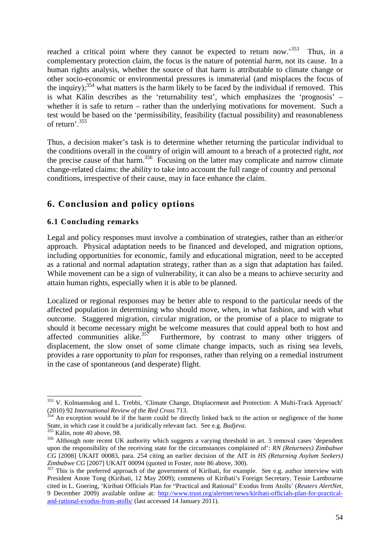reached a critical point where they cannot be expected to return now.<sup>353</sup> Thus, in a complementary protection claim, the focus is the nature of potential *harm*, not its cause. In a human rights analysis, whether the source of that harm is attributable to climate change or other socio-economic or environmental pressures is immaterial (and misplaces the focus of the inquiry);  $354$  what matters is the harm likely to be faced by the individual if removed. This is what Kälin describes as the 'returnability test', which emphasizes the 'prognosis' – whether it is safe to return – rather than the underlying motivations for movement. Such a test would be based on the 'permissibility, feasibility (factual possibility) and reasonableness of return'.<sup>355</sup>

Thus, a decision maker's task is to determine whether returning the particular individual to the conditions overall in the country of origin will amount to a breach of a protected right, *not*  the precise cause of that harm.<sup>356</sup> Focusing on the latter may complicate and narrow climate change-related claims: the ability to take into account the full range of country and personal conditions, irrespective of their cause, may in face enhance the claim.

## **6. Conclusion and policy options**

#### **6.1 Concluding remarks**

Legal and policy responses must involve a combination of strategies, rather than an either/or approach. Physical adaptation needs to be financed and developed, and migration options, including opportunities for economic, family and educational migration, need to be accepted as a rational and normal adaptation strategy, rather than as a sign that adaptation has failed. While movement can be a sign of vulnerability, it can also be a means to achieve security and attain human rights, especially when it is able to be planned.

Localized or regional responses may be better able to respond to the particular needs of the affected population in determining who should move, when, in what fashion, and with what outcome. Staggered migration, circular migration, or the promise of a place to migrate to should it become necessary might be welcome measures that could appeal both to host and affected communities alike.<sup>357</sup> Furthermore, by contrast to many other triggers of Furthermore, by contrast to many other triggers of displacement, the slow onset of some climate change impacts, such as rising sea levels, provides a rare opportunity to *plan* for responses, rather than relying on a remedial instrument in the case of spontaneous (and desperate) flight.

<sup>353</sup> V. Kolmannskog and L. Trebbi, 'Climate Change, Displacement and Protection: A Multi-Track Approach' (2010) 92 *International Review of the Red Cross* 713.

<sup>&</sup>lt;sup>354</sup> An exception would be if the harm could be directly linked back to the action or negligence of the home State, in which case it could be a juridically relevant fact. See e.g. *Budjeva*.

 $<sup>5</sup>$  Kälin, note 40 above, 98.</sup>

<sup>356</sup> Although note recent UK authority which suggests a varying threshold in art. 3 removal cases 'dependent upon the responsibility of the receiving state for the circumstances complained of': *RN (Returnees) Zimbabwe CG* [2008] UKAIT 00083, para. 254 citing an earlier decision of the AIT in *HS (Returning Asylum Seekers) Zimbabwe CG* [2007] UKAIT 00094 (quoted in Foster, note 86 above, 300).

<sup>&</sup>lt;sup>357</sup> This is the preferred approach of the government of Kiribati, for example. See e.g. author interview with President Anote Tong (Kiribati, 12 May 2009); comments of Kiribati's Foreign Secretary, Tessie Lambourne cited in L. Goering, 'Kiribati Officials Plan for "Practical and Rational" Exodus from Atolls' (*Reuters AlertNet*, 9 December 2009) available online at: http://www.trust.org/alertnet/news/kiribati-officials-plan-for-practicaland-rational-exodus-from-atolls/ (last accessed 14 January 2011).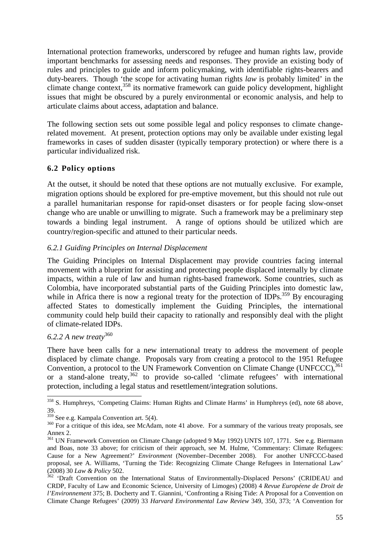International protection frameworks, underscored by refugee and human rights law, provide important benchmarks for assessing needs and responses. They provide an existing body of rules and principles to guide and inform policymaking, with identifiable rights-bearers and duty-bearers. Though 'the scope for activating human rights *law* is probably limited' in the climate change context,<sup>358</sup> its normative framework can guide policy development, highlight issues that might be obscured by a purely environmental or economic analysis, and help to articulate claims about access, adaptation and balance.

The following section sets out some possible legal and policy responses to climate changerelated movement. At present, protection options may only be available under existing legal frameworks in cases of sudden disaster (typically temporary protection) or where there is a particular individualized risk.

#### **6.2 Policy options**

At the outset, it should be noted that these options are not mutually exclusive. For example, migration options should be explored for pre-emptive movement, but this should not rule out a parallel humanitarian response for rapid-onset disasters or for people facing slow-onset change who are unable or unwilling to migrate. Such a framework may be a preliminary step towards a binding legal instrument. A range of options should be utilized which are country/region-specific and attuned to their particular needs.

#### *6.2.1 Guiding Principles on Internal Displacement*

The Guiding Principles on Internal Displacement may provide countries facing internal movement with a blueprint for assisting and protecting people displaced internally by climate impacts, within a rule of law and human rights-based framework. Some countries, such as Colombia, have incorporated substantial parts of the Guiding Principles into domestic law, while in Africa there is now a regional treaty for the protection of IDPs.<sup>359</sup> By encouraging affected States to domestically implement the Guiding Principles, the international community could help build their capacity to rationally and responsibly deal with the plight of climate-related IDPs.

#### *6.2.2 A new treaty*<sup>360</sup>

There have been calls for a new international treaty to address the movement of people displaced by climate change. Proposals vary from creating a protocol to the 1951 Refugee Convention, a protocol to the UN Framework Convention on Climate Change (UNFCCC), $361$ or a stand-alone treaty,  $362$  to provide so-called 'climate refugees' with international protection, including a legal status and resettlement/integration solutions. Ī,

<sup>&</sup>lt;sup>358</sup> S. Humphreys, 'Competing Claims: Human Rights and Climate Harms' in Humphreys (ed), note 68 above, 39.

 $359$  See e.g. Kampala Convention art. 5(4).

<sup>&</sup>lt;sup>360</sup> For a critique of this idea, see McAdam, note 41 above. For a summary of the various treaty proposals, see Annex 2.

<sup>&</sup>lt;sup>361</sup> UN Framework Convention on Climate Change (adopted 9 May 1992) UNTS 107, 1771. See e.g. Biermann and Boas, note 33 above; for criticism of their approach, see M. Hulme, 'Commentary: Climate Refugees: Cause for a New Agreement?' *Environment* (November–December 2008). For another UNFCCC-based proposal, see A. Williams, 'Turning the Tide: Recognizing Climate Change Refugees in International Law' (2008) 30 *Law & Policy* 502.

<sup>&</sup>lt;sup>362</sup> 'Draft Convention on the International Status of Environmentally-Displaced Persons' (CRIDEAU and CRDP, Faculty of Law and Economic Science, University of Limoges) (2008) 4 *Revue Européene de Droit de l'Environnement* 375; B. Docherty and T. Giannini, 'Confronting a Rising Tide: A Proposal for a Convention on Climate Change Refugees' (2009) 33 *Harvard Environmental Law Review* 349, 350, 373; 'A Convention for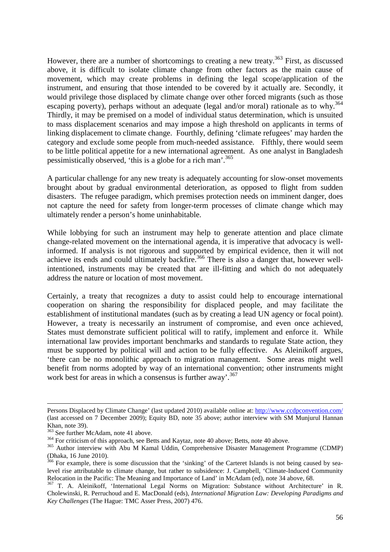However, there are a number of shortcomings to creating a new treaty.<sup>363</sup> First, as discussed above, it is difficult to isolate climate change from other factors as the main cause of movement, which may create problems in defining the legal scope/application of the instrument, and ensuring that those intended to be covered by it actually are. Secondly, it would privilege those displaced by climate change over other forced migrants (such as those escaping poverty), perhaps without an adequate (legal and/or moral) rationale as to why.<sup>364</sup> Thirdly, it may be premised on a model of individual status determination, which is unsuited to mass displacement scenarios and may impose a high threshold on applicants in terms of linking displacement to climate change. Fourthly, defining 'climate refugees' may harden the category and exclude some people from much-needed assistance. Fifthly, there would seem to be little political appetite for a new international agreement. As one analyst in Bangladesh pessimistically observed, 'this is a globe for a rich man'.<sup>365</sup>

A particular challenge for any new treaty is adequately accounting for slow-onset movements brought about by gradual environmental deterioration, as opposed to flight from sudden disasters. The refugee paradigm, which premises protection needs on imminent danger, does not capture the need for safety from longer-term processes of climate change which may ultimately render a person's home uninhabitable.

While lobbying for such an instrument may help to generate attention and place climate change-related movement on the international agenda, it is imperative that advocacy is wellinformed. If analysis is not rigorous and supported by empirical evidence, then it will not achieve its ends and could ultimately backfire.<sup>366</sup> There is also a danger that, however wellintentioned, instruments may be created that are ill-fitting and which do not adequately address the nature or location of most movement.

Certainly, a treaty that recognizes a duty to assist could help to encourage international cooperation on sharing the responsibility for displaced people, and may facilitate the establishment of institutional mandates (such as by creating a lead UN agency or focal point). However, a treaty is necessarily an instrument of compromise, and even once achieved, States must demonstrate sufficient political will to ratify, implement and enforce it. While international law provides important benchmarks and standards to regulate State action, they must be supported by political will and action to be fully effective. As Aleinikoff argues, 'there can be no monolithic approach to migration management. Some areas might well benefit from norms adopted by way of an international convention; other instruments might work best for areas in which a consensus is further away'.<sup>367</sup>

Persons Displaced by Climate Change' (last updated 2010) available online at: http://www.ccdpconvention.com/ (last accessed on 7 December 2009); Equity BD, note 35 above; author interview with SM Munjurul Hannan Khan, note 39).

<sup>363</sup> See further McAdam, note 41 above.

<sup>&</sup>lt;sup>364</sup> For criticism of this approach, see Betts and Kaytaz, note 40 above; Betts, note 40 above.

<sup>365</sup> Author interview with Abu M Kamal Uddin, Comprehensive Disaster Management Programme (CDMP) (Dhaka, 16 June 2010).

<sup>&</sup>lt;sup>366</sup> For example, there is some discussion that the 'sinking' of the Carteret Islands is not being caused by sealevel rise attributable to climate change, but rather to subsidence: J. Campbell, 'Climate-Induced Community Relocation in the Pacific: The Meaning and Importance of Land' in McAdam (ed), note 34 above, 68.

<sup>&</sup>lt;sup>367</sup> T. A. Aleinikoff, 'International Legal Norms on Migration: Substance without Architecture' in R. Cholewinski, R. Perruchoud and E. MacDonald (eds), *International Migration Law: Developing Paradigms and Key Challenges* (The Hague: TMC Asser Press, 2007) 476.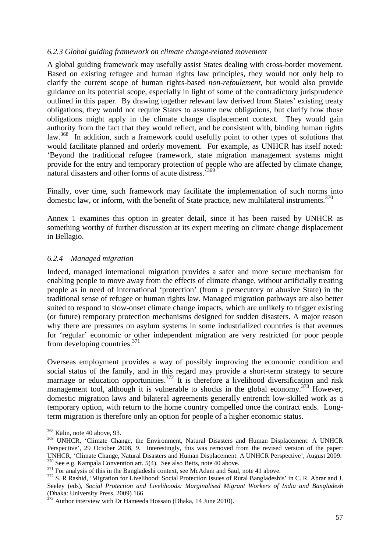#### *6.2.3 Global guiding framework on climate change-related movement*

A global guiding framework may usefully assist States dealing with cross-border movement. Based on existing refugee and human rights law principles, they would not only help to clarify the current scope of human rights-based *non-refoulement*, but would also provide guidance on its potential scope, especially in light of some of the contradictory jurisprudence outlined in this paper. By drawing together relevant law derived from States' existing treaty obligations, they would not require States to assume new obligations, but clarify how those obligations might apply in the climate change displacement context. They would gain authority from the fact that they would reflect, and be consistent with, binding human rights law.<sup>368</sup> In addition, such a framework could usefully point to other types of solutions that would facilitate planned and orderly movement. For example, as UNHCR has itself noted: 'Beyond the traditional refugee framework, state migration management systems might provide for the entry and temporary protection of people who are affected by climate change, natural disasters and other forms of acute distress.<sup>369</sup>

Finally, over time, such framework may facilitate the implementation of such norms into domestic law, or inform, with the benefit of State practice, new multilateral instruments.<sup>370</sup>

Annex 1 examines this option in greater detail, since it has been raised by UNHCR as something worthy of further discussion at its expert meeting on climate change displacement in Bellagio.

#### *6.2.4 Managed migration*

Indeed, managed international migration provides a safer and more secure mechanism for enabling people to move away from the effects of climate change, without artificially treating people as in need of international 'protection' (from a persecutory or abusive State) in the traditional sense of refugee or human rights law. Managed migration pathways are also better suited to respond to slow-onset climate change impacts, which are unlikely to trigger existing (or future) temporary protection mechanisms designed for sudden disasters. A major reason why there are pressures on asylum systems in some industrialized countries is that avenues for 'regular' economic or other independent migration are very restricted for poor people from developing countries.<sup>371</sup>

Overseas employment provides a way of possibly improving the economic condition and social status of the family, and in this regard may provide a short-term strategy to secure marriage or education opportunities.<sup>372</sup> It is therefore a livelihood diversification and risk management tool, although it is vulnerable to shocks in the global economy.<sup>373</sup> However, domestic migration laws and bilateral agreements generally entrench low-skilled work as a temporary option, with return to the home country compelled once the contract ends. Longterm migration is therefore only an option for people of a higher economic status.

<sup>368</sup> Kälin, note 40 above, 93.

<sup>&</sup>lt;sup>369</sup> UNHCR, 'Climate Change, the Environment, Natural Disasters and Human Displacement: A UNHCR Perspective', 29 October 2008, 9. Interestingly, this was removed from the revised version of the paper: UNHCR, 'Climate Change, Natural Disasters and Human Displacement: A UNHCR Perspective', August 2009.  $370$  See e.g. Kampala Convention art. 5(4). See also Betts, note 40 above.

<sup>&</sup>lt;sup>371</sup> For analysis of this in the Bangladeshi context, see McAdam and Saul, note 41 above.

<sup>&</sup>lt;sup>372</sup> S. R Rashid, 'Migration for Livelihood: Social Protection Issues of Rural Bangladeshis' in C. R. Abrar and J. Seeley (eds), *Social Protection and Livelihoods: Marginalised Migrant Workers of India and Bangladesh* (Dhaka: University Press, 2009) 166.

<sup>&</sup>lt;sup>373</sup> Author interview with Dr Hameeda Hossain (Dhaka, 14 June 2010).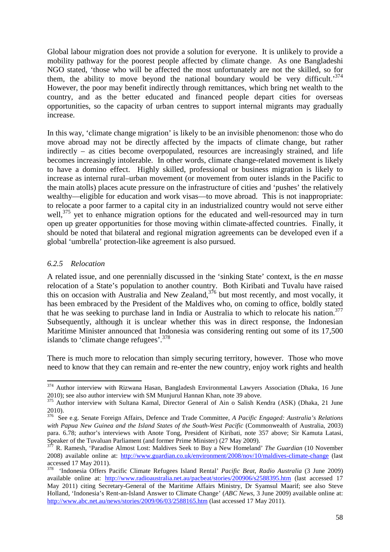Global labour migration does not provide a solution for everyone. It is unlikely to provide a mobility pathway for the poorest people affected by climate change. As one Bangladeshi NGO stated, 'those who will be affected the most unfortunately are not the skilled, so for them, the ability to move beyond the national boundary would be very difficult.<sup>374</sup> However, the poor may benefit indirectly through remittances, which bring net wealth to the country, and as the better educated and financed people depart cities for overseas opportunities, so the capacity of urban centres to support internal migrants may gradually increase.

In this way, 'climate change migration' is likely to be an invisible phenomenon: those who do move abroad may not be directly affected by the impacts of climate change, but rather indirectly – as cities become overpopulated, resources are increasingly strained, and life becomes increasingly intolerable. In other words, climate change-related movement is likely to have a domino effect. Highly skilled, professional or business migration is likely to increase as internal rural–urban movement (or movement from outer islands in the Pacific to the main atolls) places acute pressure on the infrastructure of cities and 'pushes' the relatively wealthy—eligible for education and work visas—to move abroad. This is not inappropriate: to relocate a poor farmer to a capital city in an industrialized country would not serve either well,<sup>375</sup> yet to enhance migration options for the educated and well-resourced may in turn open up greater opportunities for those moving within climate-affected countries. Finally, it should be noted that bilateral and regional migration agreements can be developed even if a global 'umbrella' protection-like agreement is also pursued.

#### *6.2.5 Relocation*

 $\overline{a}$ 

A related issue, and one perennially discussed in the 'sinking State' context, is the *en masse* relocation of a State's population to another country. Both Kiribati and Tuvalu have raised this on occasion with Australia and New Zealand,  $376$  but most recently, and most vocally, it has been embraced by the President of the Maldives who, on coming to office, boldly stated that he was seeking to purchase land in India or Australia to which to relocate his nation.<sup>377</sup> Subsequently, although it is unclear whether this was in direct response, the Indonesian Maritime Minister announced that Indonesia was considering renting out some of its 17,500 islands to 'climate change refugees'.<sup>378</sup>

There is much more to relocation than simply securing territory, however. Those who move need to know that they can remain and re-enter the new country, enjoy work rights and health

<sup>&</sup>lt;sup>374</sup> Author interview with Rizwana Hasan, Bangladesh Environmental Lawyers Association (Dhaka, 16 June 2010); see also author interview with SM Munjurul Hannan Khan, note 39 above.

<sup>&</sup>lt;sup>375</sup> Author interview with Sultana Kamal, Director General of Ain o Salish Kendra (ASK) (Dhaka, 21 June 2010).

<sup>376</sup> See e.g. Senate Foreign Affairs, Defence and Trade Committee, *A Pacific Engaged: Australia's Relations with Papua New Guinea and the Island States of the South-West Pacific* (Commonwealth of Australia, 2003) para. 6.78; author's interviews with Anote Tong, President of Kiribati, note 357 above; Sir Kamuta Latasi, Speaker of the Tuvaluan Parliament (and former Prime Minister) (27 May 2009).

<sup>377</sup> R. Ramesh, 'Paradise Almost Lost: Maldives Seek to Buy a New Homeland' *The Guardian* (10 November 2008) available online at: http://www.guardian.co.uk/environment/2008/nov/10/maldives-climate-change (last accessed 17 May 2011).

<sup>378</sup> 'Indonesia Offers Pacific Climate Refugees Island Rental' *Pacific Beat*, *Radio Australia* (3 June 2009) available online at: http://www.radioaustralia.net.au/pacbeat/stories/200906/s2588395.htm (last accessed 17 May 2011) citing Secretary-General of the Maritime Affairs Ministry, Dr Syamsul Maarif; see also Steve Holland, 'Indonesia's Rent-an-Island Answer to Climate Change' (*ABC News*, 3 June 2009) available online at: http://www.abc.net.au/news/stories/2009/06/03/2588165.htm (last accessed 17 May 2011).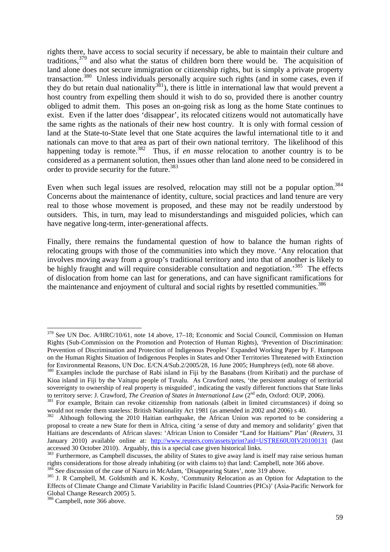rights there, have access to social security if necessary, be able to maintain their culture and traditions,  $379$  and also what the status of children born there would be. The acquisition of land alone does not secure immigration or citizenship rights, but is simply a private property transaction.<sup>380</sup> Unless individuals personally acquire such rights (and in some cases, even if they do but retain dual nationality<sup>381</sup>), there is little in international law that would prevent a host country from expelling them should it wish to do so, provided there is another country obliged to admit them. This poses an on-going risk as long as the home State continues to exist. Even if the latter does 'disappear', its relocated citizens would not automatically have the same rights as the nationals of their new host country. It is only with formal cession of land at the State-to-State level that one State acquires the lawful international title to it and nationals can move to that area as part of their own national territory. The likelihood of this happening today is remote.<sup>382</sup> Thus, if *en masse* relocation to another country is to be considered as a permanent solution, then issues other than land alone need to be considered in order to provide security for the future.<sup>383</sup>

Even when such legal issues are resolved, relocation may still not be a popular option.<sup>384</sup> Concerns about the maintenance of identity, culture, social practices and land tenure are very real to those whose movement is proposed, and these may not be readily understood by outsiders. This, in turn, may lead to misunderstandings and misguided policies, which can have negative long-term, inter-generational affects.

Finally, there remains the fundamental question of how to balance the human rights of relocating groups with those of the communities into which they move. 'Any relocation that involves moving away from a group's traditional territory and into that of another is likely to be highly fraught and will require considerable consultation and negotiation.<sup>385</sup> The effects of dislocation from home can last for generations, and can have significant ramifications for the maintenance and enjoyment of cultural and social rights by resettled communities.<sup>386</sup>

See discussion of the case of Nauru in McAdam, 'Disappearing States', note 319 above.

 $379$  See UN Doc. A/HRC/10/61, note 14 above, 17–18; Economic and Social Council, Commission on Human Rights (Sub-Commission on the Promotion and Protection of Human Rights), *'*Prevention of Discrimination: Prevention of Discrimination and Protection of Indigenous Peoples' Expanded Working Paper by F. Hampson on the Human Rights Situation of Indigenous Peoples in States and Other Territories Threatened with Extinction for Environmental Reasons, UN Doc. E/CN.4/Sub.2/2005/28, 16 June 2005; Humphreys (ed), note 68 above.

<sup>&</sup>lt;sup>380</sup> Examples include the purchase of Rabi island in Fiji by the Banabans (from Kiribati) and the purchase of Kioa island in Fiji by the Vaitupu people of Tuvalu. As Crawford notes, 'the persistent analogy of territorial sovereignty to ownership of real property is misguided', indicating the vastly different functions that State links to territory serve: J. Crawford, *The Creation of States in International Law* (2<sup>nd</sup> edn, Oxford: OUP, 2006).

<sup>&</sup>lt;sup>381</sup> For example, Britain can revoke citizenship from nationals (albeit in limited circumstances) if doing so would not render them stateless: British Nationality Act 1981 (as amended in 2002 and 2006) s 40.

<sup>&</sup>lt;sup>382</sup> Although following the 2010 Haitian earthquake, the African Union was reported to be considering a proposal to create a new State for them in Africa, citing 'a sense of duty and memory and solidarity' given that Haitians are descendants of African slaves: 'African Union to Consider "Land for Haitians" Plan' (*Reuters*, 31 January 2010) available online at: http://www.reuters.com/assets/print?aid=USTRE60U0IV20100131 (last accessed 30 October 2010). Arguably, this is a special case given historical links.

<sup>&</sup>lt;sup>383</sup> Furthermore, as Campbell discusses, the ability of States to give away land is itself may raise serious human rights considerations for those already inhabiting (or with claims to) that land: Campbell, note 366 above.

<sup>&</sup>lt;sup>385</sup> J. R Campbell, M. Goldsmith and K. Koshy, 'Community Relocation as an Option for Adaptation to the Effects of Climate Change and Climate Variability in Pacific Island Countries (PICs)' (Asia-Pacific Network for Global Change Research 2005) 5.

<sup>386</sup> Campbell, note 366 above.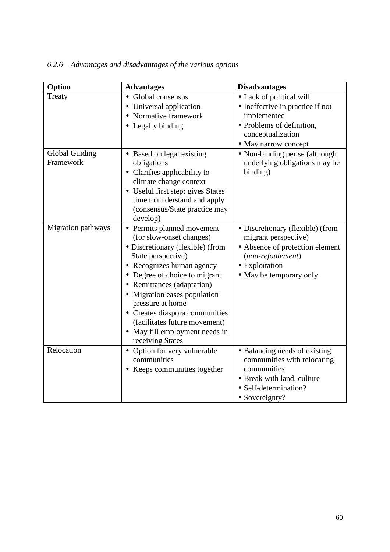| Option                | <b>Advantages</b>                                                                                     | <b>Disadvantages</b>                                                                        |
|-----------------------|-------------------------------------------------------------------------------------------------------|---------------------------------------------------------------------------------------------|
| Treaty                | · Global consensus<br>• Universal application                                                         | • Lack of political will<br>• Ineffective in practice if not                                |
|                       | Normative framework<br>$\bullet$                                                                      | implemented                                                                                 |
|                       | • Legally binding                                                                                     | • Problems of definition,                                                                   |
|                       |                                                                                                       | conceptualization                                                                           |
|                       |                                                                                                       | • May narrow concept                                                                        |
| <b>Global Guiding</b> | • Based on legal existing                                                                             | • Non-binding per se (although                                                              |
| Framework             | obligations                                                                                           | underlying obligations may be                                                               |
|                       | • Clarifies applicability to                                                                          | binding)                                                                                    |
|                       | climate change context                                                                                |                                                                                             |
|                       | • Useful first step: gives States<br>time to understand and apply                                     |                                                                                             |
|                       | (consensus/State practice may                                                                         |                                                                                             |
|                       | develop)                                                                                              |                                                                                             |
| Migration pathways    | Permits planned movement<br>$\bullet$<br>(for slow-onset changes)<br>• Discretionary (flexible) (from | • Discretionary (flexible) (from<br>migrant perspective)<br>• Absence of protection element |
|                       | State perspective)                                                                                    | (non-refoulement)                                                                           |
|                       | Recognizes human agency                                                                               | • Exploitation                                                                              |
|                       | Degree of choice to migrant                                                                           | • May be temporary only                                                                     |
|                       | • Remittances (adaptation)                                                                            |                                                                                             |
|                       | Migration eases population<br>pressure at home                                                        |                                                                                             |
|                       | • Creates diaspora communities                                                                        |                                                                                             |
|                       | (facilitates future movement)                                                                         |                                                                                             |
|                       | • May fill employment needs in<br>receiving States                                                    |                                                                                             |
| Relocation            | • Option for very vulnerable                                                                          | • Balancing needs of existing                                                               |
|                       | communities                                                                                           | communities with relocating                                                                 |
|                       | • Keeps communities together                                                                          | communities                                                                                 |
|                       |                                                                                                       | • Break with land, culture                                                                  |
|                       |                                                                                                       | • Self-determination?                                                                       |
|                       |                                                                                                       | • Sovereignty?                                                                              |

## *6.2.6 Advantages and disadvantages of the various options*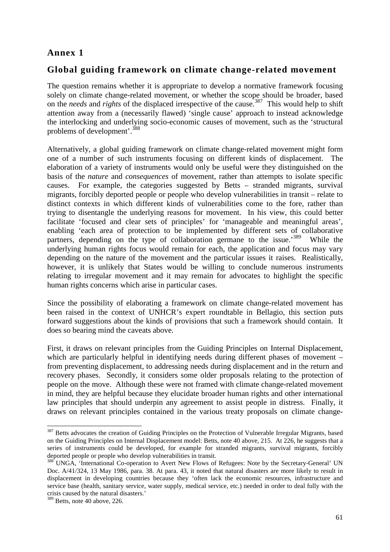## **Annex 1**

#### **Global guiding framework on climate change-related movement**

The question remains whether it is appropriate to develop a normative framework focusing solely on climate change-related movement, or whether the scope should be broader, based on the *needs* and *rights* of the displaced irrespective of the cause.<sup>387</sup> This would help to shift attention away from a (necessarily flawed) 'single cause' approach to instead acknowledge the interlocking and underlying socio-economic causes of movement, such as the 'structural problems of development'.<sup>388</sup>

Alternatively, a global guiding framework on climate change-related movement might form one of a number of such instruments focusing on different kinds of displacement. The elaboration of a variety of instruments would only be useful were they distinguished on the basis of the *nature* and *consequences* of movement, rather than attempts to isolate specific causes. For example, the categories suggested by Betts – stranded migrants, survival migrants, forcibly deported people or people who develop vulnerabilities in transit – relate to distinct contexts in which different kinds of vulnerabilities come to the fore, rather than trying to disentangle the underlying reasons for movement. In his view, this could better facilitate 'focused and clear sets of principles' for 'manageable and meaningful areas', enabling 'each area of protection to be implemented by different sets of collaborative partners, depending on the type of collaboration germane to the issue.<sup>389</sup> While the underlying human rights focus would remain for each, the application and focus may vary depending on the nature of the movement and the particular issues it raises. Realistically, however, it is unlikely that States would be willing to conclude numerous instruments relating to irregular movement and it may remain for advocates to highlight the specific human rights concerns which arise in particular cases.

Since the possibility of elaborating a framework on climate change-related movement has been raised in the context of UNHCR's expert roundtable in Bellagio, this section puts forward suggestions about the kinds of provisions that such a framework should contain. It does so bearing mind the caveats above.

First, it draws on relevant principles from the Guiding Principles on Internal Displacement, which are particularly helpful in identifying needs during different phases of movement – from preventing displacement, to addressing needs during displacement and in the return and recovery phases. Secondly, it considers some older proposals relating to the protection of people on the move. Although these were not framed with climate change-related movement in mind, they are helpful because they elucidate broader human rights and other international law principles that should underpin any agreement to assist people in distress. Finally, it draws on relevant principles contained in the various treaty proposals on climate change-

<sup>&</sup>lt;sup>387</sup> Betts advocates the creation of Guiding Principles on the Protection of Vulnerable Irregular Migrants, based on the Guiding Principles on Internal Displacement model: Betts, note 40 above, 215. At 226, he suggests that a series of instruments could be developed, for example for stranded migrants, survival migrants, forcibly deported people or people who develop vulnerabilities in transit.

<sup>&</sup>lt;sup>388</sup> UNGA, 'International Co-operation to Avert New Flows of Refugees: Note by the Secretary-General' UN Doc. A/41/324, 13 May 1986, para. 38. At para. 43, it noted that natural disasters are more likely to result in displacement in developing countries because they 'often lack the economic resources, infrastructure and service base (health, sanitary service, water supply, medical service, etc.) needed in order to deal fully with the crisis caused by the natural disasters.'

 $389$  Betts, note 40 above, 226.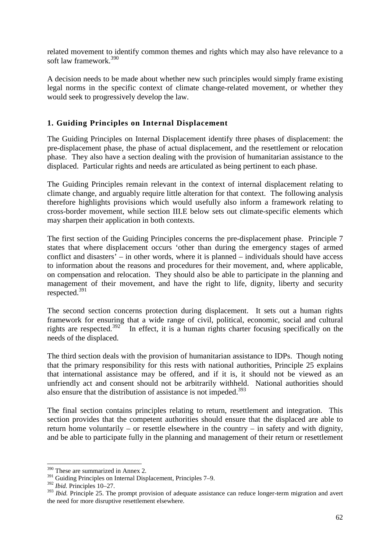related movement to identify common themes and rights which may also have relevance to a soft law framework.<sup>390</sup>

A decision needs to be made about whether new such principles would simply frame existing legal norms in the specific context of climate change-related movement, or whether they would seek to progressively develop the law.

#### **1. Guiding Principles on Internal Displacement**

The Guiding Principles on Internal Displacement identify three phases of displacement: the pre-displacement phase, the phase of actual displacement, and the resettlement or relocation phase. They also have a section dealing with the provision of humanitarian assistance to the displaced. Particular rights and needs are articulated as being pertinent to each phase.

The Guiding Principles remain relevant in the context of internal displacement relating to climate change, and arguably require little alteration for that context. The following analysis therefore highlights provisions which would usefully also inform a framework relating to cross-border movement, while section III.E below sets out climate-specific elements which may sharpen their application in both contexts.

The first section of the Guiding Principles concerns the pre-displacement phase. Principle 7 states that where displacement occurs 'other than during the emergency stages of armed conflict and disasters' – in other words, where it is planned – individuals should have access to information about the reasons and procedures for their movement, and, where applicable, on compensation and relocation. They should also be able to participate in the planning and management of their movement, and have the right to life, dignity, liberty and security respected.<sup>391</sup>

The second section concerns protection during displacement. It sets out a human rights framework for ensuring that a wide range of civil, political, economic, social and cultural rights are respected.<sup>392</sup> In effect, it is a human rights charter focusing specifically on the needs of the displaced.

The third section deals with the provision of humanitarian assistance to IDPs. Though noting that the primary responsibility for this rests with national authorities, Principle 25 explains that international assistance may be offered, and if it is, it should not be viewed as an unfriendly act and consent should not be arbitrarily withheld. National authorities should also ensure that the distribution of assistance is not impeded. $393$ 

The final section contains principles relating to return, resettlement and integration. This section provides that the competent authorities should ensure that the displaced are able to return home voluntarily – or resettle elsewhere in the country – in safety and with dignity, and be able to participate fully in the planning and management of their return or resettlement

<sup>390</sup> These are summarized in Annex 2.

<sup>391</sup> Guiding Principles on Internal Displacement, Principles 7–9.

<sup>392</sup> *Ibid.* Principles 10–27.

<sup>&</sup>lt;sup>393</sup> *Ibid.* Principle 25. The prompt provision of adequate assistance can reduce longer-term migration and avert the need for more disruptive resettlement elsewhere.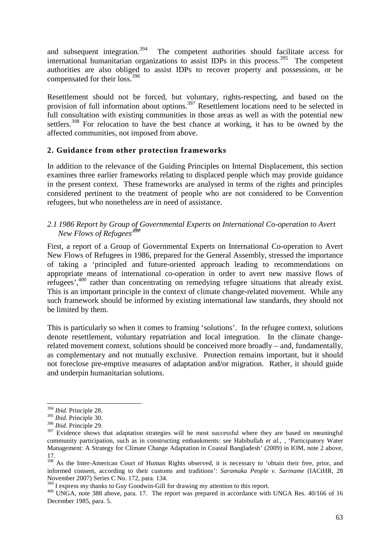and subsequent integration.<sup>394</sup> The competent authorities should facilitate access for international humanitarian organizations to assist IDPs in this process.<sup>395</sup> The competent authorities are also obliged to assist IDPs to recover property and possessions, or be compensated for their loss.<sup>396</sup>

Resettlement should not be forced, but voluntary, rights-respecting, and based on the provision of full information about options.<sup>397</sup> Resettlement locations need to be selected in full consultation with existing communities in those areas as well as with the potential new settlers.<sup>398</sup> For relocation to have the best chance at working, it has to be owned by the affected communities, not imposed from above.

#### **2. Guidance from other protection frameworks**

In addition to the relevance of the Guiding Principles on Internal Displacement, this section examines three earlier frameworks relating to displaced people which may provide guidance in the present context. These frameworks are analysed in terms of the rights and principles considered pertinent to the treatment of people who are not considered to be Convention refugees, but who nonetheless are in need of assistance.

#### *2.1 1986 Report by Group of Governmental Experts on International Co-operation to Avert New Flows of Refugees<sup>399</sup>*

First, a report of a Group of Governmental Experts on International Co-operation to Avert New Flows of Refugees in 1986, prepared for the General Assembly, stressed the importance of taking a 'principled and future-oriented approach leading to recommendations on appropriate means of international co-operation in order to avert new massive flows of refugees',<sup>400</sup> rather than concentrating on remedying refugee situations that already exist. This is an important principle in the context of climate change-related movement. While any such framework should be informed by existing international law standards, they should not be limited by them.

This is particularly so when it comes to framing 'solutions'. In the refugee context, solutions denote resettlement, voluntary repatriation and local integration. In the climate changerelated movement context, solutions should be conceived more broadly – and, fundamentally, as complementary and not mutually exclusive. Protection remains important, but it should not foreclose pre-emptive measures of adaptation and/or migration. Rather, it should guide and underpin humanitarian solutions.

<sup>394</sup> *Ibid.* Principle 28.

<sup>395</sup> *Ibid.* Principle 30.

<sup>396</sup> *Ibid.* Principle 29.

<sup>&</sup>lt;sup>397</sup> Evidence shows that adaptation strategies will be most successful where they are based on meaningful community participation, such as in constructing embankments: see Habibullah *et al.,* , 'Participatory Water Management: A Strategy for Climate Change Adaptation in Coastal Bangladesh' (2009) in IOM, note 2 above, 17.

<sup>&</sup>lt;sup>398</sup> As the Inter-American Court of Human Rights observed, it is necessary to 'obtain their free, prior, and informed consent, according to their customs and traditions': *Saramaka People v. Suriname* (IACtHR, 28 November 2007) Series C No. 172, para. 134.

<sup>&</sup>lt;sup>399</sup> I express my thanks to Guy Goodwin-Gill for drawing my attention to this report.

<sup>&</sup>lt;sup>400</sup> UNGA, note 388 above, para. 17. The report was prepared in accordance with UNGA Res. 40/166 of 16 December 1985, para. 5.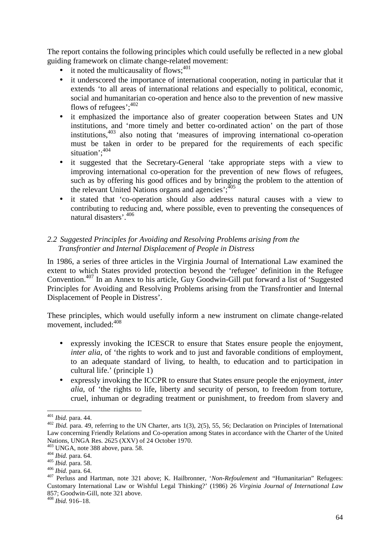The report contains the following principles which could usefully be reflected in a new global guiding framework on climate change-related movement:

- it noted the multicausality of flows; $401$
- it underscored the importance of international cooperation, noting in particular that it extends 'to all areas of international relations and especially to political, economic, social and humanitarian co-operation and hence also to the prevention of new massive flows of refugees'; $402$
- it emphasized the importance also of greater cooperation between States and UN institutions, and 'more timely and better co-ordinated action' on the part of those institutions,<sup>403</sup> also noting that 'measures of improving international co-operation must be taken in order to be prepared for the requirements of each specific situation': 404
- it suggested that the Secretary-General 'take appropriate steps with a view to improving international co-operation for the prevention of new flows of refugees, such as by offering his good offices and by bringing the problem to the attention of the relevant United Nations organs and agencies'; $\frac{305}{105}$
- it stated that 'co-operation should also address natural causes with a view to contributing to reducing and, where possible, even to preventing the consequences of natural disasters'.<sup>406</sup>

#### *2.2 Suggested Principles for Avoiding and Resolving Problems arising from the Transfrontier and Internal Displacement of People in Distress*

In 1986, a series of three articles in the Virginia Journal of International Law examined the extent to which States provided protection beyond the 'refugee' definition in the Refugee Convention.<sup>407</sup> In an Annex to his article, Guy Goodwin-Gill put forward a list of 'Suggested Principles for Avoiding and Resolving Problems arising from the Transfrontier and Internal Displacement of People in Distress'.

These principles, which would usefully inform a new instrument on climate change-related movement, included:  $408$ 

- expressly invoking the ICESCR to ensure that States ensure people the enjoyment, *inter alia*, of 'the rights to work and to just and favorable conditions of employment, to an adequate standard of living, to health, to education and to participation in cultural life.' (principle 1)
- expressly invoking the ICCPR to ensure that States ensure people the enjoyment, *inter alia*, of 'the rights to life, liberty and security of person, to freedom from torture, cruel, inhuman or degrading treatment or punishment, to freedom from slavery and

l

<sup>408</sup> *Ibid.* 916–18.

<sup>401</sup> *Ibid.* para. 44.

<sup>&</sup>lt;sup>402</sup> *Ibid.* para. 49, referring to the UN Charter, arts 1(3), 2(5), 55, 56; Declaration on Principles of International Law concerning Friendly Relations and Co-operation among States in accordance with the Charter of the United Nations, UNGA Res. 2625 (XXV) of 24 October 1970.

<sup>403</sup> UNGA, note 388 above, para. 58.

<sup>404</sup> *Ibid.* para. 64.

<sup>405</sup> *Ibid.* para. 58.

<sup>406</sup> *Ibid.* para. 64.

<sup>407</sup> Perluss and Hartman, note 321 above; K. Hailbronner, '*Non-Refoulement* and "Humanitarian" Refugees: Customary International Law or Wishful Legal Thinking?' (1986) 26 *Virginia Journal of International Law* 857; Goodwin-Gill, note 321 above.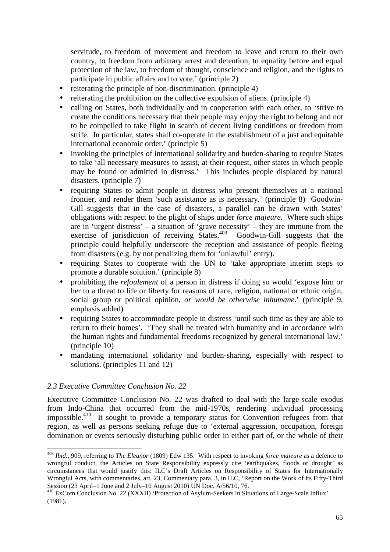servitude, to freedom of movement and freedom to leave and return to their own country, to freedom from arbitrary arrest and detention, to equality before and equal protection of the law, to freedom of thought, conscience and religion, and the rights to participate in public affairs and to vote.' (principle 2)

- reiterating the principle of non-discrimination. (principle 4)
- reiterating the prohibition on the collective expulsion of aliens. (principle 4)
- calling on States, both individually and in cooperation with each other, to 'strive to create the conditions necessary that their people may enjoy the right to belong and not to be compelled to take flight in search of decent living conditions or freedom from strife. In particular, states shall co-operate in the establishment of a just and equitable international economic order.' (principle 5)
- invoking the principles of international solidarity and burden-sharing to require States to take 'all necessary measures to assist, at their request, other states in which people may be found or admitted in distress.' This includes people displaced by natural disasters. (principle 7)
- requiring States to admit people in distress who present themselves at a national frontier, and render them 'such assistance as is necessary.' (principle 8) Goodwin-Gill suggests that in the case of disasters, a parallel can be drawn with States' obligations with respect to the plight of ships under *force majeure*. Where such ships are in 'urgent distress' – a situation of 'grave necessity' – they are immune from the exercise of jurisdiction of receiving States.<sup>409</sup> Goodwin-Gill suggests that the principle could helpfully underscore the reception and assistance of people fleeing from disasters (e.g. by not penalizing them for 'unlawful' entry).
- requiring States to cooperate with the UN to 'take appropriate interim steps to promote a durable solution.' (principle 8)
- prohibiting the *refoulement* of a person in distress if doing so would 'expose him or her to a threat to life or liberty for reasons of race, religion, national or ethnic origin, social group or political opinion, *or would be otherwise inhumane*.' (principle 9, emphasis added)
- requiring States to accommodate people in distress 'until such time as they are able to return to their homes'. 'They shall be treated with humanity and in accordance with the human rights and fundamental freedoms recognized by general international law.' (principle 10)
- mandating international solidarity and burden-sharing, especially with respect to solutions. (principles 11 and 12)

#### *2.3 Executive Committee Conclusion No. 22*

l

Executive Committee Conclusion No. 22 was drafted to deal with the large-scale exodus from Indo-China that occurred from the mid-1970s, rendering individual processing impossible.<sup>410</sup> It sought to provide a temporary status for Convention refugees from that region, as well as persons seeking refuge due to 'external aggression, occupation, foreign domination or events seriously disturbing public order in either part of, or the whole of their

<sup>409</sup> *Ibid.,* 909, referring to *The Eleanor* (1809) Edw 135. With respect to invoking *force majeure* as a defence to wrongful conduct, the Articles on State Responsibility expressly cite 'earthquakes, floods or drought' as circumstances that would justify this: ILC's Draft Articles on Responsibility of States for Internationally Wrongful Acts, with commentaries, art. 23, Commentary para. 3, in ILC, 'Report on the Work of its Fifty-Third Session (23 April–1 June and 2 July–10 August 2010) UN Doc. A/56/10, 76.

<sup>410</sup> ExCom Conclusion No. 22 (XXXII) 'Protection of Asylum-Seekers in Situations of Large-Scale Influx' (1981).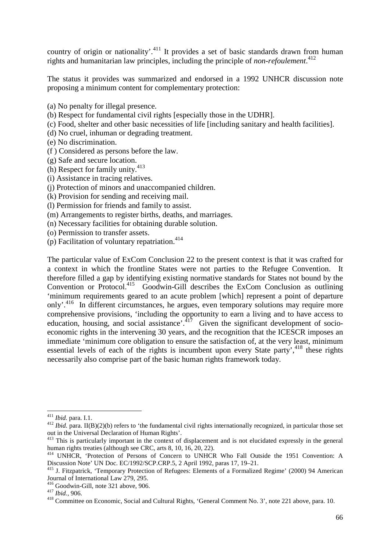country of origin or nationality'.<sup>411</sup> It provides a set of basic standards drawn from human rights and humanitarian law principles, including the principle of *non-refoulement*. 412

The status it provides was summarized and endorsed in a 1992 UNHCR discussion note proposing a minimum content for complementary protection:

- (a) No penalty for illegal presence.
- (b) Respect for fundamental civil rights [especially those in the UDHR].
- (c) Food, shelter and other basic necessities of life [including sanitary and health facilities].
- (d) No cruel, inhuman or degrading treatment.
- (e) No discrimination.
- (f ) Considered as persons before the law.
- (g) Safe and secure location.
- (h) Respect for family unity.<sup>413</sup>
- (i) Assistance in tracing relatives.
- (j) Protection of minors and unaccompanied children.
- (k) Provision for sending and receiving mail.
- (l) Permission for friends and family to assist.
- (m) Arrangements to register births, deaths, and marriages.
- (n) Necessary facilities for obtaining durable solution.
- (o) Permission to transfer assets.
- (p) Facilitation of voluntary repatriation. $414$

The particular value of ExCom Conclusion 22 to the present context is that it was crafted for a context in which the frontline States were not parties to the Refugee Convention. It therefore filled a gap by identifying existing normative standards for States not bound by the Convention or Protocol.<sup>415</sup> Goodwin-Gill describes the ExCom Conclusion as outlining 'minimum requirements geared to an acute problem [which] represent a point of departure only'.<sup>416</sup> In different circumstances, he argues, even temporary solutions may require more comprehensive provisions, 'including the opportunity to earn a living and to have access to education, housing, and social assistance'.<sup>417</sup> Given the significant development of socioeconomic rights in the intervening 30 years, and the recognition that the ICESCR imposes an immediate 'minimum core obligation to ensure the satisfaction of, at the very least, minimum essential levels of each of the rights is incumbent upon every State party', $418$  these rights necessarily also comprise part of the basic human rights framework today.

<sup>411</sup> *Ibid.* para. I.1.

<sup>&</sup>lt;sup>412</sup> *Ibid.* para. II(B)(2)(b) refers to 'the fundamental civil rights internationally recognized, in particular those set out in the Universal Declaration of Human Rights'.

<sup>&</sup>lt;sup>413</sup> This is particularly important in the context of displacement and is not elucidated expressly in the general human rights treaties (although see CRC, arts 8, 10, 16, 20, 22).

<sup>414</sup> UNHCR, 'Protection of Persons of Concern to UNHCR Who Fall Outside the 1951 Convention: A Discussion Note' UN Doc. EC/1992/SCP.CRP.5, 2 April 1992, paras 17, 19–21.

<sup>415</sup> J. Fitzpatrick, 'Temporary Protection of Refugees: Elements of a Formalized Regime' (2000) 94 American Journal of International Law 279, 295.

<sup>416</sup> Goodwin-Gill, note 321 above, 906.

<sup>417</sup> *Ibid.,* 906.

<sup>&</sup>lt;sup>418</sup> Committee on Economic, Social and Cultural Rights, 'General Comment No. 3', note 221 above, para. 10.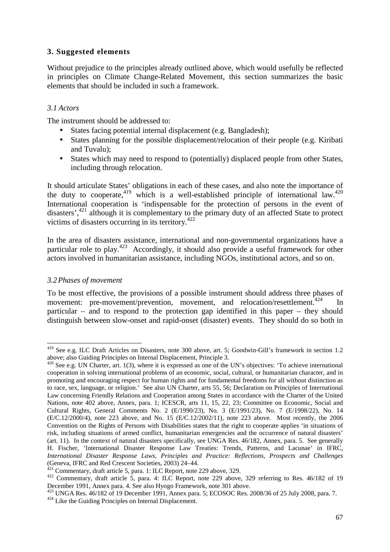#### **3. Suggested elements**

Without prejudice to the principles already outlined above, which would usefully be reflected in principles on Climate Change-Related Movement, this section summarizes the basic elements that should be included in such a framework.

#### *3.1 Actors*

The instrument should be addressed to:

- States facing potential internal displacement (e.g. Bangladesh);
- States planning for the possible displacement/relocation of their people (e.g. Kiribati) and Tuvalu);
- States which may need to respond to (potentially) displaced people from other States, including through relocation.

It should articulate States' obligations in each of these cases, and also note the importance of the duty to cooperate,  $419$  which is a well-established principle of international law.  $420$ International cooperation is 'indispensable for the protection of persons in the event of disasters',<sup>421</sup> although it is complementary to the primary duty of an affected State to protect victims of disasters occurring in its territory.<sup>422</sup>

In the area of disasters assistance, international and non-governmental organizations have a particular role to play.<sup>423</sup> Accordingly, it should also provide a useful framework for other actors involved in humanitarian assistance, including NGOs, institutional actors, and so on.

#### *3.2 Phases of movement*

l

To be most effective, the provisions of a possible instrument should address three phases of movement: pre-movement/prevention, movement, and relocation/resettlement.<sup>424</sup> In particular – and to respond to the protection gap identified in this paper – they should distinguish between slow-onset and rapid-onset (disaster) events. They should do so both in

<sup>419</sup> See e.g. ILC Draft Articles on Disasters, note 300 above, art. 5; Goodwin-Gill's framework in section 1.2 above; also Guiding Principles on Internal Displacement, Principle 3.

 $420$  See e.g. UN Charter, art. 1(3), where it is expressed as one of the UN's objectives: 'To achieve international cooperation in solving international problems of an economic, social, cultural, or humanitarian character, and in promoting and encouraging respect for human rights and for fundamental freedoms for all without distinction as to race, sex, language, or religion.' See also UN Charter, arts 55, 56; Declaration on Principles of International Law concerning Friendly Relations and Cooperation among States in accordance with the Charter of the United Nations, note 402 above, Annex, para. 1; ICESCR, arts 11, 15, 22, 23; Committee on Economic, Social and Cultural Rights, General Comments No. 2 (E/1990/23), No. 3 (E/1991/23), No. 7 (E/1998/22), No. 14 (E/C.12/2000/4), note 223 above, and No. 15 (E/C.12/2002/11), note 223 above. Most recently, the 2006 Convention on the Rights of Persons with Disabilities states that the right to cooperate applies 'in situations of risk, including situations of armed conflict, humanitarian emergencies and the occurrence of natural disasters' (art. 11). In the context of natural disasters specifically, see UNGA Res. 46/182, Annex, para. 5. See generally H. Fischer, 'International Disaster Response Law Treaties: Trends, Patterns, and Lacunae' in IFRC, *International Disaster Response Laws, Principles and Practice: Reflections, Prospects and Challenges* (Geneva, IFRC and Red Crescent Societies, 2003) 24–44.

Commentary, draft article 5, para. 1: ILC Report, note 229 above, 329.

<sup>422</sup> Commentary, draft article 5, para. 4: ILC Report, note 229 above, 329 referring to Res. 46/182 of 19 December 1991, Annex para. 4. See also Hyogo Framework, note 301 above.

<sup>423</sup> UNGA Res. 46/182 of 19 December 1991, Annex para. 5; ECOSOC Res. 2008/36 of 25 July 2008, para. 7.

<sup>424</sup> Like the Guiding Principles on Internal Displacement.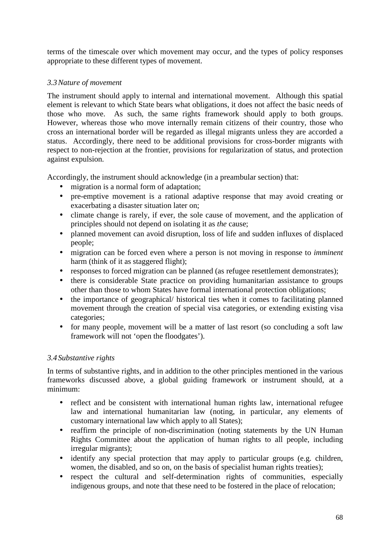terms of the timescale over which movement may occur, and the types of policy responses appropriate to these different types of movement.

#### *3.3 Nature of movement*

The instrument should apply to internal and international movement. Although this spatial element is relevant to which State bears what obligations, it does not affect the basic needs of those who move. As such, the same rights framework should apply to both groups. However, whereas those who move internally remain citizens of their country, those who cross an international border will be regarded as illegal migrants unless they are accorded a status. Accordingly, there need to be additional provisions for cross-border migrants with respect to non-rejection at the frontier, provisions for regularization of status, and protection against expulsion.

Accordingly, the instrument should acknowledge (in a preambular section) that:

- migration is a normal form of adaptation;
- pre-emptive movement is a rational adaptive response that may avoid creating or exacerbating a disaster situation later on;
- climate change is rarely, if ever, the sole cause of movement, and the application of principles should not depend on isolating it as *the* cause;
- planned movement can avoid disruption, loss of life and sudden influxes of displaced people;
- migration can be forced even where a person is not moving in response to *imminent*  harm (think of it as staggered flight);
- responses to forced migration can be planned (as refugee resettlement demonstrates);
- there is considerable State practice on providing humanitarian assistance to groups other than those to whom States have formal international protection obligations;
- the importance of geographical/ historical ties when it comes to facilitating planned movement through the creation of special visa categories, or extending existing visa categories;
- for many people, movement will be a matter of last resort (so concluding a soft law framework will not 'open the floodgates').

#### *3.4 Substantive rights*

In terms of substantive rights, and in addition to the other principles mentioned in the various frameworks discussed above, a global guiding framework or instrument should, at a minimum:

- reflect and be consistent with international human rights law, international refugee law and international humanitarian law (noting, in particular, any elements of customary international law which apply to all States);
- reaffirm the principle of non-discrimination (noting statements by the UN Human Rights Committee about the application of human rights to all people, including irregular migrants);
- identify any special protection that may apply to particular groups (e.g. children, women, the disabled, and so on, on the basis of specialist human rights treaties);
- respect the cultural and self-determination rights of communities, especially indigenous groups, and note that these need to be fostered in the place of relocation;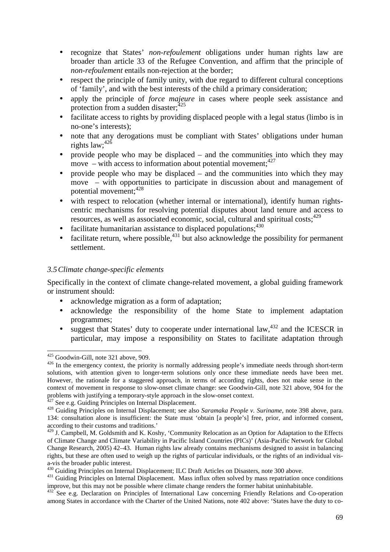- recognize that States' *non-refoulement* obligations under human rights law are broader than article 33 of the Refugee Convention, and affirm that the principle of *non-refoulement* entails non-rejection at the border;
- respect the principle of family unity, with due regard to different cultural conceptions of 'family', and with the best interests of the child a primary consideration;
- apply the principle of *force majeure* in cases where people seek assistance and protection from a sudden disaster; $425$
- facilitate access to rights by providing displaced people with a legal status (limbo is in no-one's interests);
- note that any derogations must be compliant with States' obligations under human rights law;<sup>426</sup>
- provide people who may be displaced  $-$  and the communities into which they may move – with access to information about potential movement;  $427$
- provide people who may be displaced and the communities into which they may move – with opportunities to participate in discussion about and management of potential movement; 428
- with respect to relocation (whether internal or international), identify human rightscentric mechanisms for resolving potential disputes about land tenure and access to resources, as well as associated economic, social, cultural and spiritual costs;  $429$
- facilitate humanitarian assistance to displaced populations; $430$
- facilitate return, where possible,  $431$  but also acknowledge the possibility for permanent settlement.

#### *3.5 Climate change-specific elements*

Specifically in the context of climate change-related movement, a global guiding framework or instrument should:

- acknowledge migration as a form of adaptation;
- acknowledge the responsibility of the home State to implement adaptation programmes;
- suggest that States' duty to cooperate under international law,  $432$  and the ICESCR in particular, may impose a responsibility on States to facilitate adaptation through

<sup>425</sup> Goodwin-Gill, note 321 above, 909.

<sup>&</sup>lt;sup>426</sup> In the emergency context, the priority is normally addressing people's immediate needs through short-term solutions, with attention given to longer-term solutions only once these immediate needs have been met. However, the rationale for a staggered approach, in terms of according rights, does not make sense in the context of movement in response to slow-onset climate change: see Goodwin-Gill, note 321 above, 904 for the problems with justifying a temporary-style approach in the slow-onset context.

See e.g. Guiding Principles on Internal Displacement.

<sup>428</sup> Guiding Principles on Internal Displacement; see also *Saramaka People v. Suriname*, note 398 above, para. 134: consultation alone is insufficient: the State must 'obtain [a people's] free, prior, and informed consent, according to their customs and traditions.'

<sup>&</sup>lt;sup>429</sup> J. Campbell, M. Goldsmith and K. Koshy, 'Community Relocation as an Option for Adaptation to the Effects of Climate Change and Climate Variability in Pacific Island Countries (PICs)' (Asia-Pacific Network for Global Change Research, 2005) 42–43. Human rights law already contains mechanisms designed to assist in balancing rights, but these are often used to weigh up the rights of particular individuals, or the rights of an individual visa-vis the broader public interest.

<sup>&</sup>lt;sup>430</sup> Guiding Principles on Internal Displacement; ILC Draft Articles on Disasters, note 300 above.

<sup>&</sup>lt;sup>431</sup> Guiding Principles on Internal Displacement. Mass influx often solved by mass repatriation once conditions improve, but this may not be possible where climate change renders the former habitat uninhabitable.

<sup>&</sup>lt;sup>432</sup> See e.g. Declaration on Principles of International Law concerning Friendly Relations and Co-operation among States in accordance with the Charter of the United Nations, note 402 above: 'States have the duty to co-